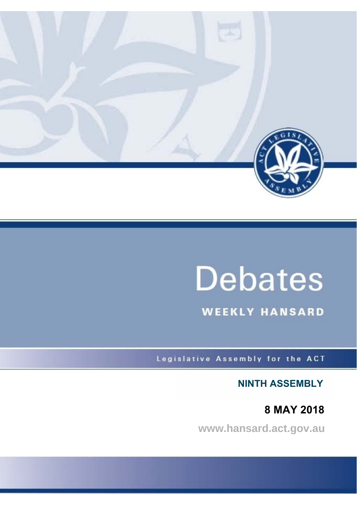

# **Debates**

**WEEKLY HANSARD** 

Legislative Assembly for the ACT

**NINTH ASSEMBLY**

 **8 MAY 2018**

**www.hansard.act.gov.au**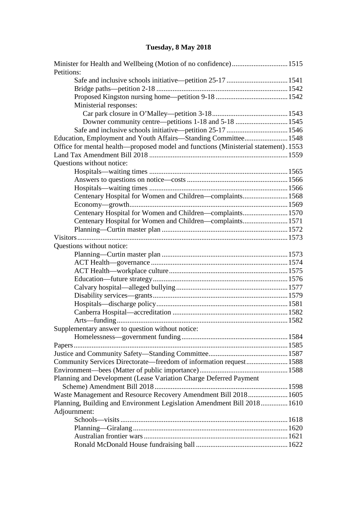# **[Tuesday, 8 May 2018](#page-2-0)**

| Petitions:                                                                          |  |
|-------------------------------------------------------------------------------------|--|
|                                                                                     |  |
|                                                                                     |  |
|                                                                                     |  |
| Ministerial responses:                                                              |  |
|                                                                                     |  |
| Downer community centre—petitions 1-18 and 5-18 1545                                |  |
| Safe and inclusive schools initiative—petition 25-17 1546                           |  |
| Education, Employment and Youth Affairs-Standing Committee 1548                     |  |
| Office for mental health—proposed model and functions (Ministerial statement). 1553 |  |
|                                                                                     |  |
| Questions without notice:                                                           |  |
|                                                                                     |  |
|                                                                                     |  |
|                                                                                     |  |
| Centenary Hospital for Women and Children-complaints1568                            |  |
|                                                                                     |  |
| Centenary Hospital for Women and Children-complaints 1570                           |  |
| Centenary Hospital for Women and Children—complaints1571                            |  |
|                                                                                     |  |
|                                                                                     |  |
| Questions without notice:                                                           |  |
|                                                                                     |  |
|                                                                                     |  |
|                                                                                     |  |
|                                                                                     |  |
|                                                                                     |  |
|                                                                                     |  |
|                                                                                     |  |
|                                                                                     |  |
|                                                                                     |  |
| Supplementary answer to question without notice:                                    |  |
|                                                                                     |  |
|                                                                                     |  |
|                                                                                     |  |
| Community Services Directorate—freedom of information request1588                   |  |
|                                                                                     |  |
| Planning and Development (Lease Variation Charge Deferred Payment                   |  |
|                                                                                     |  |
| Waste Management and Resource Recovery Amendment Bill 2018 1605                     |  |
| Planning, Building and Environment Legislation Amendment Bill 2018 1610             |  |
| Adjournment:                                                                        |  |
|                                                                                     |  |
|                                                                                     |  |
|                                                                                     |  |
|                                                                                     |  |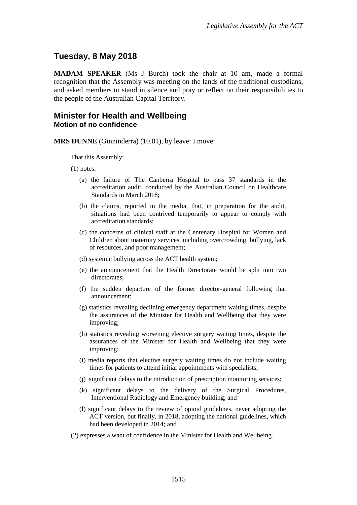# <span id="page-2-0"></span>**Tuesday, 8 May 2018**

**MADAM SPEAKER** (Ms J Burch) took the chair at 10 am, made a formal recognition that the Assembly was meeting on the lands of the traditional custodians, and asked members to stand in silence and pray or reflect on their responsibilities to the people of the Australian Capital Territory.

# <span id="page-2-2"></span><span id="page-2-1"></span>**Minister for Health and Wellbeing Motion of no confidence**

**MRS DUNNE** (Ginninderra) (10.01), by leave: I move:

That this Assembly:

(1) notes:

- (a) the failure of The Canberra Hospital to pass 37 standards in the accreditation audit, conducted by the Australian Council on Healthcare Standards in March 2018;
- (b) the claims, reported in the media, that, in preparation for the audit, situations had been contrived temporarily to appear to comply with accreditation standards;
- (c) the concerns of clinical staff at the Centenary Hospital for Women and Children about maternity services, including overcrowding, bullying, lack of resources, and poor management;
- (d) systemic bullying across the ACT health system;
- (e) the announcement that the Health Directorate would be split into two directorates;
- (f) the sudden departure of the former director-general following that announcement;
- (g) statistics revealing declining emergency department waiting times, despite the assurances of the Minister for Health and Wellbeing that they were improving;
- (h) statistics revealing worsening elective surgery waiting times, despite the assurances of the Minister for Health and Wellbeing that they were improving;
- (i) media reports that elective surgery waiting times do not include waiting times for patients to attend initial appointments with specialists;
- (j) significant delays to the introduction of prescription monitoring services;
- (k) significant delays to the delivery of the Surgical Procedures, Interventional Radiology and Emergency building; and
- (l) significant delays to the review of opioid guidelines, never adopting the ACT version, but finally, in 2018, adopting the national guidelines, which had been developed in 2014; and
- (2) expresses a want of confidence in the Minister for Health and Wellbeing.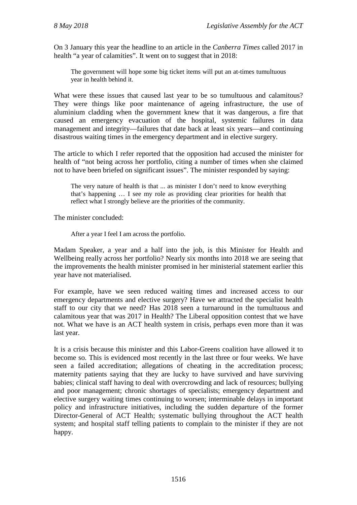On 3 January this year the headline to an article in the *Canberra Times* called 2017 in health "a year of calamities". It went on to suggest that in 2018:

The government will hope some big ticket items will put an at-times tumultuous year in health behind it.

What were these issues that caused last year to be so tumultuous and calamitous? They were things like poor maintenance of ageing infrastructure, the use of aluminium cladding when the government knew that it was dangerous, a fire that caused an emergency evacuation of the hospital, systemic failures in data management and integrity—failures that date back at least six years—and continuing disastrous waiting times in the emergency department and in elective surgery.

The article to which I refer reported that the opposition had accused the minister for health of "not being across her portfolio, citing a number of times when she claimed not to have been briefed on significant issues". The minister responded by saying:

The very nature of health is that ... as minister I don't need to know everything that's happening … I see my role as providing clear priorities for health that reflect what I strongly believe are the priorities of the community.

The minister concluded:

After a year I feel I am across the portfolio.

Madam Speaker, a year and a half into the job, is this Minister for Health and Wellbeing really across her portfolio? Nearly six months into 2018 we are seeing that the improvements the health minister promised in her ministerial statement earlier this year have not materialised.

For example, have we seen reduced waiting times and increased access to our emergency departments and elective surgery? Have we attracted the specialist health staff to our city that we need? Has 2018 seen a turnaround in the tumultuous and calamitous year that was 2017 in Health? The Liberal opposition contest that we have not. What we have is an ACT health system in crisis, perhaps even more than it was last year.

It is a crisis because this minister and this Labor-Greens coalition have allowed it to become so. This is evidenced most recently in the last three or four weeks. We have seen a failed accreditation; allegations of cheating in the accreditation process; maternity patients saying that they are lucky to have survived and have surviving babies; clinical staff having to deal with overcrowding and lack of resources; bullying and poor management; chronic shortages of specialists; emergency department and elective surgery waiting times continuing to worsen; interminable delays in important policy and infrastructure initiatives, including the sudden departure of the former Director-General of ACT Health; systematic bullying throughout the ACT health system; and hospital staff telling patients to complain to the minister if they are not happy.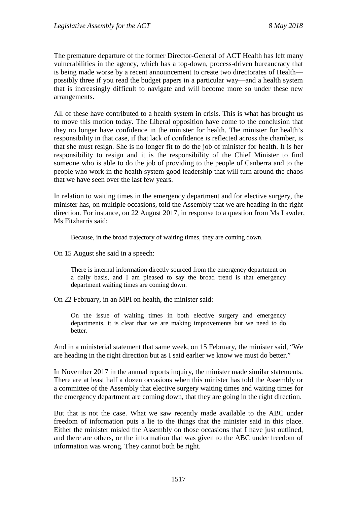The premature departure of the former Director-General of ACT Health has left many vulnerabilities in the agency, which has a top-down, process-driven bureaucracy that is being made worse by a recent announcement to create two directorates of Health possibly three if you read the budget papers in a particular way—and a health system that is increasingly difficult to navigate and will become more so under these new arrangements.

All of these have contributed to a health system in crisis. This is what has brought us to move this motion today. The Liberal opposition have come to the conclusion that they no longer have confidence in the minister for health. The minister for health's responsibility in that case, if that lack of confidence is reflected across the chamber, is that she must resign. She is no longer fit to do the job of minister for health. It is her responsibility to resign and it is the responsibility of the Chief Minister to find someone who is able to do the job of providing to the people of Canberra and to the people who work in the health system good leadership that will turn around the chaos that we have seen over the last few years.

In relation to waiting times in the emergency department and for elective surgery, the minister has, on multiple occasions, told the Assembly that we are heading in the right direction. For instance, on 22 August 2017, in response to a question from Ms Lawder, Ms Fitzharris said:

Because, in the broad trajectory of waiting times, they are coming down.

On 15 August she said in a speech:

There is internal information directly sourced from the emergency department on a daily basis, and I am pleased to say the broad trend is that emergency department waiting times are coming down.

On 22 February, in an MPI on health, the minister said:

On the issue of waiting times in both elective surgery and emergency departments, it is clear that we are making improvements but we need to do better.

And in a ministerial statement that same week, on 15 February, the minister said, "We are heading in the right direction but as I said earlier we know we must do better."

In November 2017 in the annual reports inquiry, the minister made similar statements. There are at least half a dozen occasions when this minister has told the Assembly or a committee of the Assembly that elective surgery waiting times and waiting times for the emergency department are coming down, that they are going in the right direction.

But that is not the case. What we saw recently made available to the ABC under freedom of information puts a lie to the things that the minister said in this place. Either the minister misled the Assembly on those occasions that I have just outlined, and there are others, or the information that was given to the ABC under freedom of information was wrong. They cannot both be right.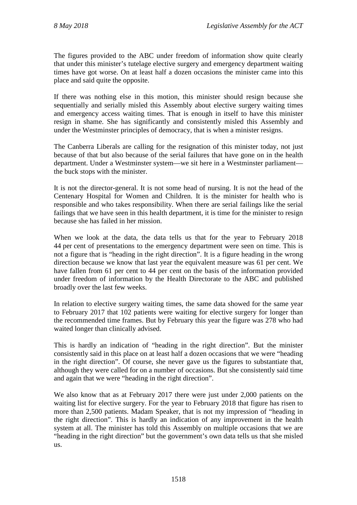The figures provided to the ABC under freedom of information show quite clearly that under this minister's tutelage elective surgery and emergency department waiting times have got worse. On at least half a dozen occasions the minister came into this place and said quite the opposite.

If there was nothing else in this motion, this minister should resign because she sequentially and serially misled this Assembly about elective surgery waiting times and emergency access waiting times. That is enough in itself to have this minister resign in shame. She has significantly and consistently misled this Assembly and under the Westminster principles of democracy, that is when a minister resigns.

The Canberra Liberals are calling for the resignation of this minister today, not just because of that but also because of the serial failures that have gone on in the health department. Under a Westminster system—we sit here in a Westminster parliament the buck stops with the minister.

It is not the director-general. It is not some head of nursing. It is not the head of the Centenary Hospital for Women and Children. It is the minister for health who is responsible and who takes responsibility. When there are serial failings like the serial failings that we have seen in this health department, it is time for the minister to resign because she has failed in her mission.

When we look at the data, the data tells us that for the year to February 2018 44 per cent of presentations to the emergency department were seen on time. This is not a figure that is "heading in the right direction". It is a figure heading in the wrong direction because we know that last year the equivalent measure was 61 per cent. We have fallen from 61 per cent to 44 per cent on the basis of the information provided under freedom of information by the Health Directorate to the ABC and published broadly over the last few weeks.

In relation to elective surgery waiting times, the same data showed for the same year to February 2017 that 102 patients were waiting for elective surgery for longer than the recommended time frames. But by February this year the figure was 278 who had waited longer than clinically advised.

This is hardly an indication of "heading in the right direction". But the minister consistently said in this place on at least half a dozen occasions that we were "heading in the right direction". Of course, she never gave us the figures to substantiate that, although they were called for on a number of occasions. But she consistently said time and again that we were "heading in the right direction".

We also know that as at February 2017 there were just under 2,000 patients on the waiting list for elective surgery. For the year to February 2018 that figure has risen to more than 2,500 patients. Madam Speaker, that is not my impression of "heading in the right direction". This is hardly an indication of any improvement in the health system at all. The minister has told this Assembly on multiple occasions that we are "heading in the right direction" but the government's own data tells us that she misled us.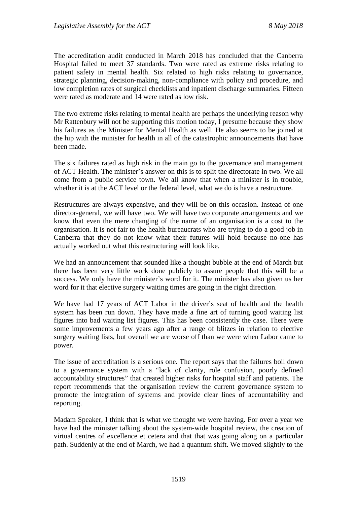The accreditation audit conducted in March 2018 has concluded that the Canberra Hospital failed to meet 37 standards. Two were rated as extreme risks relating to patient safety in mental health. Six related to high risks relating to governance, strategic planning, decision-making, non-compliance with policy and procedure, and low completion rates of surgical checklists and inpatient discharge summaries. Fifteen were rated as moderate and 14 were rated as low risk.

The two extreme risks relating to mental health are perhaps the underlying reason why Mr Rattenbury will not be supporting this motion today, I presume because they show his failures as the Minister for Mental Health as well. He also seems to be joined at the hip with the minister for health in all of the catastrophic announcements that have been made.

The six failures rated as high risk in the main go to the governance and management of ACT Health. The minister's answer on this is to split the directorate in two. We all come from a public service town. We all know that when a minister is in trouble, whether it is at the ACT level or the federal level, what we do is have a restructure.

Restructures are always expensive, and they will be on this occasion. Instead of one director-general, we will have two. We will have two corporate arrangements and we know that even the mere changing of the name of an organisation is a cost to the organisation. It is not fair to the health bureaucrats who are trying to do a good job in Canberra that they do not know what their futures will hold because no-one has actually worked out what this restructuring will look like.

We had an announcement that sounded like a thought bubble at the end of March but there has been very little work done publicly to assure people that this will be a success. We only have the minister's word for it. The minister has also given us her word for it that elective surgery waiting times are going in the right direction.

We have had 17 years of ACT Labor in the driver's seat of health and the health system has been run down. They have made a fine art of turning good waiting list figures into bad waiting list figures. This has been consistently the case. There were some improvements a few years ago after a range of blitzes in relation to elective surgery waiting lists, but overall we are worse off than we were when Labor came to power.

The issue of accreditation is a serious one. The report says that the failures boil down to a governance system with a "lack of clarity, role confusion, poorly defined accountability structures" that created higher risks for hospital staff and patients. The report recommends that the organisation review the current governance system to promote the integration of systems and provide clear lines of accountability and reporting.

Madam Speaker, I think that is what we thought we were having. For over a year we have had the minister talking about the system-wide hospital review, the creation of virtual centres of excellence et cetera and that that was going along on a particular path. Suddenly at the end of March, we had a quantum shift. We moved slightly to the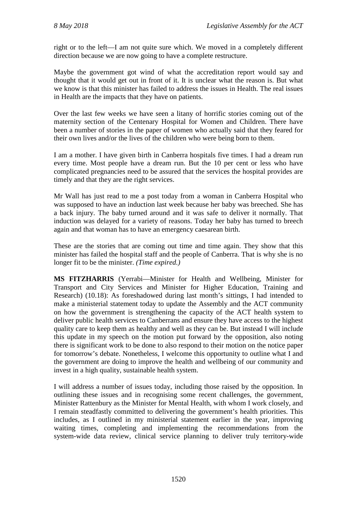right or to the left—I am not quite sure which. We moved in a completely different direction because we are now going to have a complete restructure.

Maybe the government got wind of what the accreditation report would say and thought that it would get out in front of it. It is unclear what the reason is. But what we know is that this minister has failed to address the issues in Health. The real issues in Health are the impacts that they have on patients.

Over the last few weeks we have seen a litany of horrific stories coming out of the maternity section of the Centenary Hospital for Women and Children. There have been a number of stories in the paper of women who actually said that they feared for their own lives and/or the lives of the children who were being born to them.

I am a mother. I have given birth in Canberra hospitals five times. I had a dream run every time. Most people have a dream run. But the 10 per cent or less who have complicated pregnancies need to be assured that the services the hospital provides are timely and that they are the right services.

Mr Wall has just read to me a post today from a woman in Canberra Hospital who was supposed to have an induction last week because her baby was breeched. She has a back injury. The baby turned around and it was safe to deliver it normally. That induction was delayed for a variety of reasons. Today her baby has turned to breech again and that woman has to have an emergency caesarean birth.

These are the stories that are coming out time and time again. They show that this minister has failed the hospital staff and the people of Canberra. That is why she is no longer fit to be the minister. *(Time expired.)*

**MS FITZHARRIS** (Yerrabi—Minister for Health and Wellbeing, Minister for Transport and City Services and Minister for Higher Education, Training and Research) (10.18): As foreshadowed during last month's sittings, I had intended to make a ministerial statement today to update the Assembly and the ACT community on how the government is strengthening the capacity of the ACT health system to deliver public health services to Canberrans and ensure they have access to the highest quality care to keep them as healthy and well as they can be. But instead I will include this update in my speech on the motion put forward by the opposition, also noting there is significant work to be done to also respond to their motion on the notice paper for tomorrow's debate. Nonetheless, I welcome this opportunity to outline what I and the government are doing to improve the health and wellbeing of our community and invest in a high quality, sustainable health system.

I will address a number of issues today, including those raised by the opposition. In outlining these issues and in recognising some recent challenges, the government, Minister Rattenbury as the Minister for Mental Health, with whom I work closely, and I remain steadfastly committed to delivering the government's health priorities. This includes, as I outlined in my ministerial statement earlier in the year, improving waiting times, completing and implementing the recommendations from the system-wide data review, clinical service planning to deliver truly territory-wide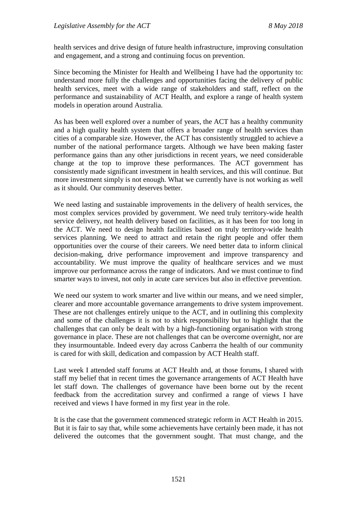health services and drive design of future health infrastructure, improving consultation and engagement, and a strong and continuing focus on prevention.

Since becoming the Minister for Health and Wellbeing I have had the opportunity to: understand more fully the challenges and opportunities facing the delivery of public health services, meet with a wide range of stakeholders and staff, reflect on the performance and sustainability of ACT Health, and explore a range of health system models in operation around Australia.

As has been well explored over a number of years, the ACT has a healthy community and a high quality health system that offers a broader range of health services than cities of a comparable size. However, the ACT has consistently struggled to achieve a number of the national performance targets. Although we have been making faster performance gains than any other jurisdictions in recent years, we need considerable change at the top to improve these performances. The ACT government has consistently made significant investment in health services, and this will continue. But more investment simply is not enough. What we currently have is not working as well as it should. Our community deserves better.

We need lasting and sustainable improvements in the delivery of health services, the most complex services provided by government. We need truly territory-wide health service delivery, not health delivery based on facilities, as it has been for too long in the ACT. We need to design health facilities based on truly territory-wide health services planning. We need to attract and retain the right people and offer them opportunities over the course of their careers. We need better data to inform clinical decision-making, drive performance improvement and improve transparency and accountability. We must improve the quality of healthcare services and we must improve our performance across the range of indicators. And we must continue to find smarter ways to invest, not only in acute care services but also in effective prevention.

We need our system to work smarter and live within our means, and we need simpler, clearer and more accountable governance arrangements to drive system improvement. These are not challenges entirely unique to the ACT, and in outlining this complexity and some of the challenges it is not to shirk responsibility but to highlight that the challenges that can only be dealt with by a high-functioning organisation with strong governance in place. These are not challenges that can be overcome overnight, nor are they insurmountable. Indeed every day across Canberra the health of our community is cared for with skill, dedication and compassion by ACT Health staff.

Last week I attended staff forums at ACT Health and, at those forums, I shared with staff my belief that in recent times the governance arrangements of ACT Health have let staff down. The challenges of governance have been borne out by the recent feedback from the accreditation survey and confirmed a range of views I have received and views I have formed in my first year in the role.

It is the case that the government commenced strategic reform in ACT Health in 2015. But it is fair to say that, while some achievements have certainly been made, it has not delivered the outcomes that the government sought. That must change, and the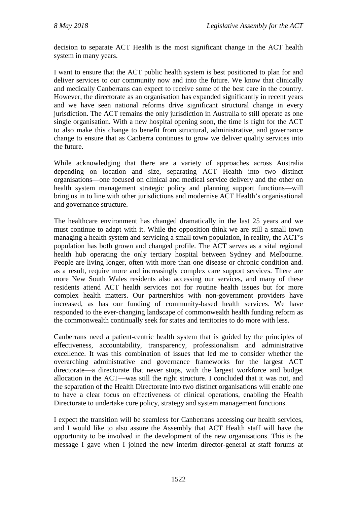decision to separate ACT Health is the most significant change in the ACT health system in many years.

I want to ensure that the ACT public health system is best positioned to plan for and deliver services to our community now and into the future. We know that clinically and medically Canberrans can expect to receive some of the best care in the country. However, the directorate as an organisation has expanded significantly in recent years and we have seen national reforms drive significant structural change in every jurisdiction. The ACT remains the only jurisdiction in Australia to still operate as one single organisation. With a new hospital opening soon, the time is right for the ACT to also make this change to benefit from structural, administrative, and governance change to ensure that as Canberra continues to grow we deliver quality services into the future.

While acknowledging that there are a variety of approaches across Australia depending on location and size, separating ACT Health into two distinct organisations—one focused on clinical and medical service delivery and the other on health system management strategic policy and planning support functions—will bring us in to line with other jurisdictions and modernise ACT Health's organisational and governance structure.

The healthcare environment has changed dramatically in the last 25 years and we must continue to adapt with it. While the opposition think we are still a small town managing a health system and servicing a small town population, in reality, the ACT's population has both grown and changed profile. The ACT serves as a vital regional health hub operating the only tertiary hospital between Sydney and Melbourne. People are living longer, often with more than one disease or chronic condition and. as a result, require more and increasingly complex care support services. There are more New South Wales residents also accessing our services, and many of these residents attend ACT health services not for routine health issues but for more complex health matters. Our partnerships with non-government providers have increased, as has our funding of community-based health services. We have responded to the ever-changing landscape of commonwealth health funding reform as the commonwealth continually seek for states and territories to do more with less.

Canberrans need a patient-centric health system that is guided by the principles of effectiveness, accountability, transparency, professionalism and administrative excellence. It was this combination of issues that led me to consider whether the overarching administrative and governance frameworks for the largest ACT directorate—a directorate that never stops, with the largest workforce and budget allocation in the ACT—was still the right structure. I concluded that it was not, and the separation of the Health Directorate into two distinct organisations will enable one to have a clear focus on effectiveness of clinical operations, enabling the Health Directorate to undertake core policy, strategy and system management functions.

I expect the transition will be seamless for Canberrans accessing our health services, and I would like to also assure the Assembly that ACT Health staff will have the opportunity to be involved in the development of the new organisations. This is the message I gave when I joined the new interim director-general at staff forums at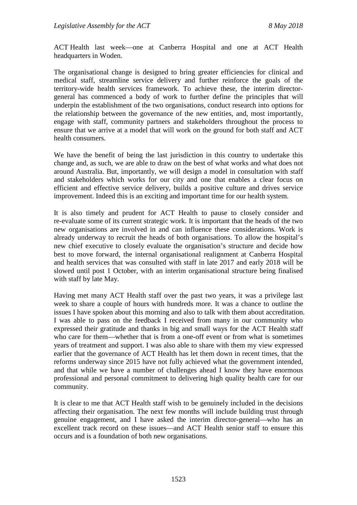ACT Health last week—one at Canberra Hospital and one at ACT Health headquarters in Woden.

The organisational change is designed to bring greater efficiencies for clinical and medical staff, streamline service delivery and further reinforce the goals of the territory-wide health services framework. To achieve these, the interim directorgeneral has commenced a body of work to further define the principles that will underpin the establishment of the two organisations, conduct research into options for the relationship between the governance of the new entities, and, most importantly, engage with staff, community partners and stakeholders throughout the process to ensure that we arrive at a model that will work on the ground for both staff and ACT health consumers.

We have the benefit of being the last jurisdiction in this country to undertake this change and, as such, we are able to draw on the best of what works and what does not around Australia. But, importantly, we will design a model in consultation with staff and stakeholders which works for our city and one that enables a clear focus on efficient and effective service delivery, builds a positive culture and drives service improvement. Indeed this is an exciting and important time for our health system.

It is also timely and prudent for ACT Health to pause to closely consider and re-evaluate some of its current strategic work. It is important that the heads of the two new organisations are involved in and can influence these considerations. Work is already underway to recruit the heads of both organisations. To allow the hospital's new chief executive to closely evaluate the organisation's structure and decide how best to move forward, the internal organisational realignment at Canberra Hospital and health services that was consulted with staff in late 2017 and early 2018 will be slowed until post 1 October, with an interim organisational structure being finalised with staff by late May.

Having met many ACT Health staff over the past two years, it was a privilege last week to share a couple of hours with hundreds more. It was a chance to outline the issues I have spoken about this morning and also to talk with them about accreditation. I was able to pass on the feedback I received from many in our community who expressed their gratitude and thanks in big and small ways for the ACT Health staff who care for them—whether that is from a one-off event or from what is sometimes years of treatment and support. I was also able to share with them my view expressed earlier that the governance of ACT Health has let them down in recent times, that the reforms underway since 2015 have not fully achieved what the government intended, and that while we have a number of challenges ahead I know they have enormous professional and personal commitment to delivering high quality health care for our community.

It is clear to me that ACT Health staff wish to be genuinely included in the decisions affecting their organisation. The next few months will include building trust through genuine engagement, and I have asked the interim director-general—who has an excellent track record on these issues—and ACT Health senior staff to ensure this occurs and is a foundation of both new organisations.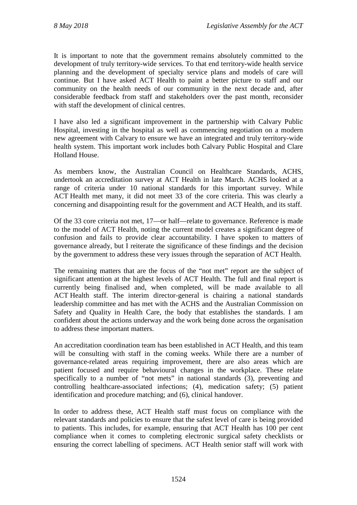It is important to note that the government remains absolutely committed to the development of truly territory-wide services. To that end territory-wide health service planning and the development of specialty service plans and models of care will continue. But I have asked ACT Health to paint a better picture to staff and our community on the health needs of our community in the next decade and, after considerable feedback from staff and stakeholders over the past month, reconsider with staff the development of clinical centres.

I have also led a significant improvement in the partnership with Calvary Public Hospital, investing in the hospital as well as commencing negotiation on a modern new agreement with Calvary to ensure we have an integrated and truly territory-wide health system. This important work includes both Calvary Public Hospital and Clare Holland House.

As members know, the Australian Council on Healthcare Standards, ACHS, undertook an accreditation survey at ACT Health in late March. ACHS looked at a range of criteria under 10 national standards for this important survey. While ACT Health met many, it did not meet 33 of the core criteria. This was clearly a concerning and disappointing result for the government and ACT Health, and its staff.

Of the 33 core criteria not met, 17—or half—relate to governance. Reference is made to the model of ACT Health, noting the current model creates a significant degree of confusion and fails to provide clear accountability. I have spoken to matters of governance already, but I reiterate the significance of these findings and the decision by the government to address these very issues through the separation of ACT Health.

The remaining matters that are the focus of the "not met" report are the subject of significant attention at the highest levels of ACT Health. The full and final report is currently being finalised and, when completed, will be made available to all ACT Health staff. The interim director-general is chairing a national standards leadership committee and has met with the ACHS and the Australian Commission on Safety and Quality in Health Care, the body that establishes the standards. I am confident about the actions underway and the work being done across the organisation to address these important matters.

An accreditation coordination team has been established in ACT Health, and this team will be consulting with staff in the coming weeks. While there are a number of governance-related areas requiring improvement, there are also areas which are patient focused and require behavioural changes in the workplace. These relate specifically to a number of "not mets" in national standards (3), preventing and controlling healthcare-associated infections; (4), medication safety; (5) patient identification and procedure matching; and (6), clinical handover.

In order to address these, ACT Health staff must focus on compliance with the relevant standards and policies to ensure that the safest level of care is being provided to patients. This includes, for example, ensuring that ACT Health has 100 per cent compliance when it comes to completing electronic surgical safety checklists or ensuring the correct labelling of specimens. ACT Health senior staff will work with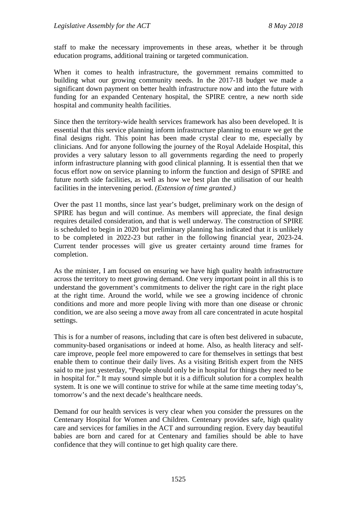staff to make the necessary improvements in these areas, whether it be through education programs, additional training or targeted communication.

When it comes to health infrastructure, the government remains committed to building what our growing community needs. In the 2017-18 budget we made a significant down payment on better health infrastructure now and into the future with funding for an expanded Centenary hospital, the SPIRE centre, a new north side hospital and community health facilities.

Since then the territory-wide health services framework has also been developed. It is essential that this service planning inform infrastructure planning to ensure we get the final designs right. This point has been made crystal clear to me, especially by clinicians. And for anyone following the journey of the Royal Adelaide Hospital, this provides a very salutary lesson to all governments regarding the need to properly inform infrastructure planning with good clinical planning. It is essential then that we focus effort now on service planning to inform the function and design of SPIRE and future north side facilities, as well as how we best plan the utilisation of our health facilities in the intervening period. *(Extension of time granted.)*

Over the past 11 months, since last year's budget, preliminary work on the design of SPIRE has begun and will continue. As members will appreciate, the final design requires detailed consideration, and that is well underway. The construction of SPIRE is scheduled to begin in 2020 but preliminary planning has indicated that it is unlikely to be completed in 2022-23 but rather in the following financial year, 2023-24. Current tender processes will give us greater certainty around time frames for completion.

As the minister, I am focused on ensuring we have high quality health infrastructure across the territory to meet growing demand. One very important point in all this is to understand the government's commitments to deliver the right care in the right place at the right time. Around the world, while we see a growing incidence of chronic conditions and more and more people living with more than one disease or chronic condition, we are also seeing a move away from all care concentrated in acute hospital settings.

This is for a number of reasons, including that care is often best delivered in subacute, community-based organisations or indeed at home. Also, as health literacy and selfcare improve, people feel more empowered to care for themselves in settings that best enable them to continue their daily lives. As a visiting British expert from the NHS said to me just yesterday, "People should only be in hospital for things they need to be in hospital for." It may sound simple but it is a difficult solution for a complex health system. It is one we will continue to strive for while at the same time meeting today's, tomorrow's and the next decade's healthcare needs.

Demand for our health services is very clear when you consider the pressures on the Centenary Hospital for Women and Children. Centenary provides safe, high quality care and services for families in the ACT and surrounding region. Every day beautiful babies are born and cared for at Centenary and families should be able to have confidence that they will continue to get high quality care there.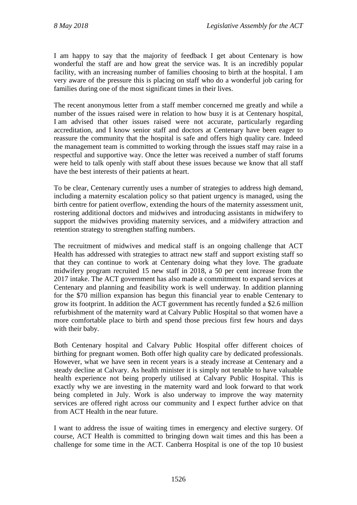I am happy to say that the majority of feedback I get about Centenary is how wonderful the staff are and how great the service was. It is an incredibly popular facility, with an increasing number of families choosing to birth at the hospital. I am very aware of the pressure this is placing on staff who do a wonderful job caring for families during one of the most significant times in their lives.

The recent anonymous letter from a staff member concerned me greatly and while a number of the issues raised were in relation to how busy it is at Centenary hospital, I am advised that other issues raised were not accurate, particularly regarding accreditation, and I know senior staff and doctors at Centenary have been eager to reassure the community that the hospital is safe and offers high quality care. Indeed the management team is committed to working through the issues staff may raise in a respectful and supportive way. Once the letter was received a number of staff forums were held to talk openly with staff about these issues because we know that all staff have the best interests of their patients at heart.

To be clear, Centenary currently uses a number of strategies to address high demand, including a maternity escalation policy so that patient urgency is managed, using the birth centre for patient overflow, extending the hours of the maternity assessment unit, rostering additional doctors and midwives and introducing assistants in midwifery to support the midwives providing maternity services, and a midwifery attraction and retention strategy to strengthen staffing numbers.

The recruitment of midwives and medical staff is an ongoing challenge that ACT Health has addressed with strategies to attract new staff and support existing staff so that they can continue to work at Centenary doing what they love. The graduate midwifery program recruited 15 new staff in 2018, a 50 per cent increase from the 2017 intake. The ACT government has also made a commitment to expand services at Centenary and planning and feasibility work is well underway. In addition planning for the \$70 million expansion has begun this financial year to enable Centenary to grow its footprint. In addition the ACT government has recently funded a \$2.6 million refurbishment of the maternity ward at Calvary Public Hospital so that women have a more comfortable place to birth and spend those precious first few hours and days with their baby.

Both Centenary hospital and Calvary Public Hospital offer different choices of birthing for pregnant women. Both offer high quality care by dedicated professionals. However, what we have seen in recent years is a steady increase at Centenary and a steady decline at Calvary. As health minister it is simply not tenable to have valuable health experience not being properly utilised at Calvary Public Hospital. This is exactly why we are investing in the maternity ward and look forward to that work being completed in July. Work is also underway to improve the way maternity services are offered right across our community and I expect further advice on that from ACT Health in the near future.

I want to address the issue of waiting times in emergency and elective surgery. Of course, ACT Health is committed to bringing down wait times and this has been a challenge for some time in the ACT. Canberra Hospital is one of the top 10 busiest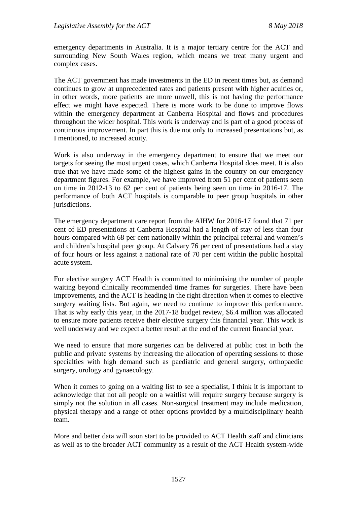emergency departments in Australia. It is a major tertiary centre for the ACT and surrounding New South Wales region, which means we treat many urgent and complex cases.

The ACT government has made investments in the ED in recent times but, as demand continues to grow at unprecedented rates and patients present with higher acuities or, in other words, more patients are more unwell, this is not having the performance effect we might have expected. There is more work to be done to improve flows within the emergency department at Canberra Hospital and flows and procedures throughout the wider hospital. This work is underway and is part of a good process of continuous improvement. In part this is due not only to increased presentations but, as I mentioned, to increased acuity.

Work is also underway in the emergency department to ensure that we meet our targets for seeing the most urgent cases, which Canberra Hospital does meet. It is also true that we have made some of the highest gains in the country on our emergency department figures. For example, we have improved from 51 per cent of patients seen on time in 2012-13 to 62 per cent of patients being seen on time in 2016-17. The performance of both ACT hospitals is comparable to peer group hospitals in other jurisdictions.

The emergency department care report from the AIHW for 2016-17 found that 71 per cent of ED presentations at Canberra Hospital had a length of stay of less than four hours compared with 68 per cent nationally within the principal referral and women's and children's hospital peer group. At Calvary 76 per cent of presentations had a stay of four hours or less against a national rate of 70 per cent within the public hospital acute system.

For elective surgery ACT Health is committed to minimising the number of people waiting beyond clinically recommended time frames for surgeries. There have been improvements, and the ACT is heading in the right direction when it comes to elective surgery waiting lists. But again, we need to continue to improve this performance. That is why early this year, in the 2017-18 budget review, \$6.4 million was allocated to ensure more patients receive their elective surgery this financial year. This work is well underway and we expect a better result at the end of the current financial year.

We need to ensure that more surgeries can be delivered at public cost in both the public and private systems by increasing the allocation of operating sessions to those specialties with high demand such as paediatric and general surgery, orthopaedic surgery, urology and gynaecology.

When it comes to going on a waiting list to see a specialist, I think it is important to acknowledge that not all people on a waitlist will require surgery because surgery is simply not the solution in all cases. Non-surgical treatment may include medication, physical therapy and a range of other options provided by a multidisciplinary health team.

More and better data will soon start to be provided to ACT Health staff and clinicians as well as to the broader ACT community as a result of the ACT Health system-wide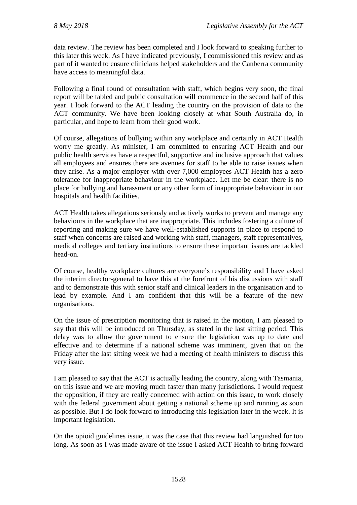data review. The review has been completed and I look forward to speaking further to this later this week. As I have indicated previously, I commissioned this review and as part of it wanted to ensure clinicians helped stakeholders and the Canberra community have access to meaningful data.

Following a final round of consultation with staff, which begins very soon, the final report will be tabled and public consultation will commence in the second half of this year. I look forward to the ACT leading the country on the provision of data to the ACT community. We have been looking closely at what South Australia do, in particular, and hope to learn from their good work.

Of course, allegations of bullying within any workplace and certainly in ACT Health worry me greatly. As minister, I am committed to ensuring ACT Health and our public health services have a respectful, supportive and inclusive approach that values all employees and ensures there are avenues for staff to be able to raise issues when they arise. As a major employer with over 7,000 employees ACT Health has a zero tolerance for inappropriate behaviour in the workplace. Let me be clear: there is no place for bullying and harassment or any other form of inappropriate behaviour in our hospitals and health facilities.

ACT Health takes allegations seriously and actively works to prevent and manage any behaviours in the workplace that are inappropriate. This includes fostering a culture of reporting and making sure we have well-established supports in place to respond to staff when concerns are raised and working with staff, managers, staff representatives, medical colleges and tertiary institutions to ensure these important issues are tackled head-on.

Of course, healthy workplace cultures are everyone's responsibility and I have asked the interim director-general to have this at the forefront of his discussions with staff and to demonstrate this with senior staff and clinical leaders in the organisation and to lead by example. And I am confident that this will be a feature of the new organisations.

On the issue of prescription monitoring that is raised in the motion, I am pleased to say that this will be introduced on Thursday, as stated in the last sitting period. This delay was to allow the government to ensure the legislation was up to date and effective and to determine if a national scheme was imminent, given that on the Friday after the last sitting week we had a meeting of health ministers to discuss this very issue.

I am pleased to say that the ACT is actually leading the country, along with Tasmania, on this issue and we are moving much faster than many jurisdictions. I would request the opposition, if they are really concerned with action on this issue, to work closely with the federal government about getting a national scheme up and running as soon as possible. But I do look forward to introducing this legislation later in the week. It is important legislation.

On the opioid guidelines issue, it was the case that this review had languished for too long. As soon as I was made aware of the issue I asked ACT Health to bring forward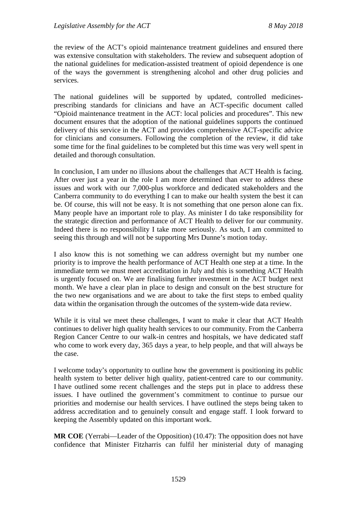the review of the ACT's opioid maintenance treatment guidelines and ensured there was extensive consultation with stakeholders. The review and subsequent adoption of the national guidelines for medication-assisted treatment of opioid dependence is one of the ways the government is strengthening alcohol and other drug policies and services.

The national guidelines will be supported by updated, controlled medicinesprescribing standards for clinicians and have an ACT-specific document called "Opioid maintenance treatment in the ACT: local policies and procedures". This new document ensures that the adoption of the national guidelines supports the continued delivery of this service in the ACT and provides comprehensive ACT-specific advice for clinicians and consumers. Following the completion of the review, it did take some time for the final guidelines to be completed but this time was very well spent in detailed and thorough consultation.

In conclusion, I am under no illusions about the challenges that ACT Health is facing. After over just a year in the role I am more determined than ever to address these issues and work with our 7,000-plus workforce and dedicated stakeholders and the Canberra community to do everything I can to make our health system the best it can be. Of course, this will not be easy. It is not something that one person alone can fix. Many people have an important role to play. As minister I do take responsibility for the strategic direction and performance of ACT Health to deliver for our community. Indeed there is no responsibility I take more seriously. As such, I am committed to seeing this through and will not be supporting Mrs Dunne's motion today.

I also know this is not something we can address overnight but my number one priority is to improve the health performance of ACT Health one step at a time. In the immediate term we must meet accreditation in July and this is something ACT Health is urgently focused on. We are finalising further investment in the ACT budget next month. We have a clear plan in place to design and consult on the best structure for the two new organisations and we are about to take the first steps to embed quality data within the organisation through the outcomes of the system-wide data review.

While it is vital we meet these challenges, I want to make it clear that ACT Health continues to deliver high quality health services to our community. From the Canberra Region Cancer Centre to our walk-in centres and hospitals, we have dedicated staff who come to work every day, 365 days a year, to help people, and that will always be the case.

I welcome today's opportunity to outline how the government is positioning its public health system to better deliver high quality, patient-centred care to our community. I have outlined some recent challenges and the steps put in place to address these issues. I have outlined the government's commitment to continue to pursue our priorities and modernise our health services. I have outlined the steps being taken to address accreditation and to genuinely consult and engage staff. I look forward to keeping the Assembly updated on this important work.

**MR COE** (Yerrabi—Leader of the Opposition) (10.47): The opposition does not have confidence that Minister Fitzharris can fulfil her ministerial duty of managing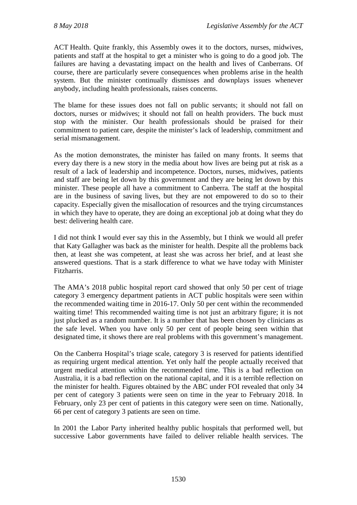ACT Health. Quite frankly, this Assembly owes it to the doctors, nurses, midwives, patients and staff at the hospital to get a minister who is going to do a good job. The failures are having a devastating impact on the health and lives of Canberrans. Of course, there are particularly severe consequences when problems arise in the health system. But the minister continually dismisses and downplays issues whenever anybody, including health professionals, raises concerns.

The blame for these issues does not fall on public servants; it should not fall on doctors, nurses or midwives; it should not fall on health providers. The buck must stop with the minister. Our health professionals should be praised for their commitment to patient care, despite the minister's lack of leadership, commitment and serial mismanagement.

As the motion demonstrates, the minister has failed on many fronts. It seems that every day there is a new story in the media about how lives are being put at risk as a result of a lack of leadership and incompetence. Doctors, nurses, midwives, patients and staff are being let down by this government and they are being let down by this minister. These people all have a commitment to Canberra. The staff at the hospital are in the business of saving lives, but they are not empowered to do so to their capacity. Especially given the misallocation of resources and the trying circumstances in which they have to operate, they are doing an exceptional job at doing what they do best: delivering health care.

I did not think I would ever say this in the Assembly, but I think we would all prefer that Katy Gallagher was back as the minister for health. Despite all the problems back then, at least she was competent, at least she was across her brief, and at least she answered questions. That is a stark difference to what we have today with Minister Fitzharris.

The AMA's 2018 public hospital report card showed that only 50 per cent of triage category 3 emergency department patients in ACT public hospitals were seen within the recommended waiting time in 2016-17. Only 50 per cent within the recommended waiting time! This recommended waiting time is not just an arbitrary figure; it is not just plucked as a random number. It is a number that has been chosen by clinicians as the safe level. When you have only 50 per cent of people being seen within that designated time, it shows there are real problems with this government's management.

On the Canberra Hospital's triage scale, category 3 is reserved for patients identified as requiring urgent medical attention. Yet only half the people actually received that urgent medical attention within the recommended time. This is a bad reflection on Australia, it is a bad reflection on the national capital, and it is a terrible reflection on the minister for health. Figures obtained by the ABC under FOI revealed that only 34 per cent of category 3 patients were seen on time in the year to February 2018. In February, only 23 per cent of patients in this category were seen on time. Nationally, 66 per cent of category 3 patients are seen on time.

In 2001 the Labor Party inherited healthy public hospitals that performed well, but successive Labor governments have failed to deliver reliable health services. The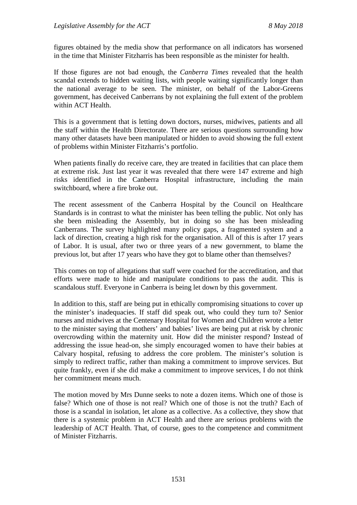figures obtained by the media show that performance on all indicators has worsened in the time that Minister Fitzharris has been responsible as the minister for health.

If those figures are not bad enough, the *Canberra Times* revealed that the health scandal extends to hidden waiting lists, with people waiting significantly longer than the national average to be seen. The minister, on behalf of the Labor-Greens government, has deceived Canberrans by not explaining the full extent of the problem within ACT Health.

This is a government that is letting down doctors, nurses, midwives, patients and all the staff within the Health Directorate. There are serious questions surrounding how many other datasets have been manipulated or hidden to avoid showing the full extent of problems within Minister Fitzharris's portfolio.

When patients finally do receive care, they are treated in facilities that can place them at extreme risk. Just last year it was revealed that there were 147 extreme and high risks identified in the Canberra Hospital infrastructure, including the main switchboard, where a fire broke out.

The recent assessment of the Canberra Hospital by the Council on Healthcare Standards is in contrast to what the minister has been telling the public. Not only has she been misleading the Assembly, but in doing so she has been misleading Canberrans. The survey highlighted many policy gaps, a fragmented system and a lack of direction, creating a high risk for the organisation. All of this is after 17 years of Labor. It is usual, after two or three years of a new government, to blame the previous lot, but after 17 years who have they got to blame other than themselves?

This comes on top of allegations that staff were coached for the accreditation, and that efforts were made to hide and manipulate conditions to pass the audit. This is scandalous stuff. Everyone in Canberra is being let down by this government.

In addition to this, staff are being put in ethically compromising situations to cover up the minister's inadequacies. If staff did speak out, who could they turn to? Senior nurses and midwives at the Centenary Hospital for Women and Children wrote a letter to the minister saying that mothers' and babies' lives are being put at risk by chronic overcrowding within the maternity unit. How did the minister respond? Instead of addressing the issue head-on, she simply encouraged women to have their babies at Calvary hospital, refusing to address the core problem. The minister's solution is simply to redirect traffic, rather than making a commitment to improve services. But quite frankly, even if she did make a commitment to improve services, I do not think her commitment means much.

The motion moved by Mrs Dunne seeks to note a dozen items. Which one of those is false? Which one of those is not real? Which one of those is not the truth? Each of those is a scandal in isolation, let alone as a collective. As a collective, they show that there is a systemic problem in ACT Health and there are serious problems with the leadership of ACT Health. That, of course, goes to the competence and commitment of Minister Fitzharris.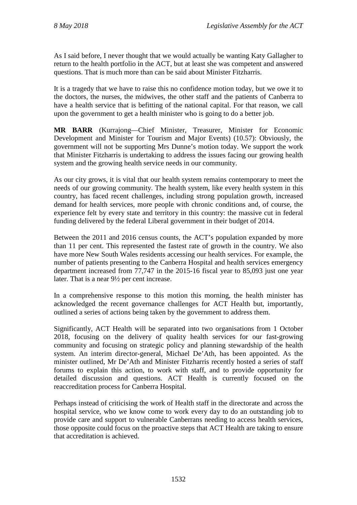As I said before, I never thought that we would actually be wanting Katy Gallagher to return to the health portfolio in the ACT, but at least she was competent and answered questions. That is much more than can be said about Minister Fitzharris.

It is a tragedy that we have to raise this no confidence motion today, but we owe it to the doctors, the nurses, the midwives, the other staff and the patients of Canberra to have a health service that is befitting of the national capital. For that reason, we call upon the government to get a health minister who is going to do a better job.

**MR BARR** (Kurrajong—Chief Minister, Treasurer, Minister for Economic Development and Minister for Tourism and Major Events) (10.57): Obviously, the government will not be supporting Mrs Dunne's motion today. We support the work that Minister Fitzharris is undertaking to address the issues facing our growing health system and the growing health service needs in our community.

As our city grows, it is vital that our health system remains contemporary to meet the needs of our growing community. The health system, like every health system in this country, has faced recent challenges, including strong population growth, increased demand for health services, more people with chronic conditions and, of course, the experience felt by every state and territory in this country: the massive cut in federal funding delivered by the federal Liberal government in their budget of 2014.

Between the 2011 and 2016 census counts, the ACT's population expanded by more than 11 per cent. This represented the fastest rate of growth in the country. We also have more New South Wales residents accessing our health services. For example, the number of patients presenting to the Canberra Hospital and health services emergency department increased from 77,747 in the 2015-16 fiscal year to 85,093 just one year later. That is a near 9½ per cent increase.

In a comprehensive response to this motion this morning, the health minister has acknowledged the recent governance challenges for ACT Health but, importantly, outlined a series of actions being taken by the government to address them.

Significantly, ACT Health will be separated into two organisations from 1 October 2018, focusing on the delivery of quality health services for our fast-growing community and focusing on strategic policy and planning stewardship of the health system. An interim director-general, Michael De'Ath, has been appointed. As the minister outlined, Mr De'Ath and Minister Fitzharris recently hosted a series of staff forums to explain this action, to work with staff, and to provide opportunity for detailed discussion and questions. ACT Health is currently focused on the reaccreditation process for Canberra Hospital.

Perhaps instead of criticising the work of Health staff in the directorate and across the hospital service, who we know come to work every day to do an outstanding job to provide care and support to vulnerable Canberrans needing to access health services, those opposite could focus on the proactive steps that ACT Health are taking to ensure that accreditation is achieved.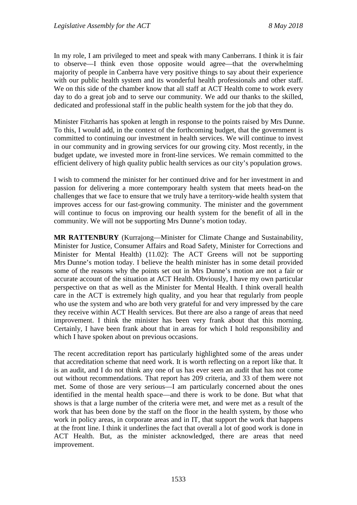In my role, I am privileged to meet and speak with many Canberrans. I think it is fair to observe—I think even those opposite would agree—that the overwhelming majority of people in Canberra have very positive things to say about their experience with our public health system and its wonderful health professionals and other staff. We on this side of the chamber know that all staff at ACT Health come to work every day to do a great job and to serve our community. We add our thanks to the skilled, dedicated and professional staff in the public health system for the job that they do.

Minister Fitzharris has spoken at length in response to the points raised by Mrs Dunne. To this, I would add, in the context of the forthcoming budget, that the government is committed to continuing our investment in health services. We will continue to invest in our community and in growing services for our growing city. Most recently, in the budget update, we invested more in front-line services. We remain committed to the efficient delivery of high quality public health services as our city's population grows.

I wish to commend the minister for her continued drive and for her investment in and passion for delivering a more contemporary health system that meets head-on the challenges that we face to ensure that we truly have a territory-wide health system that improves access for our fast-growing community. The minister and the government will continue to focus on improving our health system for the benefit of all in the community. We will not be supporting Mrs Dunne's motion today.

**MR RATTENBURY** (Kurrajong—Minister for Climate Change and Sustainability, Minister for Justice, Consumer Affairs and Road Safety, Minister for Corrections and Minister for Mental Health) (11.02): The ACT Greens will not be supporting Mrs Dunne's motion today. I believe the health minister has in some detail provided some of the reasons why the points set out in Mrs Dunne's motion are not a fair or accurate account of the situation at ACT Health. Obviously, I have my own particular perspective on that as well as the Minister for Mental Health. I think overall health care in the ACT is extremely high quality, and you hear that regularly from people who use the system and who are both very grateful for and very impressed by the care they receive within ACT Health services. But there are also a range of areas that need improvement. I think the minister has been very frank about that this morning. Certainly, I have been frank about that in areas for which I hold responsibility and which I have spoken about on previous occasions.

The recent accreditation report has particularly highlighted some of the areas under that accreditation scheme that need work. It is worth reflecting on a report like that. It is an audit, and I do not think any one of us has ever seen an audit that has not come out without recommendations. That report has 209 criteria, and 33 of them were not met. Some of those are very serious—I am particularly concerned about the ones identified in the mental health space—and there is work to be done. But what that shows is that a large number of the criteria were met, and were met as a result of the work that has been done by the staff on the floor in the health system, by those who work in policy areas, in corporate areas and in IT, that support the work that happens at the front line. I think it underlines the fact that overall a lot of good work is done in ACT Health. But, as the minister acknowledged, there are areas that need improvement.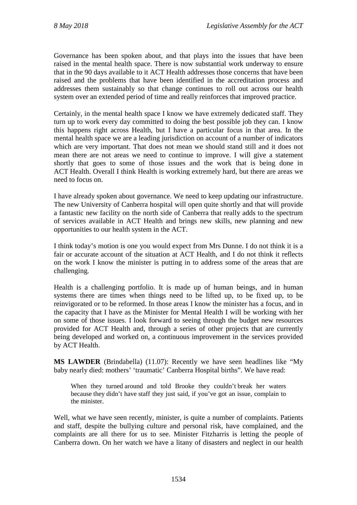Governance has been spoken about, and that plays into the issues that have been raised in the mental health space. There is now substantial work underway to ensure that in the 90 days available to it ACT Health addresses those concerns that have been raised and the problems that have been identified in the accreditation process and addresses them sustainably so that change continues to roll out across our health system over an extended period of time and really reinforces that improved practice.

Certainly, in the mental health space I know we have extremely dedicated staff. They turn up to work every day committed to doing the best possible job they can. I know this happens right across Health, but I have a particular focus in that area. In the mental health space we are a leading jurisdiction on account of a number of indicators which are very important. That does not mean we should stand still and it does not mean there are not areas we need to continue to improve. I will give a statement shortly that goes to some of those issues and the work that is being done in ACT Health. Overall I think Health is working extremely hard, but there are areas we need to focus on.

I have already spoken about governance. We need to keep updating our infrastructure. The new University of Canberra hospital will open quite shortly and that will provide a fantastic new facility on the north side of Canberra that really adds to the spectrum of services available in ACT Health and brings new skills, new planning and new opportunities to our health system in the ACT.

I think today's motion is one you would expect from Mrs Dunne. I do not think it is a fair or accurate account of the situation at ACT Health, and I do not think it reflects on the work I know the minister is putting in to address some of the areas that are challenging.

Health is a challenging portfolio. It is made up of human beings, and in human systems there are times when things need to be lifted up, to be fixed up, to be reinvigorated or to be reformed. In those areas I know the minister has a focus, and in the capacity that I have as the Minister for Mental Health I will be working with her on some of those issues. I look forward to seeing through the budget new resources provided for ACT Health and, through a series of other projects that are currently being developed and worked on, a continuous improvement in the services provided by ACT Health.

**MS LAWDER** (Brindabella) (11.07): Recently we have seen headlines like "My baby nearly died: mothers' 'traumatic' Canberra Hospital births". We have read:

When they turned around and told Brooke they couldn't break her waters because they didn't have staff they just said, if you've got an issue, complain to the minister.

Well, what we have seen recently, minister, is quite a number of complaints. Patients and staff, despite the bullying culture and personal risk, have complained, and the complaints are all there for us to see. Minister Fitzharris is letting the people of Canberra down. On her watch we have a litany of disasters and neglect in our health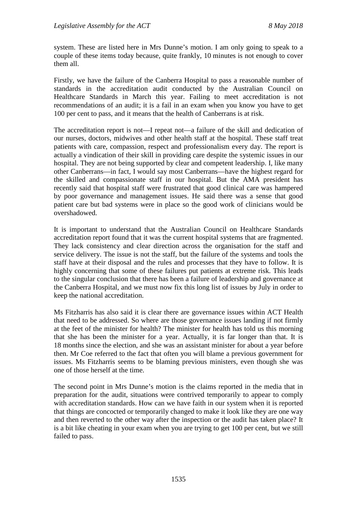system. These are listed here in Mrs Dunne's motion. I am only going to speak to a couple of these items today because, quite frankly, 10 minutes is not enough to cover them all.

Firstly, we have the failure of the Canberra Hospital to pass a reasonable number of standards in the accreditation audit conducted by the Australian Council on Healthcare Standards in March this year. Failing to meet accreditation is not recommendations of an audit; it is a fail in an exam when you know you have to get 100 per cent to pass, and it means that the health of Canberrans is at risk.

The accreditation report is not—I repeat not—a failure of the skill and dedication of our nurses, doctors, midwives and other health staff at the hospital. These staff treat patients with care, compassion, respect and professionalism every day. The report is actually a vindication of their skill in providing care despite the systemic issues in our hospital. They are not being supported by clear and competent leadership. I, like many other Canberrans—in fact, I would say most Canberrans—have the highest regard for the skilled and compassionate staff in our hospital. But the AMA president has recently said that hospital staff were frustrated that good clinical care was hampered by poor governance and management issues. He said there was a sense that good patient care but bad systems were in place so the good work of clinicians would be overshadowed.

It is important to understand that the Australian Council on Healthcare Standards accreditation report found that it was the current hospital systems that are fragmented. They lack consistency and clear direction across the organisation for the staff and service delivery. The issue is not the staff, but the failure of the systems and tools the staff have at their disposal and the rules and processes that they have to follow. It is highly concerning that some of these failures put patients at extreme risk. This leads to the singular conclusion that there has been a failure of leadership and governance at the Canberra Hospital, and we must now fix this long list of issues by July in order to keep the national accreditation.

Ms Fitzharris has also said it is clear there are governance issues within ACT Health that need to be addressed. So where are those governance issues landing if not firmly at the feet of the minister for health? The minister for health has told us this morning that she has been the minister for a year. Actually, it is far longer than that. It is 18 months since the election, and she was an assistant minister for about a year before then. Mr Coe referred to the fact that often you will blame a previous government for issues. Ms Fitzharris seems to be blaming previous ministers, even though she was one of those herself at the time.

The second point in Mrs Dunne's motion is the claims reported in the media that in preparation for the audit, situations were contrived temporarily to appear to comply with accreditation standards. How can we have faith in our system when it is reported that things are concocted or temporarily changed to make it look like they are one way and then reverted to the other way after the inspection or the audit has taken place? It is a bit like cheating in your exam when you are trying to get 100 per cent, but we still failed to pass.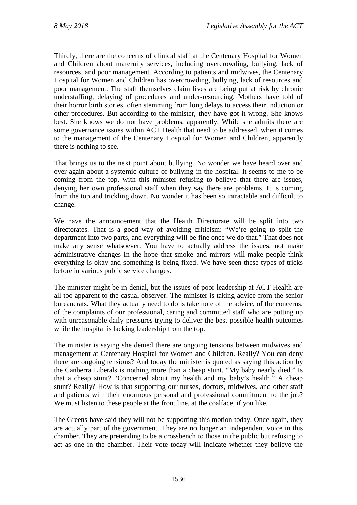Thirdly, there are the concerns of clinical staff at the Centenary Hospital for Women and Children about maternity services, including overcrowding, bullying, lack of resources, and poor management. According to patients and midwives, the Centenary Hospital for Women and Children has overcrowding, bullying, lack of resources and poor management. The staff themselves claim lives are being put at risk by chronic understaffing, delaying of procedures and under-resourcing. Mothers have told of their horror birth stories, often stemming from long delays to access their induction or other procedures. But according to the minister, they have got it wrong. She knows best. She knows we do not have problems, apparently. While she admits there are some governance issues within ACT Health that need to be addressed, when it comes to the management of the Centenary Hospital for Women and Children, apparently there is nothing to see.

That brings us to the next point about bullying. No wonder we have heard over and over again about a systemic culture of bullying in the hospital. It seems to me to be coming from the top, with this minister refusing to believe that there are issues, denying her own professional staff when they say there are problems. It is coming from the top and trickling down. No wonder it has been so intractable and difficult to change.

We have the announcement that the Health Directorate will be split into two directorates. That is a good way of avoiding criticism: "We're going to split the department into two parts, and everything will be fine once we do that." That does not make any sense whatsoever. You have to actually address the issues, not make administrative changes in the hope that smoke and mirrors will make people think everything is okay and something is being fixed. We have seen these types of tricks before in various public service changes.

The minister might be in denial, but the issues of poor leadership at ACT Health are all too apparent to the casual observer. The minister is taking advice from the senior bureaucrats. What they actually need to do is take note of the advice, of the concerns, of the complaints of our professional, caring and committed staff who are putting up with unreasonable daily pressures trying to deliver the best possible health outcomes while the hospital is lacking leadership from the top.

The minister is saying she denied there are ongoing tensions between midwives and management at Centenary Hospital for Women and Children. Really? You can deny there are ongoing tensions? And today the minister is quoted as saying this action by the Canberra Liberals is nothing more than a cheap stunt. "My baby nearly died." Is that a cheap stunt? "Concerned about my health and my baby's health." A cheap stunt? Really? How is that supporting our nurses, doctors, midwives, and other staff and patients with their enormous personal and professional commitment to the job? We must listen to these people at the front line, at the coalface, if you like.

The Greens have said they will not be supporting this motion today. Once again, they are actually part of the government. They are no longer an independent voice in this chamber. They are pretending to be a crossbench to those in the public but refusing to act as one in the chamber. Their vote today will indicate whether they believe the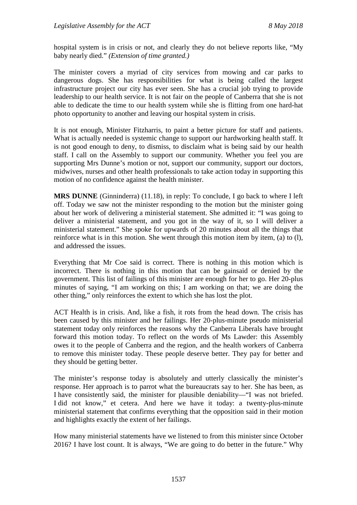hospital system is in crisis or not, and clearly they do not believe reports like, "My baby nearly died." *(Extension of time granted.)* 

The minister covers a myriad of city services from mowing and car parks to dangerous dogs. She has responsibilities for what is being called the largest infrastructure project our city has ever seen. She has a crucial job trying to provide leadership to our health service. It is not fair on the people of Canberra that she is not able to dedicate the time to our health system while she is flitting from one hard-hat photo opportunity to another and leaving our hospital system in crisis.

It is not enough, Minister Fitzharris, to paint a better picture for staff and patients. What is actually needed is systemic change to support our hardworking health staff. It is not good enough to deny, to dismiss, to disclaim what is being said by our health staff. I call on the Assembly to support our community. Whether you feel you are supporting Mrs Dunne's motion or not, support our community, support our doctors, midwives, nurses and other health professionals to take action today in supporting this motion of no confidence against the health minister.

**MRS DUNNE** (Ginninderra) (11.18), in reply: To conclude, I go back to where I left off. Today we saw not the minister responding to the motion but the minister going about her work of delivering a ministerial statement. She admitted it: "I was going to deliver a ministerial statement, and you got in the way of it, so I will deliver a ministerial statement." She spoke for upwards of 20 minutes about all the things that reinforce what is in this motion. She went through this motion item by item, (a) to (l), and addressed the issues.

Everything that Mr Coe said is correct. There is nothing in this motion which is incorrect. There is nothing in this motion that can be gainsaid or denied by the government. This list of failings of this minister are enough for her to go. Her 20-plus minutes of saying, "I am working on this; I am working on that; we are doing the other thing," only reinforces the extent to which she has lost the plot.

ACT Health is in crisis. And, like a fish, it rots from the head down. The crisis has been caused by this minister and her failings. Her 20-plus-minute pseudo ministerial statement today only reinforces the reasons why the Canberra Liberals have brought forward this motion today. To reflect on the words of Ms Lawder: this Assembly owes it to the people of Canberra and the region, and the health workers of Canberra to remove this minister today. These people deserve better. They pay for better and they should be getting better.

The minister's response today is absolutely and utterly classically the minister's response. Her approach is to parrot what the bureaucrats say to her. She has been, as I have consistently said, the minister for plausible deniability—"I was not briefed. I did not know," et cetera. And here we have it today: a twenty-plus-minute ministerial statement that confirms everything that the opposition said in their motion and highlights exactly the extent of her failings.

How many ministerial statements have we listened to from this minister since October 2016? I have lost count. It is always, "We are going to do better in the future." Why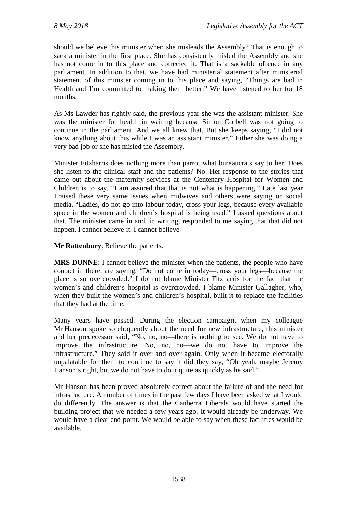should we believe this minister when she misleads the Assembly? That is enough to sack a minister in the first place. She has consistently misled the Assembly and she has not come in to this place and corrected it. That is a sackable offence in any parliament. In addition to that, we have had ministerial statement after ministerial statement of this minister coming in to this place and saying, "Things are bad in Health and I'm committed to making them better." We have listened to her for 18 months.

As Ms Lawder has rightly said, the previous year she was the assistant minister. She was the minister for health in waiting because Simon Corbell was not going to continue in the parliament. And we all knew that. But she keeps saying, "I did not know anything about this while I was an assistant minister." Either she was doing a very bad job or she has misled the Assembly.

Minister Fitzharris does nothing more than parrot what bureaucrats say to her. Does she listen to the clinical staff and the patients? No. Her response to the stories that came out about the maternity services at the Centenary Hospital for Women and Children is to say, "I am assured that that is not what is happening." Late last year I raised these very same issues when midwives and others were saying on social media, "Ladies, do not go into labour today, cross your legs, because every available space in the women and children's hospital is being used." I asked questions about that. The minister came in and, in writing, responded to me saying that that did not happen. I cannot believe it. I cannot believe—

**Mr Rattenbury**: Believe the patients.

**MRS DUNNE**: I cannot believe the minister when the patients, the people who have contact in there, are saying, "Do not come in today—cross your legs—because the place is so overcrowded." I do not blame Minister Fitzharris for the fact that the women's and children's hospital is overcrowded. I blame Minister Gallagher, who, when they built the women's and children's hospital, built it to replace the facilities that they had at the time.

Many years have passed. During the election campaign, when my colleague Mr Hanson spoke so eloquently about the need for new infrastructure, this minister and her predecessor said, "No, no, no—there is nothing to see. We do not have to improve the infrastructure. No, no, no—we do not have to improve the infrastructure." They said it over and over again. Only when it became electorally unpalatable for them to continue to say it did they say, "Oh yeah, maybe Jeremy Hanson's right, but we do not have to do it quite as quickly as he said."

Mr Hanson has been proved absolutely correct about the failure of and the need for infrastructure. A number of times in the past few days I have been asked what I would do differently. The answer is that the Canberra Liberals would have started the building project that we needed a few years ago. It would already be underway. We would have a clear end point. We would be able to say when these facilities would be available.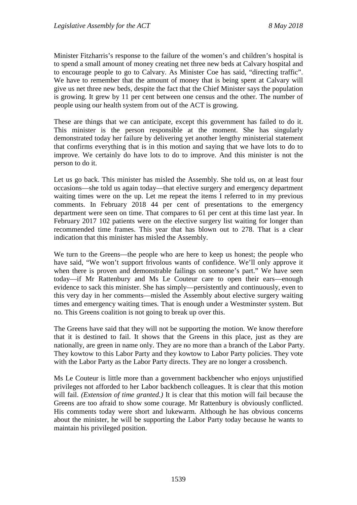Minister Fitzharris's response to the failure of the women's and children's hospital is to spend a small amount of money creating net three new beds at Calvary hospital and to encourage people to go to Calvary. As Minister Coe has said, "directing traffic". We have to remember that the amount of money that is being spent at Calvary will give us net three new beds, despite the fact that the Chief Minister says the population is growing. It grew by 11 per cent between one census and the other. The number of people using our health system from out of the ACT is growing.

These are things that we can anticipate, except this government has failed to do it. This minister is the person responsible at the moment. She has singularly demonstrated today her failure by delivering yet another lengthy ministerial statement that confirms everything that is in this motion and saying that we have lots to do to improve. We certainly do have lots to do to improve. And this minister is not the person to do it.

Let us go back. This minister has misled the Assembly. She told us, on at least four occasions—she told us again today—that elective surgery and emergency department waiting times were on the up. Let me repeat the items I referred to in my previous comments. In February 2018 44 per cent of presentations to the emergency department were seen on time. That compares to 61 per cent at this time last year. In February 2017 102 patients were on the elective surgery list waiting for longer than recommended time frames. This year that has blown out to 278. That is a clear indication that this minister has misled the Assembly.

We turn to the Greens—the people who are here to keep us honest; the people who have said, "We won't support frivolous wants of confidence. We'll only approve it when there is proven and demonstrable failings on someone's part." We have seen today—if Mr Rattenbury and Ms Le Couteur care to open their ears—enough evidence to sack this minister. She has simply—persistently and continuously, even to this very day in her comments—misled the Assembly about elective surgery waiting times and emergency waiting times. That is enough under a Westminster system. But no. This Greens coalition is not going to break up over this.

The Greens have said that they will not be supporting the motion. We know therefore that it is destined to fail. It shows that the Greens in this place, just as they are nationally, are green in name only. They are no more than a branch of the Labor Party. They kowtow to this Labor Party and they kowtow to Labor Party policies. They vote with the Labor Party as the Labor Party directs. They are no longer a crossbench.

Ms Le Couteur is little more than a government backbencher who enjoys unjustified privileges not afforded to her Labor backbench colleagues. It is clear that this motion will fail. *(Extension of time granted.)* It is clear that this motion will fail because the Greens are too afraid to show some courage. Mr Rattenbury is obviously conflicted. His comments today were short and lukewarm. Although he has obvious concerns about the minister, he will be supporting the Labor Party today because he wants to maintain his privileged position.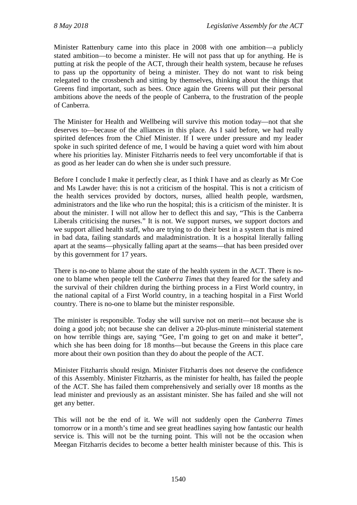Minister Rattenbury came into this place in 2008 with one ambition—a publicly stated ambition—to become a minister. He will not pass that up for anything. He is putting at risk the people of the ACT, through their health system, because he refuses to pass up the opportunity of being a minister. They do not want to risk being relegated to the crossbench and sitting by themselves, thinking about the things that Greens find important, such as bees. Once again the Greens will put their personal ambitions above the needs of the people of Canberra, to the frustration of the people of Canberra.

The Minister for Health and Wellbeing will survive this motion today—not that she deserves to—because of the alliances in this place. As I said before, we had really spirited defences from the Chief Minister. If I were under pressure and my leader spoke in such spirited defence of me, I would be having a quiet word with him about where his priorities lay. Minister Fitzharris needs to feel very uncomfortable if that is as good as her leader can do when she is under such pressure.

Before I conclude I make it perfectly clear, as I think I have and as clearly as Mr Coe and Ms Lawder have: this is not a criticism of the hospital. This is not a criticism of the health services provided by doctors, nurses, allied health people, wardsmen, administrators and the like who run the hospital; this is a criticism of the minister. It is about the minister. I will not allow her to deflect this and say, "This is the Canberra Liberals criticising the nurses." It is not. We support nurses, we support doctors and we support allied health staff, who are trying to do their best in a system that is mired in bad data, failing standards and maladministration. It is a hospital literally falling apart at the seams—physically falling apart at the seams—that has been presided over by this government for 17 years.

There is no-one to blame about the state of the health system in the ACT. There is noone to blame when people tell the *Canberra Times* that they feared for the safety and the survival of their children during the birthing process in a First World country, in the national capital of a First World country, in a teaching hospital in a First World country. There is no-one to blame but the minister responsible.

The minister is responsible. Today she will survive not on merit—not because she is doing a good job; not because she can deliver a 20-plus-minute ministerial statement on how terrible things are, saying "Gee, I'm going to get on and make it better", which she has been doing for 18 months—but because the Greens in this place care more about their own position than they do about the people of the ACT.

Minister Fitzharris should resign. Minister Fitzharris does not deserve the confidence of this Assembly. Minister Fitzharris, as the minister for health, has failed the people of the ACT. She has failed them comprehensively and serially over 18 months as the lead minister and previously as an assistant minister. She has failed and she will not get any better.

This will not be the end of it. We will not suddenly open the *Canberra Times* tomorrow or in a month's time and see great headlines saying how fantastic our health service is. This will not be the turning point. This will not be the occasion when Meegan Fitzharris decides to become a better health minister because of this. This is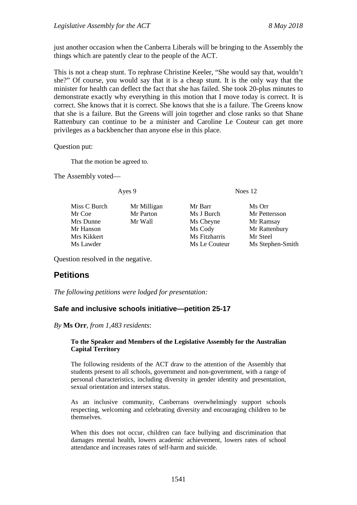just another occasion when the Canberra Liberals will be bringing to the Assembly the things which are patently clear to the people of the ACT.

This is not a cheap stunt. To rephrase Christine Keeler, "She would say that, wouldn't she?" Of course, you would say that it is a cheap stunt. It is the only way that the minister for health can deflect the fact that she has failed. She took 20-plus minutes to demonstrate exactly why everything in this motion that I move today is correct. It is correct. She knows that it is correct. She knows that she is a failure. The Greens know that she is a failure. But the Greens will join together and close ranks so that Shane Rattenbury can continue to be a minister and Caroline Le Couteur can get more privileges as a backbencher than anyone else in this place.

Question put:

That the motion be agreed to.

The Assembly voted—

Miss C Burch Mr Milligan Mr Barr Ms Orr Mr Coe Mr Parton Ms J Burch Mr Pettersson<br>
Mr Dunne Mr Wall Ms Chevne Mr Ramsay Mr Hanson Ms Cody Mr Rattenbury<br>
Mr Kikkert Mr Steel<br>
Mr Steel<br>
Mr Steel Ms Lawder Ms Le Couteur Ms Stephen-Smith

Ayes 9 Noes 12

Ms Cheyne Mr Ramsay Ms Fitzharris Mr Steel

Question resolved in the negative.

# <span id="page-28-0"></span>**Petitions**

*The following petitions were lodged for presentation:*

# <span id="page-28-1"></span>**Safe and inclusive schools initiative—petition 25-17**

*By* **Ms Orr**, *from 1,483 residents*:

#### **To the Speaker and Members of the Legislative Assembly for the Australian Capital Territory**

The following residents of the ACT draw to the attention of the Assembly that students present to all schools, government and non-government, with a range of personal characteristics, including diversity in gender identity and presentation, sexual orientation and intersex status.

As an inclusive community, Canberrans overwhelmingly support schools respecting, welcoming and celebrating diversity and encouraging children to be themselves.

When this does not occur, children can face bullying and discrimination that damages mental health, lowers academic achievement, lowers rates of school attendance and increases rates of self-harm and suicide.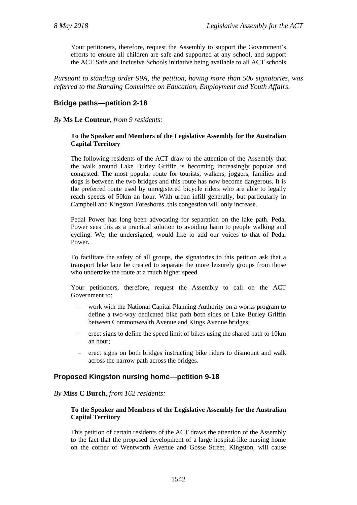Your petitioners, therefore, request the Assembly to support the Government's efforts to ensure all children are safe and supported at any school, and support the ACT Safe and Inclusive Schools initiative being available to all ACT schools.

*Pursuant to standing order 99A, the petition, having more than 500 signatories, was referred to the Standing Committee on Education, Employment and Youth Affairs.*

# <span id="page-29-0"></span>**Bridge paths—petition 2-18**

*By* **Ms Le Couteur**, *from 9 residents:*

#### **To the Speaker and Members of the Legislative Assembly for the Australian Capital Territory**

The following residents of the ACT draw to the attention of the Assembly that the walk around Lake Burley Griffin is becoming increasingly popular and congested. The most popular route for tourists, walkers, joggers, families and dogs is between the two bridges and this route has now become dangerous. It is the preferred route used by unregistered bicycle riders who are able to legally reach speeds of 50km an hour. With urban infill generally, but particularly in Campbell and Kingston Foreshores, this congestion will only increase.

Pedal Power has long been advocating for separation on the lake path. Pedal Power sees this as a practical solution to avoiding harm to people walking and cycling. We, the undersigned, would like to add our voices to that of Pedal Power.

To facilitate the safety of all groups, the signatories to this petition ask that a transport bike lane be created to separate the more leisurely groups from those who undertake the route at a much higher speed.

Your petitioners, therefore, request the Assembly to call on the ACT Government to:

- work with the National Capital Planning Authority on a works program to define a two-way dedicated bike path both sides of Lake Burley Griffin between Commonwealth Avenue and Kings Avenue bridges;
- − erect signs to define the speed limit of bikes using the shared path to 10km an hour;
- − erect signs on both bridges instructing bike riders to dismount and walk across the narrow path across the bridges.

# <span id="page-29-1"></span>**Proposed Kingston nursing home—petition 9-18**

#### *By* **Miss C Burch**, *from 162 residents:*

#### **To the Speaker and Members of the Legislative Assembly for the Australian Capital Territory**

This petition of certain residents of the ACT draws the attention of the Assembly to the fact that the proposed development of a large hospital-like nursing home on the corner of Wentworth Avenue and Gosse Street, Kingston, will cause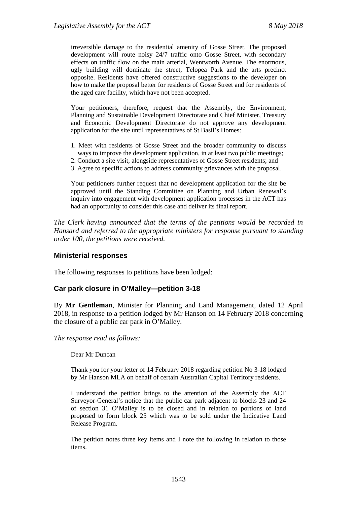irreversible damage to the residential amenity of Gosse Street. The proposed development will route noisy 24/7 traffic onto Gosse Street, with secondary effects on traffic flow on the main arterial, Wentworth Avenue. The enormous, ugly building will dominate the street, Telopea Park and the arts precinct opposite. Residents have offered constructive suggestions to the developer on how to make the proposal better for residents of Gosse Street and for residents of the aged care facility, which have not been accepted.

Your petitioners, therefore, request that the Assembly, the Environment, Planning and Sustainable Development Directorate and Chief Minister, Treasury and Economic Development Directorate do not approve any development application for the site until representatives of St Basil's Homes:

- 1. Meet with residents of Gosse Street and the broader community to discuss
- ways to improve the development application, in at least two public meetings;
- 2. Conduct a site visit, alongside representatives of Gosse Street residents; and
- 3. Agree to specific actions to address community grievances with the proposal.

Your petitioners further request that no development application for the site be approved until the Standing Committee on Planning and Urban Renewal's inquiry into engagement with development application processes in the ACT has had an opportunity to consider this case and deliver its final report.

*The Clerk having announced that the terms of the petitions would be recorded in Hansard and referred to the appropriate ministers for response pursuant to standing order 100, the petitions were received.*

# <span id="page-30-0"></span>**Ministerial responses**

The following responses to petitions have been lodged:

# <span id="page-30-1"></span>**Car park closure in O'Malley—petition 3-18**

By **Mr Gentleman**, Minister for Planning and Land Management, dated 12 April 2018, in response to a petition lodged by Mr Hanson on 14 February 2018 concerning the closure of a public car park in O'Malley.

*The response read as follows:*

Dear Mr Duncan

Thank you for your letter of 14 February 2018 regarding petition No 3-18 lodged by Mr Hanson MLA on behalf of certain Australian Capital Territory residents.

I understand the petition brings to the attention of the Assembly the ACT Surveyor-General's notice that the public car park adjacent to blocks 23 and 24 of section 31 O'Malley is to be closed and in relation to portions of land proposed to form block 25 which was to be sold under the Indicative Land Release Program.

The petition notes three key items and I note the following in relation to those items.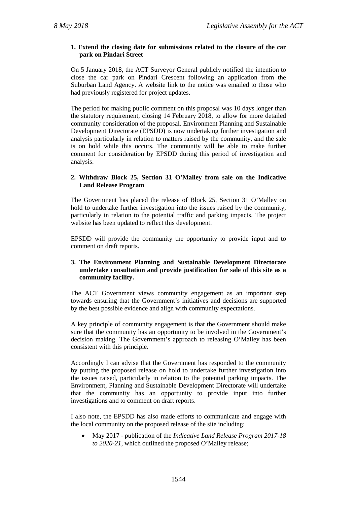#### **1. Extend the closing date for submissions related to the closure of the car park on Pindari Street**

On 5 January 2018, the ACT Surveyor General publicly notified the intention to close the car park on Pindari Crescent following an application from the Suburban Land Agency. A website link to the notice was emailed to those who had previously registered for project updates.

The period for making public comment on this proposal was 10 days longer than the statutory requirement, closing 14 February 2018, to allow for more detailed community consideration of the proposal. Environment Planning and Sustainable Development Directorate (EPSDD) is now undertaking further investigation and analysis particularly in relation to matters raised by the community, and the sale is on hold while this occurs. The community will be able to make further comment for consideration by EPSDD during this period of investigation and analysis.

#### **2. Withdraw Block 25, Section 31 O'Malley from sale on the Indicative Land Release Program**

The Government has placed the release of Block 25, Section 31 O'Malley on hold to undertake further investigation into the issues raised by the community, particularly in relation to the potential traffic and parking impacts. The project website has been updated to reflect this development.

EPSDD will provide the community the opportunity to provide input and to comment on draft reports.

#### **3. The Environment Planning and Sustainable Development Directorate undertake consultation and provide justification for sale of this site as a community facility.**

The ACT Government views community engagement as an important step towards ensuring that the Government's initiatives and decisions are supported by the best possible evidence and align with community expectations.

A key principle of community engagement is that the Government should make sure that the community has an opportunity to be involved in the Government's decision making. The Government's approach to releasing O'Malley has been consistent with this principle.

Accordingly I can advise that the Government has responded to the community by putting the proposed release on hold to undertake further investigation into the issues raised, particularly in relation to the potential parking impacts. The Environment, Planning and Sustainable Development Directorate will undertake that the community has an opportunity to provide input into further investigations and to comment on draft reports.

I also note, the EPSDD has also made efforts to communicate and engage with the local community on the proposed release of the site including:

• May 2017 - publication of the *Indicative Land Release Program 2017-18 to 2020-21*, which outlined the proposed O'Malley release;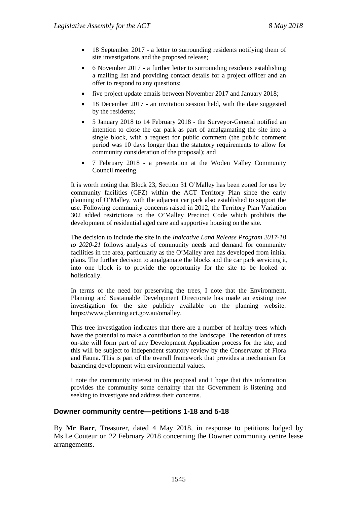- 18 September 2017 a letter to surrounding residents notifying them of site investigations and the proposed release;
- 6 November 2017 a further letter to surrounding residents establishing a mailing list and providing contact details for a project officer and an offer to respond to any questions;
- five project update emails between November 2017 and January 2018;
- 18 December 2017 an invitation session held, with the date suggested by the residents;
- 5 January 2018 to 14 February 2018 the Surveyor-General notified an intention to close the car park as part of amalgamating the site into a single block, with a request for public comment (the public comment period was 10 days longer than the statutory requirements to allow for community consideration of the proposal); and
- 7 February 2018 a presentation at the Woden Valley Community Council meeting.

It is worth noting that Block 23, Section 31 O'Malley has been zoned for use by community facilities (CFZ) within the ACT Territory Plan since the early planning of O'Malley, with the adjacent car park also established to support the use. Following community concerns raised in 2012, the Territory Plan Variation 302 added restrictions to the O'Malley Precinct Code which prohibits the development of residential aged care and supportive housing on the site.

The decision to include the site in the *Indicative Land Release Program 2017-18 to 2020-21* follows analysis of community needs and demand for community facilities in the area, particularly as the O'Malley area has developed from initial plans. The further decision to amalgamate the blocks and the car park servicing it, into one block is to provide the opportunity for the site to be looked at holistically.

In terms of the need for preserving the trees, I note that the Environment, Planning and Sustainable Development Directorate has made an existing tree investigation for the site publicly available on the planning website: https://www.planning.act.gov.au/omalley.

This tree investigation indicates that there are a number of healthy trees which have the potential to make a contribution to the landscape. The retention of trees on-site will form part of any Development Application process for the site, and this will be subject to independent statutory review by the Conservator of Flora and Fauna. This is part of the overall framework that provides a mechanism for balancing development with environmental values.

I note the community interest in this proposal and I hope that this information provides the community some certainty that the Government is listening and seeking to investigate and address their concerns.

# <span id="page-32-0"></span>**Downer community centre—petitions 1-18 and 5-18**

By **Mr Barr**, Treasurer, dated 4 May 2018, in response to petitions lodged by Ms Le Couteur on 22 February 2018 concerning the Downer community centre lease arrangements.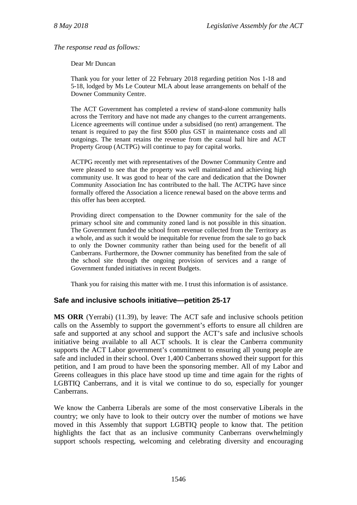*The response read as follows:*

Dear Mr Duncan

Thank you for your letter of 22 February 2018 regarding petition Nos 1-18 and 5-18, lodged by Ms Le Couteur MLA about lease arrangements on behalf of the Downer Community Centre.

The ACT Government has completed a review of stand-alone community halls across the Territory and have not made any changes to the current arrangements. Licence agreements will continue under a subsidised (no rent) arrangement. The tenant is required to pay the first \$500 plus GST in maintenance costs and all outgoings. The tenant retains the revenue from the casual hall hire and ACT Property Group (ACTPG) will continue to pay for capital works.

ACTPG recently met with representatives of the Downer Community Centre and were pleased to see that the property was well maintained and achieving high community use. It was good to hear of the care and dedication that the Downer Community Association Inc has contributed to the hall. The ACTPG have since formally offered the Association a licence renewal based on the above terms and this offer has been accepted.

Providing direct compensation to the Downer community for the sale of the primary school site and community zoned land is not possible in this situation. The Government funded the school from revenue collected from the Territory as a whole, and as such it would be inequitable for revenue from the sale to go back to only the Downer community rather than being used for the benefit of all Canberrans. Furthermore, the Downer community has benefited from the sale of the school site through the ongoing provision of services and a range of Government funded initiatives in recent Budgets.

Thank you for raising this matter with me. I trust this information is of assistance.

# <span id="page-33-0"></span>**Safe and inclusive schools initiative—petition 25-17**

**MS ORR** (Yerrabi) (11.39), by leave: The ACT safe and inclusive schools petition calls on the Assembly to support the government's efforts to ensure all children are safe and supported at any school and support the ACT's safe and inclusive schools initiative being available to all ACT schools. It is clear the Canberra community supports the ACT Labor government's commitment to ensuring all young people are safe and included in their school. Over 1,400 Canberrans showed their support for this petition, and I am proud to have been the sponsoring member. All of my Labor and Greens colleagues in this place have stood up time and time again for the rights of LGBTIQ Canberrans, and it is vital we continue to do so, especially for younger Canberrans.

We know the Canberra Liberals are some of the most conservative Liberals in the country; we only have to look to their outcry over the number of motions we have moved in this Assembly that support LGBTIQ people to know that. The petition highlights the fact that as an inclusive community Canberrans overwhelmingly support schools respecting, welcoming and celebrating diversity and encouraging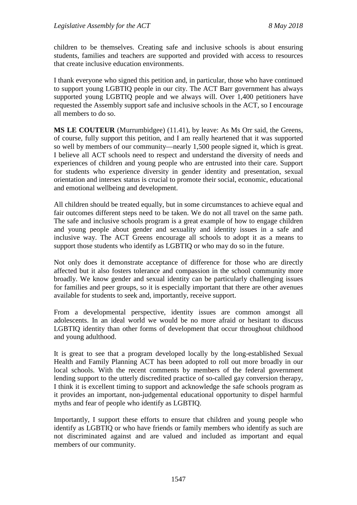children to be themselves. Creating safe and inclusive schools is about ensuring students, families and teachers are supported and provided with access to resources that create inclusive education environments.

I thank everyone who signed this petition and, in particular, those who have continued to support young LGBTIQ people in our city. The ACT Barr government has always supported young LGBTIQ people and we always will. Over 1,400 petitioners have requested the Assembly support safe and inclusive schools in the ACT, so I encourage all members to do so.

**MS LE COUTEUR** (Murrumbidgee) (11.41), by leave: As Ms Orr said, the Greens, of course, fully support this petition, and I am really heartened that it was supported so well by members of our community—nearly 1,500 people signed it, which is great. I believe all ACT schools need to respect and understand the diversity of needs and experiences of children and young people who are entrusted into their care. Support for students who experience diversity in gender identity and presentation, sexual orientation and intersex status is crucial to promote their social, economic, educational and emotional wellbeing and development.

All children should be treated equally, but in some circumstances to achieve equal and fair outcomes different steps need to be taken. We do not all travel on the same path. The safe and inclusive schools program is a great example of how to engage children and young people about gender and sexuality and identity issues in a safe and inclusive way. The ACT Greens encourage all schools to adopt it as a means to support those students who identify as LGBTIQ or who may do so in the future.

Not only does it demonstrate acceptance of difference for those who are directly affected but it also fosters tolerance and compassion in the school community more broadly. We know gender and sexual identity can be particularly challenging issues for families and peer groups, so it is especially important that there are other avenues available for students to seek and, importantly, receive support.

From a developmental perspective, identity issues are common amongst all adolescents. In an ideal world we would be no more afraid or hesitant to discuss LGBTIQ identity than other forms of development that occur throughout childhood and young adulthood.

It is great to see that a program developed locally by the long-established Sexual Health and Family Planning ACT has been adopted to roll out more broadly in our local schools. With the recent comments by members of the federal government lending support to the utterly discredited practice of so-called gay conversion therapy, I think it is excellent timing to support and acknowledge the safe schools program as it provides an important, non-judgemental educational opportunity to dispel harmful myths and fear of people who identify as LGBTIQ.

Importantly, I support these efforts to ensure that children and young people who identify as LGBTIQ or who have friends or family members who identify as such are not discriminated against and are valued and included as important and equal members of our community.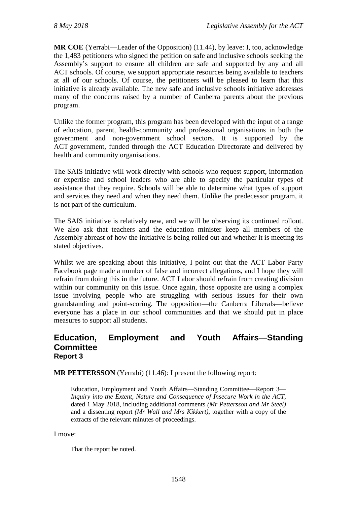**MR COE** (Yerrabi—Leader of the Opposition) (11.44), by leave: I, too, acknowledge the 1,483 petitioners who signed the petition on safe and inclusive schools seeking the Assembly's support to ensure all children are safe and supported by any and all ACT schools. Of course, we support appropriate resources being available to teachers at all of our schools. Of course, the petitioners will be pleased to learn that this initiative is already available. The new safe and inclusive schools initiative addresses many of the concerns raised by a number of Canberra parents about the previous program.

Unlike the former program, this program has been developed with the input of a range of education, parent, health-community and professional organisations in both the government and non-government school sectors. It is supported by the ACT government, funded through the ACT Education Directorate and delivered by health and community organisations.

The SAIS initiative will work directly with schools who request support, information or expertise and school leaders who are able to specify the particular types of assistance that they require. Schools will be able to determine what types of support and services they need and when they need them. Unlike the predecessor program, it is not part of the curriculum.

The SAIS initiative is relatively new, and we will be observing its continued rollout. We also ask that teachers and the education minister keep all members of the Assembly abreast of how the initiative is being rolled out and whether it is meeting its stated objectives.

Whilst we are speaking about this initiative, I point out that the ACT Labor Party Facebook page made a number of false and incorrect allegations, and I hope they will refrain from doing this in the future. ACT Labor should refrain from creating division within our community on this issue. Once again, those opposite are using a complex issue involving people who are struggling with serious issues for their own grandstanding and point-scoring. The opposition—the Canberra Liberals—believe everyone has a place in our school communities and that we should put in place measures to support all students.

# <span id="page-35-0"></span>**Education, Employment and Youth Affairs—Standing Committee Report 3**

**MR PETTERSSON** (Yerrabi) (11.46): I present the following report:

Education, Employment and Youth Affairs—Standing Committee—Report 3— *Inquiry into the Extent, Nature and Consequence of Insecure Work in the ACT*, dated 1 May 2018, including additional comments *(Mr Pettersson and Mr Steel)* and a dissenting report *(Mr Wall and Mrs Kikkert)*, together with a copy of the extracts of the relevant minutes of proceedings.

I move:

That the report be noted.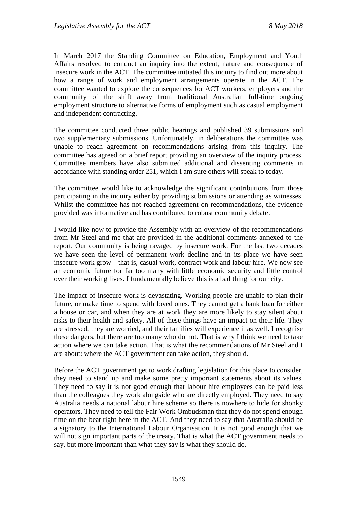In March 2017 the Standing Committee on Education, Employment and Youth Affairs resolved to conduct an inquiry into the extent, nature and consequence of insecure work in the ACT. The committee initiated this inquiry to find out more about how a range of work and employment arrangements operate in the ACT. The committee wanted to explore the consequences for ACT workers, employers and the community of the shift away from traditional Australian full-time ongoing employment structure to alternative forms of employment such as casual employment and independent contracting.

The committee conducted three public hearings and published 39 submissions and two supplementary submissions. Unfortunately, in deliberations the committee was unable to reach agreement on recommendations arising from this inquiry. The committee has agreed on a brief report providing an overview of the inquiry process. Committee members have also submitted additional and dissenting comments in accordance with standing order 251, which I am sure others will speak to today.

The committee would like to acknowledge the significant contributions from those participating in the inquiry either by providing submissions or attending as witnesses. Whilst the committee has not reached agreement on recommendations, the evidence provided was informative and has contributed to robust community debate.

I would like now to provide the Assembly with an overview of the recommendations from Mr Steel and me that are provided in the additional comments annexed to the report. Our community is being ravaged by insecure work. For the last two decades we have seen the level of permanent work decline and in its place we have seen insecure work grow—that is, casual work, contract work and labour hire. We now see an economic future for far too many with little economic security and little control over their working lives. I fundamentally believe this is a bad thing for our city.

The impact of insecure work is devastating. Working people are unable to plan their future, or make time to spend with loved ones. They cannot get a bank loan for either a house or car, and when they are at work they are more likely to stay silent about risks to their health and safety. All of these things have an impact on their life. They are stressed, they are worried, and their families will experience it as well. I recognise these dangers, but there are too many who do not. That is why I think we need to take action where we can take action. That is what the recommendations of Mr Steel and I are about: where the ACT government can take action, they should.

Before the ACT government get to work drafting legislation for this place to consider, they need to stand up and make some pretty important statements about its values. They need to say it is not good enough that labour hire employees can be paid less than the colleagues they work alongside who are directly employed. They need to say Australia needs a national labour hire scheme so there is nowhere to hide for shonky operators. They need to tell the Fair Work Ombudsman that they do not spend enough time on the beat right here in the ACT. And they need to say that Australia should be a signatory to the International Labour Organisation. It is not good enough that we will not sign important parts of the treaty. That is what the ACT government needs to say, but more important than what they say is what they should do.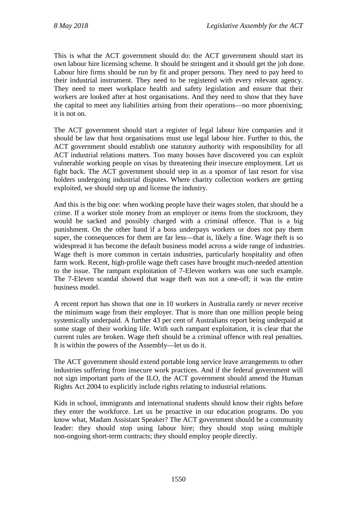This is what the ACT government should do: the ACT government should start its own labour hire licensing scheme. It should be stringent and it should get the job done. Labour hire firms should be run by fit and proper persons. They need to pay heed to their industrial instrument. They need to be registered with every relevant agency. They need to meet workplace health and safety legislation and ensure that their workers are looked after at host organisations. And they need to show that they have the capital to meet any liabilities arising from their operations—no more phoenixing; it is not on.

The ACT government should start a register of legal labour hire companies and it should be law that host organisations must use legal labour hire. Further to this, the ACT government should establish one statutory authority with responsibility for all ACT industrial relations matters. Too many bosses have discovered you can exploit vulnerable working people on visas by threatening their insecure employment. Let us fight back. The ACT government should step in as a sponsor of last resort for visa holders undergoing industrial disputes. Where charity collection workers are getting exploited, we should step up and license the industry.

And this is the big one: when working people have their wages stolen, that should be a crime. If a worker stole money from an employer or items from the stockroom, they would be sacked and possibly charged with a criminal offence. That is a big punishment. On the other hand if a boss underpays workers or does not pay them super, the consequences for them are far less—that is, likely a fine. Wage theft is so widespread it has become the default business model across a wide range of industries. Wage theft is more common in certain industries, particularly hospitality and often farm work. Recent, high-profile wage theft cases have brought much-needed attention to the issue. The rampant exploitation of 7-Eleven workers was one such example. The 7-Eleven scandal showed that wage theft was not a one-off; it was the entire business model.

A recent report has shown that one in 10 workers in Australia rarely or never receive the minimum wage from their employer. That is more than one million people being systemically underpaid. A further 43 per cent of Australians report being underpaid at some stage of their working life. With such rampant exploitation, it is clear that the current rules are broken. Wage theft should be a criminal offence with real penalties. It is within the powers of the Assembly—let us do it.

The ACT government should extend portable long service leave arrangements to other industries suffering from insecure work practices. And if the federal government will not sign important parts of the ILO, the ACT government should amend the Human Rights Act 2004 to explicitly include rights relating to industrial relations.

Kids in school, immigrants and international students should know their rights before they enter the workforce. Let us be proactive in our education programs. Do you know what, Madam Assistant Speaker? The ACT government should be a community leader: they should stop using labour hire; they should stop using multiple non-ongoing short-term contracts; they should employ people directly.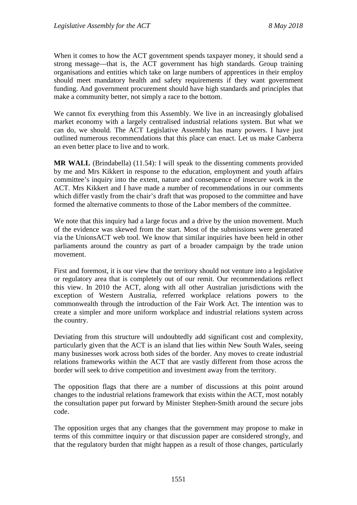When it comes to how the ACT government spends taxpayer money, it should send a strong message—that is, the ACT government has high standards. Group training organisations and entities which take on large numbers of apprentices in their employ should meet mandatory health and safety requirements if they want government funding. And government procurement should have high standards and principles that make a community better, not simply a race to the bottom.

We cannot fix everything from this Assembly. We live in an increasingly globalised market economy with a largely centralised industrial relations system. But what we can do, we should. The ACT Legislative Assembly has many powers. I have just outlined numerous recommendations that this place can enact. Let us make Canberra an even better place to live and to work.

**MR WALL** (Brindabella) (11.54): I will speak to the dissenting comments provided by me and Mrs Kikkert in response to the education, employment and youth affairs committee's inquiry into the extent, nature and consequence of insecure work in the ACT. Mrs Kikkert and I have made a number of recommendations in our comments which differ vastly from the chair's draft that was proposed to the committee and have formed the alternative comments to those of the Labor members of the committee.

We note that this inquiry had a large focus and a drive by the union movement. Much of the evidence was skewed from the start. Most of the submissions were generated via the UnionsACT web tool. We know that similar inquiries have been held in other parliaments around the country as part of a broader campaign by the trade union movement.

First and foremost, it is our view that the territory should not venture into a legislative or regulatory area that is completely out of our remit. Our recommendations reflect this view. In 2010 the ACT, along with all other Australian jurisdictions with the exception of Western Australia, referred workplace relations powers to the commonwealth through the introduction of the Fair Work Act. The intention was to create a simpler and more uniform workplace and industrial relations system across the country.

Deviating from this structure will undoubtedly add significant cost and complexity, particularly given that the ACT is an island that lies within New South Wales, seeing many businesses work across both sides of the border. Any moves to create industrial relations frameworks within the ACT that are vastly different from those across the border will seek to drive competition and investment away from the territory.

The opposition flags that there are a number of discussions at this point around changes to the industrial relations framework that exists within the ACT, most notably the consultation paper put forward by Minister Stephen-Smith around the secure jobs code.

The opposition urges that any changes that the government may propose to make in terms of this committee inquiry or that discussion paper are considered strongly, and that the regulatory burden that might happen as a result of those changes, particularly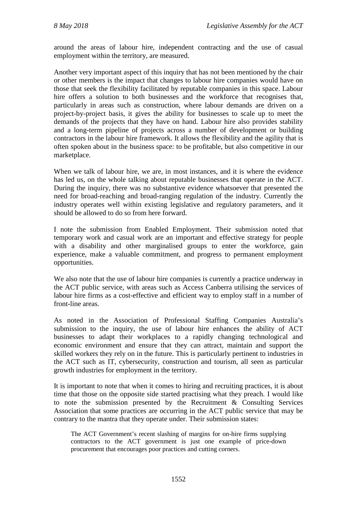around the areas of labour hire, independent contracting and the use of casual employment within the territory, are measured.

Another very important aspect of this inquiry that has not been mentioned by the chair or other members is the impact that changes to labour hire companies would have on those that seek the flexibility facilitated by reputable companies in this space. Labour hire offers a solution to both businesses and the workforce that recognises that, particularly in areas such as construction, where labour demands are driven on a project-by-project basis, it gives the ability for businesses to scale up to meet the demands of the projects that they have on hand. Labour hire also provides stability and a long-term pipeline of projects across a number of development or building contractors in the labour hire framework. It allows the flexibility and the agility that is often spoken about in the business space: to be profitable, but also competitive in our marketplace.

When we talk of labour hire, we are, in most instances, and it is where the evidence has led us, on the whole talking about reputable businesses that operate in the ACT. During the inquiry, there was no substantive evidence whatsoever that presented the need for broad-reaching and broad-ranging regulation of the industry. Currently the industry operates well within existing legislative and regulatory parameters, and it should be allowed to do so from here forward.

I note the submission from Enabled Employment. Their submission noted that temporary work and casual work are an important and effective strategy for people with a disability and other marginalised groups to enter the workforce, gain experience, make a valuable commitment, and progress to permanent employment opportunities.

We also note that the use of labour hire companies is currently a practice underway in the ACT public service, with areas such as Access Canberra utilising the services of labour hire firms as a cost-effective and efficient way to employ staff in a number of front-line areas.

As noted in the Association of Professional Staffing Companies Australia's submission to the inquiry, the use of labour hire enhances the ability of ACT businesses to adapt their workplaces to a rapidly changing technological and economic environment and ensure that they can attract, maintain and support the skilled workers they rely on in the future. This is particularly pertinent to industries in the ACT such as IT, cybersecurity, construction and tourism, all seen as particular growth industries for employment in the territory.

It is important to note that when it comes to hiring and recruiting practices, it is about time that those on the opposite side started practising what they preach. I would like to note the submission presented by the Recruitment & Consulting Services Association that some practices are occurring in the ACT public service that may be contrary to the mantra that they operate under. Their submission states:

The ACT Government's recent slashing of margins for on-hire firms supplying contractors to the ACT government is just one example of price-down procurement that encourages poor practices and cutting corners.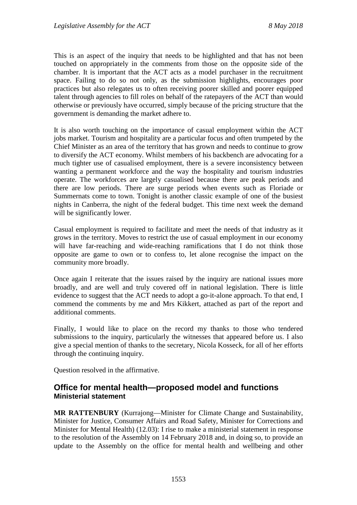This is an aspect of the inquiry that needs to be highlighted and that has not been touched on appropriately in the comments from those on the opposite side of the chamber. It is important that the ACT acts as a model purchaser in the recruitment space. Failing to do so not only, as the submission highlights, encourages poor practices but also relegates us to often receiving poorer skilled and poorer equipped talent through agencies to fill roles on behalf of the ratepayers of the ACT than would otherwise or previously have occurred, simply because of the pricing structure that the government is demanding the market adhere to.

It is also worth touching on the importance of casual employment within the ACT jobs market. Tourism and hospitality are a particular focus and often trumpeted by the Chief Minister as an area of the territory that has grown and needs to continue to grow to diversify the ACT economy. Whilst members of his backbench are advocating for a much tighter use of casualised employment, there is a severe inconsistency between wanting a permanent workforce and the way the hospitality and tourism industries operate. The workforces are largely casualised because there are peak periods and there are low periods. There are surge periods when events such as Floriade or Summernats come to town. Tonight is another classic example of one of the busiest nights in Canberra, the night of the federal budget. This time next week the demand will be significantly lower.

Casual employment is required to facilitate and meet the needs of that industry as it grows in the territory. Moves to restrict the use of casual employment in our economy will have far-reaching and wide-reaching ramifications that I do not think those opposite are game to own or to confess to, let alone recognise the impact on the community more broadly.

Once again I reiterate that the issues raised by the inquiry are national issues more broadly, and are well and truly covered off in national legislation. There is little evidence to suggest that the ACT needs to adopt a go-it-alone approach. To that end, I commend the comments by me and Mrs Kikkert, attached as part of the report and additional comments.

Finally, I would like to place on the record my thanks to those who tendered submissions to the inquiry, particularly the witnesses that appeared before us. I also give a special mention of thanks to the secretary, Nicola Kosseck, for all of her efforts through the continuing inquiry.

Question resolved in the affirmative.

## **Office for mental health—proposed model and functions Ministerial statement**

**MR RATTENBURY** (Kurrajong—Minister for Climate Change and Sustainability, Minister for Justice, Consumer Affairs and Road Safety, Minister for Corrections and Minister for Mental Health) (12.03): I rise to make a ministerial statement in response to the resolution of the Assembly on 14 February 2018 and, in doing so, to provide an update to the Assembly on the office for mental health and wellbeing and other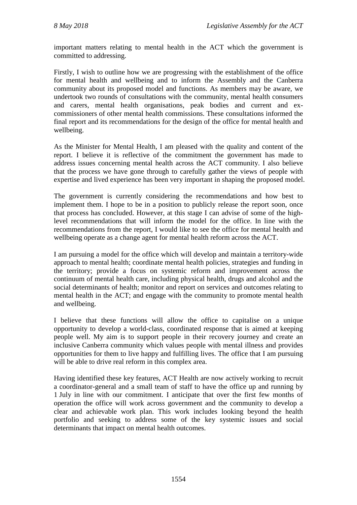important matters relating to mental health in the ACT which the government is committed to addressing.

Firstly, I wish to outline how we are progressing with the establishment of the office for mental health and wellbeing and to inform the Assembly and the Canberra community about its proposed model and functions. As members may be aware, we undertook two rounds of consultations with the community, mental health consumers and carers, mental health organisations, peak bodies and current and excommissioners of other mental health commissions. These consultations informed the final report and its recommendations for the design of the office for mental health and wellbeing.

As the Minister for Mental Health, I am pleased with the quality and content of the report. I believe it is reflective of the commitment the government has made to address issues concerning mental health across the ACT community. I also believe that the process we have gone through to carefully gather the views of people with expertise and lived experience has been very important in shaping the proposed model.

The government is currently considering the recommendations and how best to implement them. I hope to be in a position to publicly release the report soon, once that process has concluded. However, at this stage I can advise of some of the highlevel recommendations that will inform the model for the office. In line with the recommendations from the report, I would like to see the office for mental health and wellbeing operate as a change agent for mental health reform across the ACT.

I am pursuing a model for the office which will develop and maintain a territory-wide approach to mental health; coordinate mental health policies, strategies and funding in the territory; provide a focus on systemic reform and improvement across the continuum of mental health care, including physical health, drugs and alcohol and the social determinants of health; monitor and report on services and outcomes relating to mental health in the ACT; and engage with the community to promote mental health and wellbeing.

I believe that these functions will allow the office to capitalise on a unique opportunity to develop a world-class, coordinated response that is aimed at keeping people well. My aim is to support people in their recovery journey and create an inclusive Canberra community which values people with mental illness and provides opportunities for them to live happy and fulfilling lives. The office that I am pursuing will be able to drive real reform in this complex area.

Having identified these key features, ACT Health are now actively working to recruit a coordinator-general and a small team of staff to have the office up and running by 1 July in line with our commitment. I anticipate that over the first few months of operation the office will work across government and the community to develop a clear and achievable work plan. This work includes looking beyond the health portfolio and seeking to address some of the key systemic issues and social determinants that impact on mental health outcomes.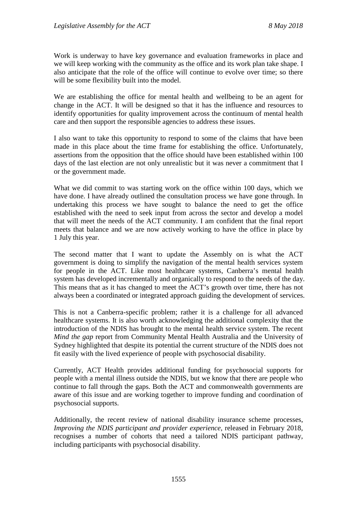Work is underway to have key governance and evaluation frameworks in place and we will keep working with the community as the office and its work plan take shape. I also anticipate that the role of the office will continue to evolve over time; so there will be some flexibility built into the model.

We are establishing the office for mental health and wellbeing to be an agent for change in the ACT. It will be designed so that it has the influence and resources to identify opportunities for quality improvement across the continuum of mental health care and then support the responsible agencies to address these issues.

I also want to take this opportunity to respond to some of the claims that have been made in this place about the time frame for establishing the office. Unfortunately, assertions from the opposition that the office should have been established within 100 days of the last election are not only unrealistic but it was never a commitment that I or the government made.

What we did commit to was starting work on the office within 100 days, which we have done. I have already outlined the consultation process we have gone through. In undertaking this process we have sought to balance the need to get the office established with the need to seek input from across the sector and develop a model that will meet the needs of the ACT community. I am confident that the final report meets that balance and we are now actively working to have the office in place by 1 July this year.

The second matter that I want to update the Assembly on is what the ACT government is doing to simplify the navigation of the mental health services system for people in the ACT. Like most healthcare systems, Canberra's mental health system has developed incrementally and organically to respond to the needs of the day. This means that as it has changed to meet the ACT's growth over time, there has not always been a coordinated or integrated approach guiding the development of services.

This is not a Canberra-specific problem; rather it is a challenge for all advanced healthcare systems. It is also worth acknowledging the additional complexity that the introduction of the NDIS has brought to the mental health service system. The recent *Mind the gap* report from Community Mental Health Australia and the University of Sydney highlighted that despite its potential the current structure of the NDIS does not fit easily with the lived experience of people with psychosocial disability.

Currently, ACT Health provides additional funding for psychosocial supports for people with a mental illness outside the NDIS, but we know that there are people who continue to fall through the gaps. Both the ACT and commonwealth governments are aware of this issue and are working together to improve funding and coordination of psychosocial supports.

Additionally, the recent review of national disability insurance scheme processes, *Improving the NDIS participant and provider experience*, released in February 2018, recognises a number of cohorts that need a tailored NDIS participant pathway, including participants with psychosocial disability.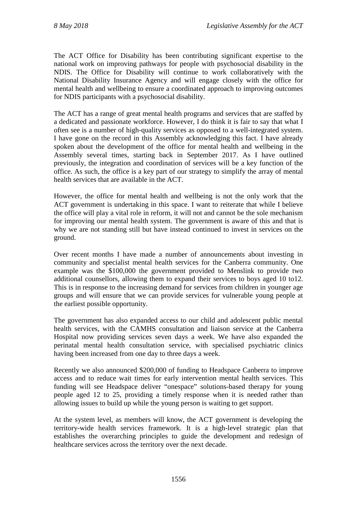The ACT Office for Disability has been contributing significant expertise to the national work on improving pathways for people with psychosocial disability in the NDIS. The Office for Disability will continue to work collaboratively with the National Disability Insurance Agency and will engage closely with the office for mental health and wellbeing to ensure a coordinated approach to improving outcomes for NDIS participants with a psychosocial disability.

The ACT has a range of great mental health programs and services that are staffed by a dedicated and passionate workforce. However, I do think it is fair to say that what I often see is a number of high-quality services as opposed to a well-integrated system. I have gone on the record in this Assembly acknowledging this fact. I have already spoken about the development of the office for mental health and wellbeing in the Assembly several times, starting back in September 2017. As I have outlined previously, the integration and coordination of services will be a key function of the office. As such, the office is a key part of our strategy to simplify the array of mental health services that are available in the ACT.

However, the office for mental health and wellbeing is not the only work that the ACT government is undertaking in this space. I want to reiterate that while I believe the office will play a vital role in reform, it will not and cannot be the sole mechanism for improving our mental health system. The government is aware of this and that is why we are not standing still but have instead continued to invest in services on the ground.

Over recent months I have made a number of announcements about investing in community and specialist mental health services for the Canberra community. One example was the \$100,000 the government provided to Menslink to provide two additional counsellors, allowing them to expand their services to boys aged 10 to12. This is in response to the increasing demand for services from children in younger age groups and will ensure that we can provide services for vulnerable young people at the earliest possible opportunity.

The government has also expanded access to our child and adolescent public mental health services, with the CAMHS consultation and liaison service at the Canberra Hospital now providing services seven days a week. We have also expanded the perinatal mental health consultation service, with specialised psychiatric clinics having been increased from one day to three days a week.

Recently we also announced \$200,000 of funding to Headspace Canberra to improve access and to reduce wait times for early intervention mental health services. This funding will see Headspace deliver "onespace" solutions-based therapy for young people aged 12 to 25, providing a timely response when it is needed rather than allowing issues to build up while the young person is waiting to get support.

At the system level, as members will know, the ACT government is developing the territory-wide health services framework. It is a high-level strategic plan that establishes the overarching principles to guide the development and redesign of healthcare services across the territory over the next decade.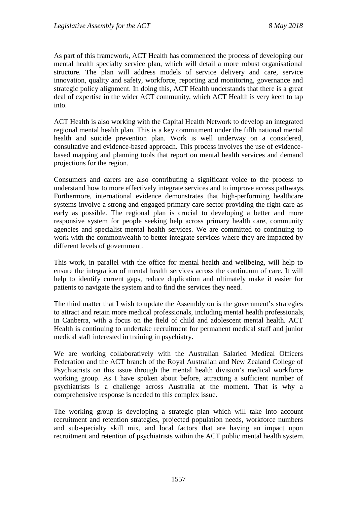As part of this framework, ACT Health has commenced the process of developing our mental health specialty service plan, which will detail a more robust organisational structure. The plan will address models of service delivery and care, service innovation, quality and safety, workforce, reporting and monitoring, governance and strategic policy alignment. In doing this, ACT Health understands that there is a great deal of expertise in the wider ACT community, which ACT Health is very keen to tap into.

ACT Health is also working with the Capital Health Network to develop an integrated regional mental health plan. This is a key commitment under the fifth national mental health and suicide prevention plan. Work is well underway on a considered, consultative and evidence-based approach. This process involves the use of evidencebased mapping and planning tools that report on mental health services and demand projections for the region.

Consumers and carers are also contributing a significant voice to the process to understand how to more effectively integrate services and to improve access pathways. Furthermore, international evidence demonstrates that high-performing healthcare systems involve a strong and engaged primary care sector providing the right care as early as possible. The regional plan is crucial to developing a better and more responsive system for people seeking help across primary health care, community agencies and specialist mental health services. We are committed to continuing to work with the commonwealth to better integrate services where they are impacted by different levels of government.

This work, in parallel with the office for mental health and wellbeing, will help to ensure the integration of mental health services across the continuum of care. It will help to identify current gaps, reduce duplication and ultimately make it easier for patients to navigate the system and to find the services they need.

The third matter that I wish to update the Assembly on is the government's strategies to attract and retain more medical professionals, including mental health professionals, in Canberra, with a focus on the field of child and adolescent mental health. ACT Health is continuing to undertake recruitment for permanent medical staff and junior medical staff interested in training in psychiatry.

We are working collaboratively with the Australian Salaried Medical Officers Federation and the ACT branch of the Royal Australian and New Zealand College of Psychiatrists on this issue through the mental health division's medical workforce working group. As I have spoken about before, attracting a sufficient number of psychiatrists is a challenge across Australia at the moment. That is why a comprehensive response is needed to this complex issue.

The working group is developing a strategic plan which will take into account recruitment and retention strategies, projected population needs, workforce numbers and sub-specialty skill mix, and local factors that are having an impact upon recruitment and retention of psychiatrists within the ACT public mental health system.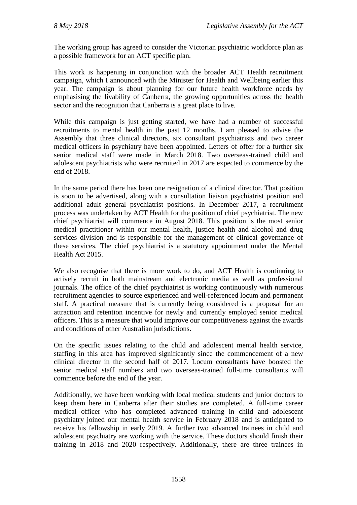The working group has agreed to consider the Victorian psychiatric workforce plan as a possible framework for an ACT specific plan.

This work is happening in conjunction with the broader ACT Health recruitment campaign, which I announced with the Minister for Health and Wellbeing earlier this year. The campaign is about planning for our future health workforce needs by emphasising the livability of Canberra, the growing opportunities across the health sector and the recognition that Canberra is a great place to live.

While this campaign is just getting started, we have had a number of successful recruitments to mental health in the past 12 months. I am pleased to advise the Assembly that three clinical directors, six consultant psychiatrists and two career medical officers in psychiatry have been appointed. Letters of offer for a further six senior medical staff were made in March 2018. Two overseas-trained child and adolescent psychiatrists who were recruited in 2017 are expected to commence by the end of 2018.

In the same period there has been one resignation of a clinical director. That position is soon to be advertised, along with a consultation liaison psychiatrist position and additional adult general psychiatrist positions. In December 2017, a recruitment process was undertaken by ACT Health for the position of chief psychiatrist. The new chief psychiatrist will commence in August 2018. This position is the most senior medical practitioner within our mental health, justice health and alcohol and drug services division and is responsible for the management of clinical governance of these services. The chief psychiatrist is a statutory appointment under the Mental Health Act 2015.

We also recognise that there is more work to do, and ACT Health is continuing to actively recruit in both mainstream and electronic media as well as professional journals. The office of the chief psychiatrist is working continuously with numerous recruitment agencies to source experienced and well-referenced locum and permanent staff. A practical measure that is currently being considered is a proposal for an attraction and retention incentive for newly and currently employed senior medical officers. This is a measure that would improve our competitiveness against the awards and conditions of other Australian jurisdictions.

On the specific issues relating to the child and adolescent mental health service, staffing in this area has improved significantly since the commencement of a new clinical director in the second half of 2017. Locum consultants have boosted the senior medical staff numbers and two overseas-trained full-time consultants will commence before the end of the year.

Additionally, we have been working with local medical students and junior doctors to keep them here in Canberra after their studies are completed. A full-time career medical officer who has completed advanced training in child and adolescent psychiatry joined our mental health service in February 2018 and is anticipated to receive his fellowship in early 2019. A further two advanced trainees in child and adolescent psychiatry are working with the service. These doctors should finish their training in 2018 and 2020 respectively. Additionally, there are three trainees in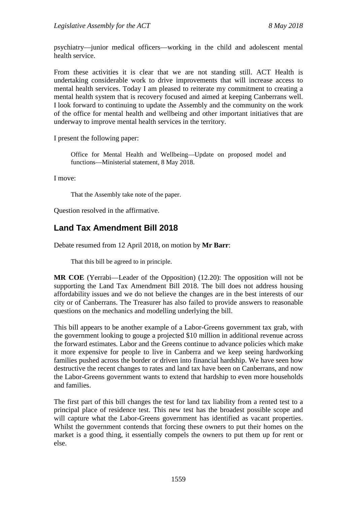psychiatry—junior medical officers—working in the child and adolescent mental health service.

From these activities it is clear that we are not standing still. ACT Health is undertaking considerable work to drive improvements that will increase access to mental health services. Today I am pleased to reiterate my commitment to creating a mental health system that is recovery focused and aimed at keeping Canberrans well. I look forward to continuing to update the Assembly and the community on the work of the office for mental health and wellbeing and other important initiatives that are underway to improve mental health services in the territory.

I present the following paper:

Office for Mental Health and Wellbeing—Update on proposed model and functions—Ministerial statement, 8 May 2018.

I move:

That the Assembly take note of the paper.

Question resolved in the affirmative.

# **Land Tax Amendment Bill 2018**

Debate resumed from 12 April 2018, on motion by **Mr Barr**:

That this bill be agreed to in principle.

**MR COE** (Yerrabi—Leader of the Opposition) (12.20): The opposition will not be supporting the Land Tax Amendment Bill 2018. The bill does not address housing affordability issues and we do not believe the changes are in the best interests of our city or of Canberrans. The Treasurer has also failed to provide answers to reasonable questions on the mechanics and modelling underlying the bill.

This bill appears to be another example of a Labor-Greens government tax grab, with the government looking to gouge a projected \$10 million in additional revenue across the forward estimates. Labor and the Greens continue to advance policies which make it more expensive for people to live in Canberra and we keep seeing hardworking families pushed across the border or driven into financial hardship. We have seen how destructive the recent changes to rates and land tax have been on Canberrans, and now the Labor-Greens government wants to extend that hardship to even more households and families.

The first part of this bill changes the test for land tax liability from a rented test to a principal place of residence test. This new test has the broadest possible scope and will capture what the Labor-Greens government has identified as vacant properties. Whilst the government contends that forcing these owners to put their homes on the market is a good thing, it essentially compels the owners to put them up for rent or else.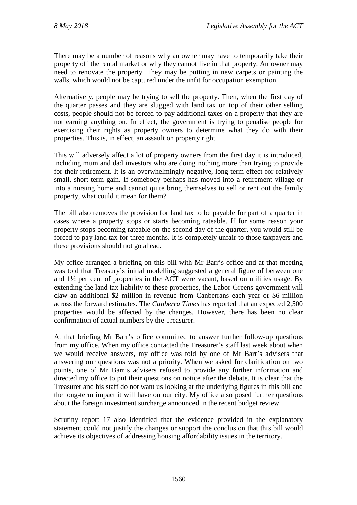There may be a number of reasons why an owner may have to temporarily take their property off the rental market or why they cannot live in that property. An owner may need to renovate the property. They may be putting in new carpets or painting the walls, which would not be captured under the unfit for occupation exemption.

Alternatively, people may be trying to sell the property. Then, when the first day of the quarter passes and they are slugged with land tax on top of their other selling costs, people should not be forced to pay additional taxes on a property that they are not earning anything on. In effect, the government is trying to penalise people for exercising their rights as property owners to determine what they do with their properties. This is, in effect, an assault on property right.

This will adversely affect a lot of property owners from the first day it is introduced, including mum and dad investors who are doing nothing more than trying to provide for their retirement. It is an overwhelmingly negative, long-term effect for relatively small, short-term gain. If somebody perhaps has moved into a retirement village or into a nursing home and cannot quite bring themselves to sell or rent out the family property, what could it mean for them?

The bill also removes the provision for land tax to be payable for part of a quarter in cases where a property stops or starts becoming rateable. If for some reason your property stops becoming rateable on the second day of the quarter, you would still be forced to pay land tax for three months. It is completely unfair to those taxpayers and these provisions should not go ahead.

My office arranged a briefing on this bill with Mr Barr's office and at that meeting was told that Treasury's initial modelling suggested a general figure of between one and 1½ per cent of properties in the ACT were vacant, based on utilities usage. By extending the land tax liability to these properties, the Labor-Greens government will claw an additional \$2 million in revenue from Canberrans each year or \$6 million across the forward estimates. The *Canberra Times* has reported that an expected 2,500 properties would be affected by the changes. However, there has been no clear confirmation of actual numbers by the Treasurer.

At that briefing Mr Barr's office committed to answer further follow-up questions from my office. When my office contacted the Treasurer's staff last week about when we would receive answers, my office was told by one of Mr Barr's advisers that answering our questions was not a priority. When we asked for clarification on two points, one of Mr Barr's advisers refused to provide any further information and directed my office to put their questions on notice after the debate. It is clear that the Treasurer and his staff do not want us looking at the underlying figures in this bill and the long-term impact it will have on our city. My office also posed further questions about the foreign investment surcharge announced in the recent budget review.

Scrutiny report 17 also identified that the evidence provided in the explanatory statement could not justify the changes or support the conclusion that this bill would achieve its objectives of addressing housing affordability issues in the territory.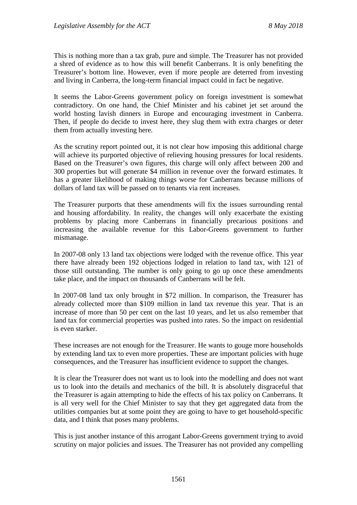This is nothing more than a tax grab, pure and simple. The Treasurer has not provided a shred of evidence as to how this will benefit Canberrans. It is only benefiting the Treasurer's bottom line. However, even if more people are deterred from investing and living in Canberra, the long-term financial impact could in fact be negative.

It seems the Labor-Greens government policy on foreign investment is somewhat contradictory. On one hand, the Chief Minister and his cabinet jet set around the world hosting lavish dinners in Europe and encouraging investment in Canberra. Then, if people do decide to invest here, they slug them with extra charges or deter them from actually investing here.

As the scrutiny report pointed out, it is not clear how imposing this additional charge will achieve its purported objective of relieving housing pressures for local residents. Based on the Treasurer's own figures, this charge will only affect between 200 and 300 properties but will generate \$4 million in revenue over the forward estimates. It has a greater likelihood of making things worse for Canberrans because millions of dollars of land tax will be passed on to tenants via rent increases.

The Treasurer purports that these amendments will fix the issues surrounding rental and housing affordability. In reality, the changes will only exacerbate the existing problems by placing more Canberrans in financially precarious positions and increasing the available revenue for this Labor-Greens government to further mismanage.

In 2007-08 only 13 land tax objections were lodged with the revenue office. This year there have already been 192 objections lodged in relation to land tax, with 121 of those still outstanding. The number is only going to go up once these amendments take place, and the impact on thousands of Canberrans will be felt.

In 2007-08 land tax only brought in \$72 million. In comparison, the Treasurer has already collected more than \$109 million in land tax revenue this year. That is an increase of more than 50 per cent on the last 10 years, and let us also remember that land tax for commercial properties was pushed into rates. So the impact on residential is even starker.

These increases are not enough for the Treasurer. He wants to gouge more households by extending land tax to even more properties. These are important policies with huge consequences, and the Treasurer has insufficient evidence to support the changes.

It is clear the Treasurer does not want us to look into the modelling and does not want us to look into the details and mechanics of the bill. It is absolutely disgraceful that the Treasurer is again attempting to hide the effects of his tax policy on Canberrans. It is all very well for the Chief Minister to say that they get aggregated data from the utilities companies but at some point they are going to have to get household-specific data, and I think that poses many problems.

This is just another instance of this arrogant Labor-Greens government trying to avoid scrutiny on major policies and issues. The Treasurer has not provided any compelling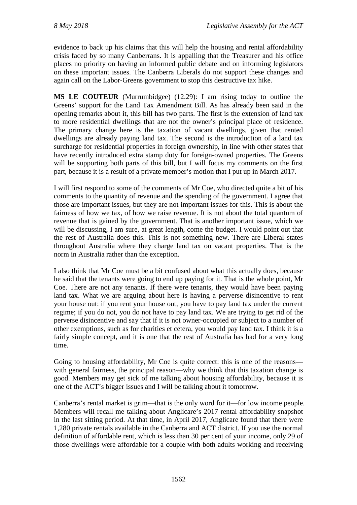evidence to back up his claims that this will help the housing and rental affordability crisis faced by so many Canberrans. It is appalling that the Treasurer and his office places no priority on having an informed public debate and on informing legislators on these important issues. The Canberra Liberals do not support these changes and again call on the Labor-Greens government to stop this destructive tax hike.

**MS LE COUTEUR** (Murrumbidgee) (12.29): I am rising today to outline the Greens' support for the Land Tax Amendment Bill. As has already been said in the opening remarks about it, this bill has two parts. The first is the extension of land tax to more residential dwellings that are not the owner's principal place of residence. The primary change here is the taxation of vacant dwellings, given that rented dwellings are already paying land tax. The second is the introduction of a land tax surcharge for residential properties in foreign ownership, in line with other states that have recently introduced extra stamp duty for foreign-owned properties. The Greens will be supporting both parts of this bill, but I will focus my comments on the first part, because it is a result of a private member's motion that I put up in March 2017.

I will first respond to some of the comments of Mr Coe, who directed quite a bit of his comments to the quantity of revenue and the spending of the government. I agree that those are important issues, but they are not important issues for this. This is about the fairness of how we tax, of how we raise revenue. It is not about the total quantum of revenue that is gained by the government. That is another important issue, which we will be discussing, I am sure, at great length, come the budget. I would point out that the rest of Australia does this. This is not something new. There are Liberal states throughout Australia where they charge land tax on vacant properties. That is the norm in Australia rather than the exception.

I also think that Mr Coe must be a bit confused about what this actually does, because he said that the tenants were going to end up paying for it. That is the whole point, Mr Coe. There are not any tenants. If there were tenants, they would have been paying land tax. What we are arguing about here is having a perverse disincentive to rent your house out: if you rent your house out, you have to pay land tax under the current regime; if you do not, you do not have to pay land tax. We are trying to get rid of the perverse disincentive and say that if it is not owner-occupied or subject to a number of other exemptions, such as for charities et cetera, you would pay land tax. I think it is a fairly simple concept, and it is one that the rest of Australia has had for a very long time.

Going to housing affordability, Mr Coe is quite correct: this is one of the reasons with general fairness, the principal reason—why we think that this taxation change is good. Members may get sick of me talking about housing affordability, because it is one of the ACT's bigger issues and I will be talking about it tomorrow.

Canberra's rental market is grim—that is the only word for it—for low income people. Members will recall me talking about Anglicare's 2017 rental affordability snapshot in the last sitting period. At that time, in April 2017, Anglicare found that there were 1,280 private rentals available in the Canberra and ACT district. If you use the normal definition of affordable rent, which is less than 30 per cent of your income, only 29 of those dwellings were affordable for a couple with both adults working and receiving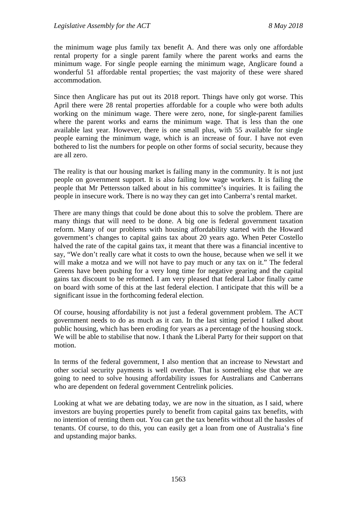the minimum wage plus family tax benefit A. And there was only one affordable rental property for a single parent family where the parent works and earns the minimum wage. For single people earning the minimum wage, Anglicare found a wonderful 51 affordable rental properties; the vast majority of these were shared accommodation.

Since then Anglicare has put out its 2018 report. Things have only got worse. This April there were 28 rental properties affordable for a couple who were both adults working on the minimum wage. There were zero, none, for single-parent families where the parent works and earns the minimum wage. That is less than the one available last year. However, there is one small plus, with 55 available for single people earning the minimum wage, which is an increase of four. I have not even bothered to list the numbers for people on other forms of social security, because they are all zero.

The reality is that our housing market is failing many in the community. It is not just people on government support. It is also failing low wage workers. It is failing the people that Mr Pettersson talked about in his committee's inquiries. It is failing the people in insecure work. There is no way they can get into Canberra's rental market.

There are many things that could be done about this to solve the problem. There are many things that will need to be done. A big one is federal government taxation reform. Many of our problems with housing affordability started with the Howard government's changes to capital gains tax about 20 years ago. When Peter Costello halved the rate of the capital gains tax, it meant that there was a financial incentive to say, "We don't really care what it costs to own the house, because when we sell it we will make a motza and we will not have to pay much or any tax on it." The federal Greens have been pushing for a very long time for negative gearing and the capital gains tax discount to be reformed. I am very pleased that federal Labor finally came on board with some of this at the last federal election. I anticipate that this will be a significant issue in the forthcoming federal election.

Of course, housing affordability is not just a federal government problem. The ACT government needs to do as much as it can. In the last sitting period I talked about public housing, which has been eroding for years as a percentage of the housing stock. We will be able to stabilise that now. I thank the Liberal Party for their support on that motion.

In terms of the federal government, I also mention that an increase to Newstart and other social security payments is well overdue. That is something else that we are going to need to solve housing affordability issues for Australians and Canberrans who are dependent on federal government Centrelink policies.

Looking at what we are debating today, we are now in the situation, as I said, where investors are buying properties purely to benefit from capital gains tax benefits, with no intention of renting them out. You can get the tax benefits without all the hassles of tenants. Of course, to do this, you can easily get a loan from one of Australia's fine and upstanding major banks.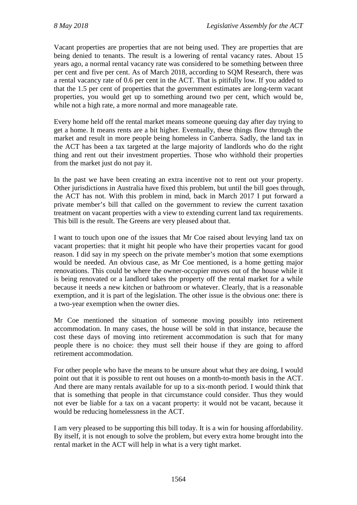Vacant properties are properties that are not being used. They are properties that are being denied to tenants. The result is a lowering of rental vacancy rates. About 15 years ago, a normal rental vacancy rate was considered to be something between three per cent and five per cent. As of March 2018, according to SQM Research, there was a rental vacancy rate of 0.6 per cent in the ACT. That is pitifully low. If you added to that the 1.5 per cent of properties that the government estimates are long-term vacant properties, you would get up to something around two per cent, which would be, while not a high rate, a more normal and more manageable rate.

Every home held off the rental market means someone queuing day after day trying to get a home. It means rents are a bit higher. Eventually, these things flow through the market and result in more people being homeless in Canberra. Sadly, the land tax in the ACT has been a tax targeted at the large majority of landlords who do the right thing and rent out their investment properties. Those who withhold their properties from the market just do not pay it.

In the past we have been creating an extra incentive not to rent out your property. Other jurisdictions in Australia have fixed this problem, but until the bill goes through, the ACT has not. With this problem in mind, back in March 2017 I put forward a private member's bill that called on the government to review the current taxation treatment on vacant properties with a view to extending current land tax requirements. This bill is the result. The Greens are very pleased about that.

I want to touch upon one of the issues that Mr Coe raised about levying land tax on vacant properties: that it might hit people who have their properties vacant for good reason. I did say in my speech on the private member's motion that some exemptions would be needed. An obvious case, as Mr Coe mentioned, is a home getting major renovations. This could be where the owner-occupier moves out of the house while it is being renovated or a landlord takes the property off the rental market for a while because it needs a new kitchen or bathroom or whatever. Clearly, that is a reasonable exemption, and it is part of the legislation. The other issue is the obvious one: there is a two-year exemption when the owner dies.

Mr Coe mentioned the situation of someone moving possibly into retirement accommodation. In many cases, the house will be sold in that instance, because the cost these days of moving into retirement accommodation is such that for many people there is no choice: they must sell their house if they are going to afford retirement accommodation.

For other people who have the means to be unsure about what they are doing, I would point out that it is possible to rent out houses on a month-to-month basis in the ACT. And there are many rentals available for up to a six-month period. I would think that that is something that people in that circumstance could consider. Thus they would not ever be liable for a tax on a vacant property: it would not be vacant, because it would be reducing homelessness in the ACT.

I am very pleased to be supporting this bill today. It is a win for housing affordability. By itself, it is not enough to solve the problem, but every extra home brought into the rental market in the ACT will help in what is a very tight market.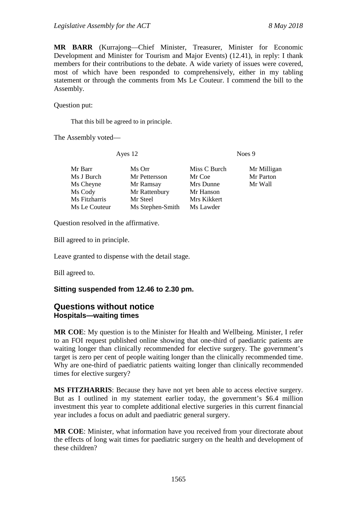**MR BARR** (Kurrajong—Chief Minister, Treasurer, Minister for Economic Development and Minister for Tourism and Major Events) (12.41), in reply: I thank members for their contributions to the debate. A wide variety of issues were covered, most of which have been responded to comprehensively, either in my tabling statement or through the comments from Ms Le Couteur. I commend the bill to the Assembly.

Question put:

That this bill be agreed to in principle.

The Assembly voted—

Ayes 12 Noes 9

| Mr Barr       | Ms Orr           | Miss C Burch | Mr Milligan |
|---------------|------------------|--------------|-------------|
| Ms J Burch    | Mr Pettersson    | Mr Coe       | Mr Parton   |
| Ms Cheyne     | Mr Ramsay        | Mrs Dunne    | Mr Wall     |
| Ms Cody       | Mr Rattenbury    | Mr Hanson    |             |
| Ms Fitzharris | Mr Steel         | Mrs Kikkert  |             |
| Ms Le Couteur | Ms Stephen-Smith | Ms Lawder    |             |
|               |                  |              |             |

Question resolved in the affirmative.

Bill agreed to in principle.

Leave granted to dispense with the detail stage.

Bill agreed to.

#### **Sitting suspended from 12.46 to 2.30 pm.**

## **Questions without notice Hospitals—waiting times**

**MR COE**: My question is to the Minister for Health and Wellbeing. Minister, I refer to an FOI request published online showing that one-third of paediatric patients are waiting longer than clinically recommended for elective surgery. The government's target is zero per cent of people waiting longer than the clinically recommended time. Why are one-third of paediatric patients waiting longer than clinically recommended times for elective surgery?

**MS FITZHARRIS**: Because they have not yet been able to access elective surgery. But as I outlined in my statement earlier today, the government's \$6.4 million investment this year to complete additional elective surgeries in this current financial year includes a focus on adult and paediatric general surgery.

**MR COE**: Minister, what information have you received from your directorate about the effects of long wait times for paediatric surgery on the health and development of these children?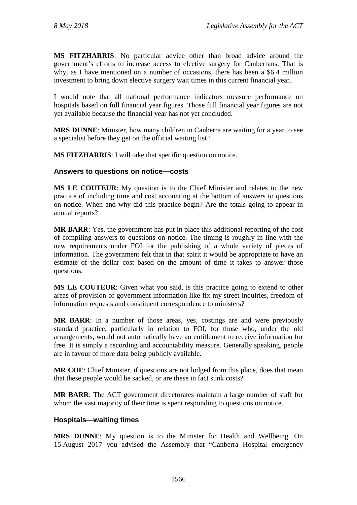**MS FITZHARRIS**: No particular advice other than broad advice around the government's efforts to increase access to elective surgery for Canberrans. That is why, as I have mentioned on a number of occasions, there has been a \$6.4 million investment to bring down elective surgery wait times in this current financial year.

I would note that all national performance indicators measure performance on hospitals based on full financial year figures. Those full financial year figures are not yet available because the financial year has not yet concluded.

**MRS DUNNE**: Minister, how many children in Canberra are waiting for a year to see a specialist before they get on the official waiting list?

**MS FITZHARRIS**: I will take that specific question on notice.

#### **Answers to questions on notice—costs**

**MS LE COUTEUR**: My question is to the Chief Minister and relates to the new practice of including time and cost accounting at the bottom of answers to questions on notice. When and why did this practice begin? Are the totals going to appear in annual reports?

**MR BARR**: Yes, the government has put in place this additional reporting of the cost of compiling answers to questions on notice. The timing is roughly in line with the new requirements under FOI for the publishing of a whole variety of pieces of information. The government felt that in that spirit it would be appropriate to have an estimate of the dollar cost based on the amount of time it takes to answer those questions.

**MS LE COUTEUR**: Given what you said, is this practice going to extend to other areas of provision of government information like fix my street inquiries, freedom of information requests and constituent correspondence to ministers?

**MR BARR**: In a number of those areas, yes, costings are and were previously standard practice, particularly in relation to FOI, for those who, under the old arrangements, would not automatically have an entitlement to receive information for free. It is simply a recording and accountability measure. Generally speaking, people are in favour of more data being publicly available.

**MR COE**: Chief Minister, if questions are not lodged from this place, does that mean that these people would be sacked, or are these in fact sunk costs?

**MR BARR**: The ACT government directorates maintain a large number of staff for whom the vast majority of their time is spent responding to questions on notice.

#### **Hospitals—waiting times**

**MRS DUNNE**: My question is to the Minister for Health and Wellbeing. On 15 August 2017 you advised the Assembly that "Canberra Hospital emergency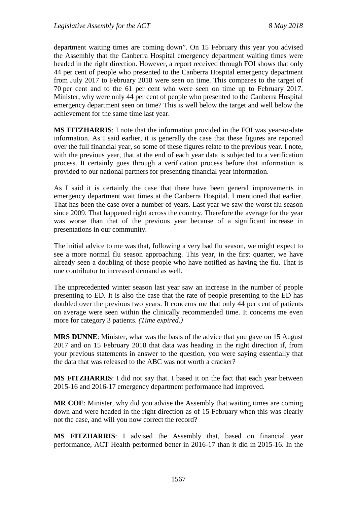department waiting times are coming down". On 15 February this year you advised the Assembly that the Canberra Hospital emergency department waiting times were headed in the right direction. However, a report received through FOI shows that only 44 per cent of people who presented to the Canberra Hospital emergency department from July 2017 to February 2018 were seen on time. This compares to the target of 70 per cent and to the 61 per cent who were seen on time up to February 2017. Minister, why were only 44 per cent of people who presented to the Canberra Hospital emergency department seen on time? This is well below the target and well below the achievement for the same time last year.

**MS FITZHARRIS**: I note that the information provided in the FOI was year-to-date information. As I said earlier, it is generally the case that these figures are reported over the full financial year, so some of these figures relate to the previous year. I note, with the previous year, that at the end of each year data is subjected to a verification process. It certainly goes through a verification process before that information is provided to our national partners for presenting financial year information.

As I said it is certainly the case that there have been general improvements in emergency department wait times at the Canberra Hospital. I mentioned that earlier. That has been the case over a number of years. Last year we saw the worst flu season since 2009. That happened right across the country. Therefore the average for the year was worse than that of the previous year because of a significant increase in presentations in our community.

The initial advice to me was that, following a very bad flu season, we might expect to see a more normal flu season approaching. This year, in the first quarter, we have already seen a doubling of those people who have notified as having the flu. That is one contributor to increased demand as well.

The unprecedented winter season last year saw an increase in the number of people presenting to ED. It is also the case that the rate of people presenting to the ED has doubled over the previous two years. It concerns me that only 44 per cent of patients on average were seen within the clinically recommended time. It concerns me even more for category 3 patients. *(Time expired.)*

**MRS DUNNE**: Minister, what was the basis of the advice that you gave on 15 August 2017 and on 15 February 2018 that data was heading in the right direction if, from your previous statements in answer to the question, you were saying essentially that the data that was released to the ABC was not worth a cracker?

**MS FITZHARRIS**: I did not say that. I based it on the fact that each year between 2015-16 and 2016-17 emergency department performance had improved.

**MR COE**: Minister, why did you advise the Assembly that waiting times are coming down and were headed in the right direction as of 15 February when this was clearly not the case, and will you now correct the record?

**MS FITZHARRIS**: I advised the Assembly that, based on financial year performance, ACT Health performed better in 2016-17 than it did in 2015-16. In the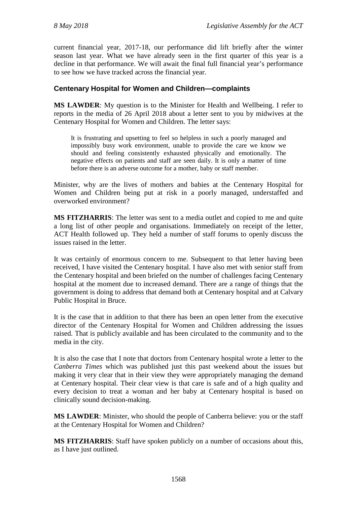current financial year, 2017-18, our performance did lift briefly after the winter season last year. What we have already seen in the first quarter of this year is a decline in that performance. We will await the final full financial year's performance to see how we have tracked across the financial year.

### **Centenary Hospital for Women and Children—complaints**

**MS LAWDER**: My question is to the Minister for Health and Wellbeing. I refer to reports in the media of 26 April 2018 about a letter sent to you by midwives at the Centenary Hospital for Women and Children. The letter says:

It is frustrating and upsetting to feel so helpless in such a poorly managed and impossibly busy work environment, unable to provide the care we know we should and feeling consistently exhausted physically and emotionally. The negative effects on patients and staff are seen daily. It is only a matter of time before there is an adverse outcome for a mother, baby or staff member.

Minister, why are the lives of mothers and babies at the Centenary Hospital for Women and Children being put at risk in a poorly managed, understaffed and overworked environment?

**MS FITZHARRIS**: The letter was sent to a media outlet and copied to me and quite a long list of other people and organisations. Immediately on receipt of the letter, ACT Health followed up. They held a number of staff forums to openly discuss the issues raised in the letter.

It was certainly of enormous concern to me. Subsequent to that letter having been received, I have visited the Centenary hospital. I have also met with senior staff from the Centenary hospital and been briefed on the number of challenges facing Centenary hospital at the moment due to increased demand. There are a range of things that the government is doing to address that demand both at Centenary hospital and at Calvary Public Hospital in Bruce.

It is the case that in addition to that there has been an open letter from the executive director of the Centenary Hospital for Women and Children addressing the issues raised. That is publicly available and has been circulated to the community and to the media in the city.

It is also the case that I note that doctors from Centenary hospital wrote a letter to the *Canberra Times* which was published just this past weekend about the issues but making it very clear that in their view they were appropriately managing the demand at Centenary hospital. Their clear view is that care is safe and of a high quality and every decision to treat a woman and her baby at Centenary hospital is based on clinically sound decision-making.

**MS LAWDER**: Minister, who should the people of Canberra believe: you or the staff at the Centenary Hospital for Women and Children?

**MS FITZHARRIS**: Staff have spoken publicly on a number of occasions about this, as I have just outlined.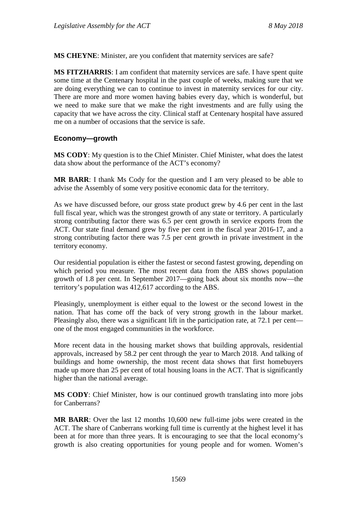**MS CHEYNE**: Minister, are you confident that maternity services are safe?

**MS FITZHARRIS**: I am confident that maternity services are safe. I have spent quite some time at the Centenary hospital in the past couple of weeks, making sure that we are doing everything we can to continue to invest in maternity services for our city. There are more and more women having babies every day, which is wonderful, but we need to make sure that we make the right investments and are fully using the capacity that we have across the city. Clinical staff at Centenary hospital have assured me on a number of occasions that the service is safe.

#### **Economy—growth**

**MS CODY**: My question is to the Chief Minister. Chief Minister, what does the latest data show about the performance of the ACT's economy?

**MR BARR**: I thank Ms Cody for the question and I am very pleased to be able to advise the Assembly of some very positive economic data for the territory.

As we have discussed before, our gross state product grew by 4.6 per cent in the last full fiscal year, which was the strongest growth of any state or territory. A particularly strong contributing factor there was 6.5 per cent growth in service exports from the ACT. Our state final demand grew by five per cent in the fiscal year 2016-17, and a strong contributing factor there was 7.5 per cent growth in private investment in the territory economy.

Our residential population is either the fastest or second fastest growing, depending on which period you measure. The most recent data from the ABS shows population growth of 1.8 per cent. In September 2017—going back about six months now—the territory's population was 412,617 according to the ABS.

Pleasingly, unemployment is either equal to the lowest or the second lowest in the nation. That has come off the back of very strong growth in the labour market. Pleasingly also, there was a significant lift in the participation rate, at 72.1 per cent one of the most engaged communities in the workforce.

More recent data in the housing market shows that building approvals, residential approvals, increased by 58.2 per cent through the year to March 2018. And talking of buildings and home ownership, the most recent data shows that first homebuyers made up more than 25 per cent of total housing loans in the ACT. That is significantly higher than the national average.

**MS CODY**: Chief Minister, how is our continued growth translating into more jobs for Canberrans?

**MR BARR**: Over the last 12 months 10,600 new full-time jobs were created in the ACT. The share of Canberrans working full time is currently at the highest level it has been at for more than three years. It is encouraging to see that the local economy's growth is also creating opportunities for young people and for women. Women's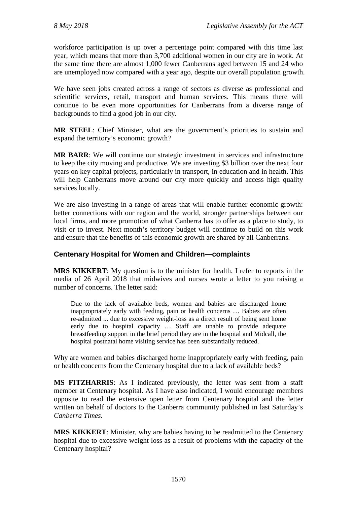workforce participation is up over a percentage point compared with this time last year, which means that more than 3,700 additional women in our city are in work. At the same time there are almost 1,000 fewer Canberrans aged between 15 and 24 who are unemployed now compared with a year ago, despite our overall population growth.

We have seen jobs created across a range of sectors as diverse as professional and scientific services, retail, transport and human services. This means there will continue to be even more opportunities for Canberrans from a diverse range of backgrounds to find a good job in our city.

**MR STEEL**: Chief Minister, what are the government's priorities to sustain and expand the territory's economic growth?

**MR BARR**: We will continue our strategic investment in services and infrastructure to keep the city moving and productive. We are investing \$3 billion over the next four years on key capital projects, particularly in transport, in education and in health. This will help Canberrans move around our city more quickly and access high quality services locally.

We are also investing in a range of areas that will enable further economic growth: better connections with our region and the world, stronger partnerships between our local firms, and more promotion of what Canberra has to offer as a place to study, to visit or to invest. Next month's territory budget will continue to build on this work and ensure that the benefits of this economic growth are shared by all Canberrans.

### **Centenary Hospital for Women and Children—complaints**

**MRS KIKKERT**: My question is to the minister for health. I refer to reports in the media of 26 April 2018 that midwives and nurses wrote a letter to you raising a number of concerns. The letter said:

Due to the lack of available beds, women and babies are discharged home inappropriately early with feeding, pain or health concerns … Babies are often re-admitted ... due to excessive weight-loss as a direct result of being sent home early due to hospital capacity … Staff are unable to provide adequate breastfeeding support in the brief period they are in the hospital and Midcall, the hospital postnatal home visiting service has been substantially reduced.

Why are women and babies discharged home inappropriately early with feeding, pain or health concerns from the Centenary hospital due to a lack of available beds?

**MS FITZHARRIS**: As I indicated previously, the letter was sent from a staff member at Centenary hospital. As I have also indicated, I would encourage members opposite to read the extensive open letter from Centenary hospital and the letter written on behalf of doctors to the Canberra community published in last Saturday's *Canberra Times*.

**MRS KIKKERT**: Minister, why are babies having to be readmitted to the Centenary hospital due to excessive weight loss as a result of problems with the capacity of the Centenary hospital?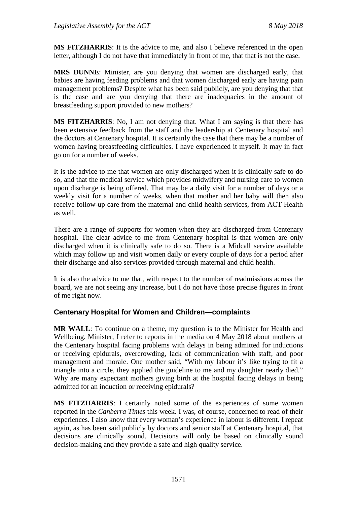**MS FITZHARRIS**: It is the advice to me, and also I believe referenced in the open letter, although I do not have that immediately in front of me, that that is not the case.

**MRS DUNNE**: Minister, are you denying that women are discharged early, that babies are having feeding problems and that women discharged early are having pain management problems? Despite what has been said publicly, are you denying that that is the case and are you denying that there are inadequacies in the amount of breastfeeding support provided to new mothers?

**MS FITZHARRIS**: No, I am not denying that. What I am saying is that there has been extensive feedback from the staff and the leadership at Centenary hospital and the doctors at Centenary hospital. It is certainly the case that there may be a number of women having breastfeeding difficulties. I have experienced it myself. It may in fact go on for a number of weeks.

It is the advice to me that women are only discharged when it is clinically safe to do so, and that the medical service which provides midwifery and nursing care to women upon discharge is being offered. That may be a daily visit for a number of days or a weekly visit for a number of weeks, when that mother and her baby will then also receive follow-up care from the maternal and child health services, from ACT Health as well.

There are a range of supports for women when they are discharged from Centenary hospital. The clear advice to me from Centenary hospital is that women are only discharged when it is clinically safe to do so. There is a Midcall service available which may follow up and visit women daily or every couple of days for a period after their discharge and also services provided through maternal and child health.

It is also the advice to me that, with respect to the number of readmissions across the board, we are not seeing any increase, but I do not have those precise figures in front of me right now.

## **Centenary Hospital for Women and Children—complaints**

**MR WALL**: To continue on a theme, my question is to the Minister for Health and Wellbeing. Minister, I refer to reports in the media on 4 May 2018 about mothers at the Centenary hospital facing problems with delays in being admitted for inductions or receiving epidurals, overcrowding, lack of communication with staff, and poor management and morale. One mother said, "With my labour it's like trying to fit a triangle into a circle, they applied the guideline to me and my daughter nearly died." Why are many expectant mothers giving birth at the hospital facing delays in being admitted for an induction or receiving epidurals?

**MS FITZHARRIS**: I certainly noted some of the experiences of some women reported in the *Canberra Times* this week. I was, of course, concerned to read of their experiences. I also know that every woman's experience in labour is different. I repeat again, as has been said publicly by doctors and senior staff at Centenary hospital, that decisions are clinically sound. Decisions will only be based on clinically sound decision-making and they provide a safe and high quality service.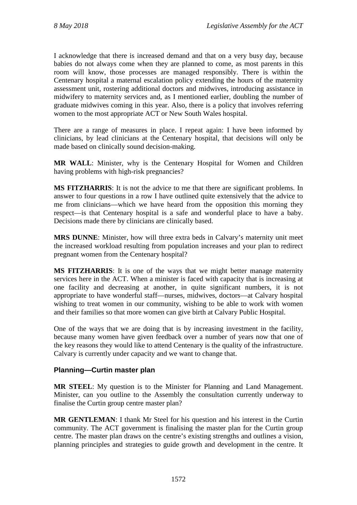I acknowledge that there is increased demand and that on a very busy day, because babies do not always come when they are planned to come, as most parents in this room will know, those processes are managed responsibly. There is within the Centenary hospital a maternal escalation policy extending the hours of the maternity assessment unit, rostering additional doctors and midwives, introducing assistance in midwifery to maternity services and, as I mentioned earlier, doubling the number of graduate midwives coming in this year. Also, there is a policy that involves referring women to the most appropriate ACT or New South Wales hospital.

There are a range of measures in place. I repeat again: I have been informed by clinicians, by lead clinicians at the Centenary hospital, that decisions will only be made based on clinically sound decision-making.

**MR WALL**: Minister, why is the Centenary Hospital for Women and Children having problems with high-risk pregnancies?

**MS FITZHARRIS**: It is not the advice to me that there are significant problems. In answer to four questions in a row I have outlined quite extensively that the advice to me from clinicians—which we have heard from the opposition this morning they respect—is that Centenary hospital is a safe and wonderful place to have a baby. Decisions made there by clinicians are clinically based.

**MRS DUNNE**: Minister, how will three extra beds in Calvary's maternity unit meet the increased workload resulting from population increases and your plan to redirect pregnant women from the Centenary hospital?

**MS FITZHARRIS**: It is one of the ways that we might better manage maternity services here in the ACT. When a minister is faced with capacity that is increasing at one facility and decreasing at another, in quite significant numbers, it is not appropriate to have wonderful staff—nurses, midwives, doctors—at Calvary hospital wishing to treat women in our community, wishing to be able to work with women and their families so that more women can give birth at Calvary Public Hospital.

One of the ways that we are doing that is by increasing investment in the facility, because many women have given feedback over a number of years now that one of the key reasons they would like to attend Centenary is the quality of the infrastructure. Calvary is currently under capacity and we want to change that.

## **Planning—Curtin master plan**

**MR STEEL**: My question is to the Minister for Planning and Land Management. Minister, can you outline to the Assembly the consultation currently underway to finalise the Curtin group centre master plan?

**MR GENTLEMAN**: I thank Mr Steel for his question and his interest in the Curtin community. The ACT government is finalising the master plan for the Curtin group centre. The master plan draws on the centre's existing strengths and outlines a vision, planning principles and strategies to guide growth and development in the centre. It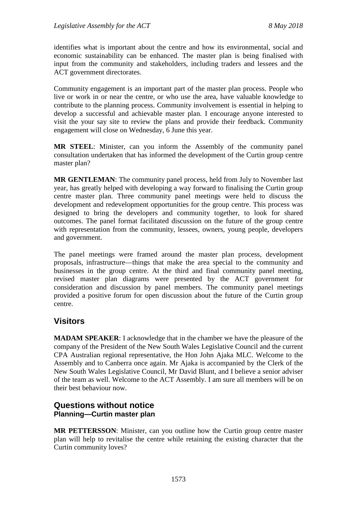identifies what is important about the centre and how its environmental, social and economic sustainability can be enhanced. The master plan is being finalised with input from the community and stakeholders, including traders and lessees and the ACT government directorates.

Community engagement is an important part of the master plan process. People who live or work in or near the centre, or who use the area, have valuable knowledge to contribute to the planning process. Community involvement is essential in helping to develop a successful and achievable master plan. I encourage anyone interested to visit the your say site to review the plans and provide their feedback. Community engagement will close on Wednesday, 6 June this year.

**MR STEEL**: Minister, can you inform the Assembly of the community panel consultation undertaken that has informed the development of the Curtin group centre master plan?

**MR GENTLEMAN**: The community panel process, held from July to November last year, has greatly helped with developing a way forward to finalising the Curtin group centre master plan. Three community panel meetings were held to discuss the development and redevelopment opportunities for the group centre. This process was designed to bring the developers and community together, to look for shared outcomes. The panel format facilitated discussion on the future of the group centre with representation from the community, lessees, owners, young people, developers and government.

The panel meetings were framed around the master plan process, development proposals, infrastructure—things that make the area special to the community and businesses in the group centre. At the third and final community panel meeting, revised master plan diagrams were presented by the ACT government for consideration and discussion by panel members. The community panel meetings provided a positive forum for open discussion about the future of the Curtin group centre.

## **Visitors**

**MADAM SPEAKER**: I acknowledge that in the chamber we have the pleasure of the company of the President of the New South Wales Legislative Council and the current CPA Australian regional representative, the Hon John Ajaka MLC. Welcome to the Assembly and to Canberra once again. Mr Ajaka is accompanied by the Clerk of the New South Wales Legislative Council, Mr David Blunt, and I believe a senior adviser of the team as well. Welcome to the ACT Assembly. I am sure all members will be on their best behaviour now.

## **Questions without notice Planning—Curtin master plan**

**MR PETTERSSON**: Minister, can you outline how the Curtin group centre master plan will help to revitalise the centre while retaining the existing character that the Curtin community loves?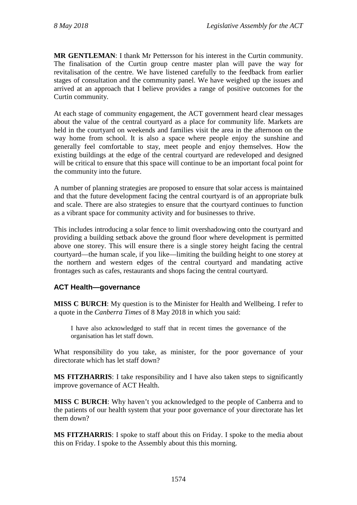**MR GENTLEMAN**: I thank Mr Pettersson for his interest in the Curtin community. The finalisation of the Curtin group centre master plan will pave the way for revitalisation of the centre. We have listened carefully to the feedback from earlier stages of consultation and the community panel. We have weighed up the issues and arrived at an approach that I believe provides a range of positive outcomes for the Curtin community.

At each stage of community engagement, the ACT government heard clear messages about the value of the central courtyard as a place for community life. Markets are held in the courtyard on weekends and families visit the area in the afternoon on the way home from school. It is also a space where people enjoy the sunshine and generally feel comfortable to stay, meet people and enjoy themselves. How the existing buildings at the edge of the central courtyard are redeveloped and designed will be critical to ensure that this space will continue to be an important focal point for the community into the future.

A number of planning strategies are proposed to ensure that solar access is maintained and that the future development facing the central courtyard is of an appropriate bulk and scale. There are also strategies to ensure that the courtyard continues to function as a vibrant space for community activity and for businesses to thrive.

This includes introducing a solar fence to limit overshadowing onto the courtyard and providing a building setback above the ground floor where development is permitted above one storey. This will ensure there is a single storey height facing the central courtyard—the human scale, if you like—limiting the building height to one storey at the northern and western edges of the central courtyard and mandating active frontages such as cafes, restaurants and shops facing the central courtyard.

## **ACT Health—governance**

**MISS C BURCH**: My question is to the Minister for Health and Wellbeing. I refer to a quote in the *Canberra Times* of 8 May 2018 in which you said:

I have also acknowledged to staff that in recent times the governance of the organisation has let staff down.

What responsibility do you take, as minister, for the poor governance of your directorate which has let staff down?

**MS FITZHARRIS**: I take responsibility and I have also taken steps to significantly improve governance of ACT Health.

**MISS C BURCH**: Why haven't you acknowledged to the people of Canberra and to the patients of our health system that your poor governance of your directorate has let them down?

**MS FITZHARRIS**: I spoke to staff about this on Friday. I spoke to the media about this on Friday. I spoke to the Assembly about this this morning.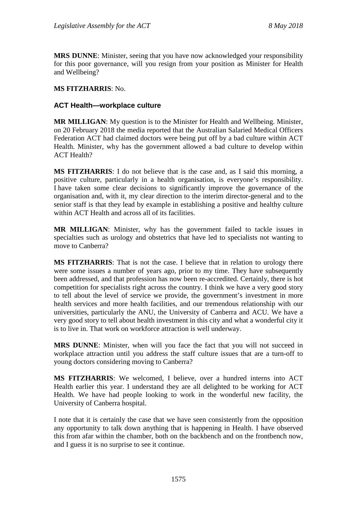**MRS DUNNE**: Minister, seeing that you have now acknowledged your responsibility for this poor governance, will you resign from your position as Minister for Health and Wellbeing?

#### **MS FITZHARRIS**: No.

#### **ACT Health—workplace culture**

**MR MILLIGAN**: My question is to the Minister for Health and Wellbeing. Minister, on 20 February 2018 the media reported that the Australian Salaried Medical Officers Federation ACT had claimed doctors were being put off by a bad culture within ACT Health. Minister, why has the government allowed a bad culture to develop within ACT Health?

**MS FITZHARRIS**: I do not believe that is the case and, as I said this morning, a positive culture, particularly in a health organisation, is everyone's responsibility. I have taken some clear decisions to significantly improve the governance of the organisation and, with it, my clear direction to the interim director-general and to the senior staff is that they lead by example in establishing a positive and healthy culture within ACT Health and across all of its facilities.

**MR MILLIGAN**: Minister, why has the government failed to tackle issues in specialties such as urology and obstetrics that have led to specialists not wanting to move to Canberra?

**MS FITZHARRIS**: That is not the case. I believe that in relation to urology there were some issues a number of years ago, prior to my time. They have subsequently been addressed, and that profession has now been re-accredited. Certainly, there is hot competition for specialists right across the country. I think we have a very good story to tell about the level of service we provide, the government's investment in more health services and more health facilities, and our tremendous relationship with our universities, particularly the ANU, the University of Canberra and ACU. We have a very good story to tell about health investment in this city and what a wonderful city it is to live in. That work on workforce attraction is well underway.

**MRS DUNNE**: Minister, when will you face the fact that you will not succeed in workplace attraction until you address the staff culture issues that are a turn-off to young doctors considering moving to Canberra?

**MS FITZHARRIS**: We welcomed, I believe, over a hundred interns into ACT Health earlier this year. I understand they are all delighted to be working for ACT Health. We have had people looking to work in the wonderful new facility, the University of Canberra hospital.

I note that it is certainly the case that we have seen consistently from the opposition any opportunity to talk down anything that is happening in Health. I have observed this from afar within the chamber, both on the backbench and on the frontbench now, and I guess it is no surprise to see it continue.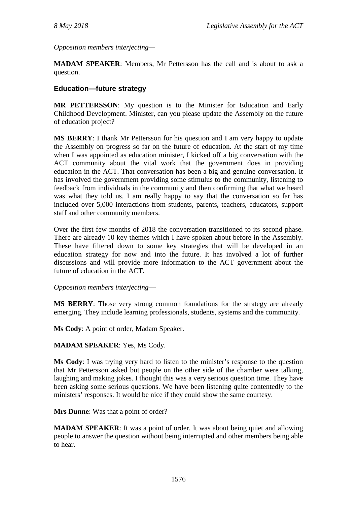*Opposition members interjecting—*

**MADAM SPEAKER**: Members, Mr Pettersson has the call and is about to ask a question.

### **Education—future strategy**

**MR PETTERSSON**: My question is to the Minister for Education and Early Childhood Development. Minister, can you please update the Assembly on the future of education project?

**MS BERRY**: I thank Mr Pettersson for his question and I am very happy to update the Assembly on progress so far on the future of education. At the start of my time when I was appointed as education minister, I kicked off a big conversation with the ACT community about the vital work that the government does in providing education in the ACT. That conversation has been a big and genuine conversation. It has involved the government providing some stimulus to the community, listening to feedback from individuals in the community and then confirming that what we heard was what they told us. I am really happy to say that the conversation so far has included over 5,000 interactions from students, parents, teachers, educators, support staff and other community members.

Over the first few months of 2018 the conversation transitioned to its second phase. There are already 10 key themes which I have spoken about before in the Assembly. These have filtered down to some key strategies that will be developed in an education strategy for now and into the future. It has involved a lot of further discussions and will provide more information to the ACT government about the future of education in the ACT.

*Opposition members interjecting*—

**MS BERRY**: Those very strong common foundations for the strategy are already emerging. They include learning professionals, students, systems and the community.

**Ms Cody**: A point of order, Madam Speaker.

#### **MADAM SPEAKER**: Yes, Ms Cody.

**Ms Cody**: I was trying very hard to listen to the minister's response to the question that Mr Pettersson asked but people on the other side of the chamber were talking, laughing and making jokes. I thought this was a very serious question time. They have been asking some serious questions. We have been listening quite contentedly to the ministers' responses. It would be nice if they could show the same courtesy.

**Mrs Dunne**: Was that a point of order?

**MADAM SPEAKER:** It was a point of order. It was about being quiet and allowing people to answer the question without being interrupted and other members being able to hear.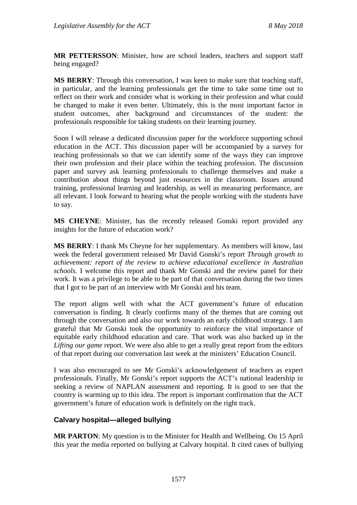**MR PETTERSSON**: Minister, how are school leaders, teachers and support staff being engaged?

**MS BERRY**: Through this conversation, I was keen to make sure that teaching staff, in particular, and the learning professionals get the time to take some time out to reflect on their work and consider what is working in their profession and what could be changed to make it even better. Ultimately, this is the most important factor in student outcomes, after background and circumstances of the student: the professionals responsible for taking students on their learning journey.

Soon I will release a dedicated discussion paper for the workforce supporting school education in the ACT. This discussion paper will be accompanied by a survey for teaching professionals so that we can identify some of the ways they can improve their own profession and their place within the teaching profession. The discussion paper and survey ask learning professionals to challenge themselves and make a contribution about things beyond just resources in the classroom. Issues around training, professional learning and leadership, as well as measuring performance, are all relevant. I look forward to hearing what the people working with the students have to say.

**MS CHEYNE**: Minister, has the recently released Gonski report provided any insights for the future of education work?

**MS BERRY**: I thank Ms Cheyne for her supplementary. As members will know, last week the federal government released Mr David Gonski's report *Through growth to achievement: report of the review to achieve educational excellence in Australian schools.* I welcome this report and thank Mr Gonski and the review panel for their work. It was a privilege to be able to be part of that conversation during the two times that I got to be part of an interview with Mr Gonski and his team.

The report aligns well with what the ACT government's future of education conversation is finding. It clearly confirms many of the themes that are coming out through the conversation and also our work towards an early childhood strategy. I am grateful that Mr Gonski took the opportunity to reinforce the vital importance of equitable early childhood education and care. That work was also backed up in the *Lifting our game* report. We were also able to get a really great report from the editors of that report during our conversation last week at the ministers' Education Council.

I was also encouraged to see Mr Gonski's acknowledgement of teachers as expert professionals. Finally, Mr Gonski's report supports the ACT's national leadership in seeking a review of NAPLAN assessment and reporting. It is good to see that the country is warming up to this idea. The report is important confirmation that the ACT government's future of education work is definitely on the right track.

#### **Calvary hospital—alleged bullying**

**MR PARTON**: My question is to the Minister for Health and Wellbeing. On 15 April this year the media reported on bullying at Calvary hospital. It cited cases of bullying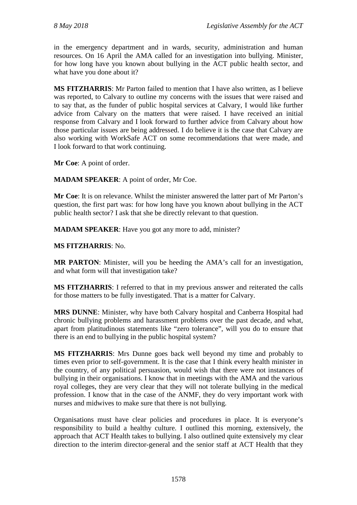in the emergency department and in wards, security, administration and human resources. On 16 April the AMA called for an investigation into bullying. Minister, for how long have you known about bullying in the ACT public health sector, and what have you done about it?

**MS FITZHARRIS**: Mr Parton failed to mention that I have also written, as I believe was reported, to Calvary to outline my concerns with the issues that were raised and to say that, as the funder of public hospital services at Calvary, I would like further advice from Calvary on the matters that were raised. I have received an initial response from Calvary and I look forward to further advice from Calvary about how those particular issues are being addressed. I do believe it is the case that Calvary are also working with WorkSafe ACT on some recommendations that were made, and I look forward to that work continuing.

**Mr Coe**: A point of order.

**MADAM SPEAKER**: A point of order, Mr Coe.

**Mr Coe**: It is on relevance. Whilst the minister answered the latter part of Mr Parton's question, the first part was: for how long have you known about bullying in the ACT public health sector? I ask that she be directly relevant to that question.

**MADAM SPEAKER**: Have you got any more to add, minister?

### **MS FITZHARRIS**: No.

**MR PARTON**: Minister, will you be heeding the AMA's call for an investigation, and what form will that investigation take?

**MS FITZHARRIS**: I referred to that in my previous answer and reiterated the calls for those matters to be fully investigated. That is a matter for Calvary.

**MRS DUNNE**: Minister, why have both Calvary hospital and Canberra Hospital had chronic bullying problems and harassment problems over the past decade, and what, apart from platitudinous statements like "zero tolerance", will you do to ensure that there is an end to bullying in the public hospital system?

**MS FITZHARRIS**: Mrs Dunne goes back well beyond my time and probably to times even prior to self-government. It is the case that I think every health minister in the country, of any political persuasion, would wish that there were not instances of bullying in their organisations. I know that in meetings with the AMA and the various royal colleges, they are very clear that they will not tolerate bullying in the medical profession. I know that in the case of the ANMF, they do very important work with nurses and midwives to make sure that there is not bullying.

Organisations must have clear policies and procedures in place. It is everyone's responsibility to build a healthy culture. I outlined this morning, extensively, the approach that ACT Health takes to bullying. I also outlined quite extensively my clear direction to the interim director-general and the senior staff at ACT Health that they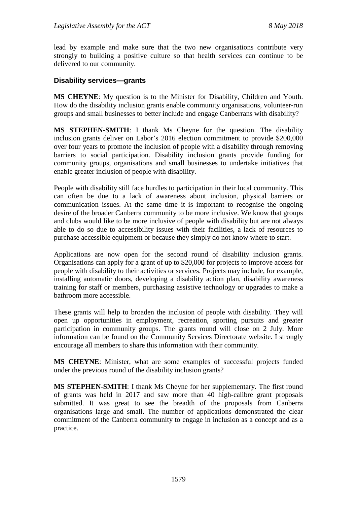lead by example and make sure that the two new organisations contribute very strongly to building a positive culture so that health services can continue to be delivered to our community.

#### **Disability services—grants**

**MS CHEYNE**: My question is to the Minister for Disability, Children and Youth. How do the disability inclusion grants enable community organisations, volunteer-run groups and small businesses to better include and engage Canberrans with disability?

**MS STEPHEN-SMITH**: I thank Ms Cheyne for the question. The disability inclusion grants deliver on Labor's 2016 election commitment to provide \$200,000 over four years to promote the inclusion of people with a disability through removing barriers to social participation. Disability inclusion grants provide funding for community groups, organisations and small businesses to undertake initiatives that enable greater inclusion of people with disability.

People with disability still face hurdles to participation in their local community. This can often be due to a lack of awareness about inclusion, physical barriers or communication issues. At the same time it is important to recognise the ongoing desire of the broader Canberra community to be more inclusive. We know that groups and clubs would like to be more inclusive of people with disability but are not always able to do so due to accessibility issues with their facilities, a lack of resources to purchase accessible equipment or because they simply do not know where to start.

Applications are now open for the second round of disability inclusion grants. Organisations can apply for a grant of up to \$20,000 for projects to improve access for people with disability to their activities or services. Projects may include, for example, installing automatic doors, developing a disability action plan, disability awareness training for staff or members, purchasing assistive technology or upgrades to make a bathroom more accessible.

These grants will help to broaden the inclusion of people with disability. They will open up opportunities in employment, recreation, sporting pursuits and greater participation in community groups. The grants round will close on 2 July. More information can be found on the Community Services Directorate website. I strongly encourage all members to share this information with their community.

**MS CHEYNE**: Minister, what are some examples of successful projects funded under the previous round of the disability inclusion grants?

**MS STEPHEN-SMITH**: I thank Ms Cheyne for her supplementary. The first round of grants was held in 2017 and saw more than 40 high-calibre grant proposals submitted. It was great to see the breadth of the proposals from Canberra organisations large and small. The number of applications demonstrated the clear commitment of the Canberra community to engage in inclusion as a concept and as a practice.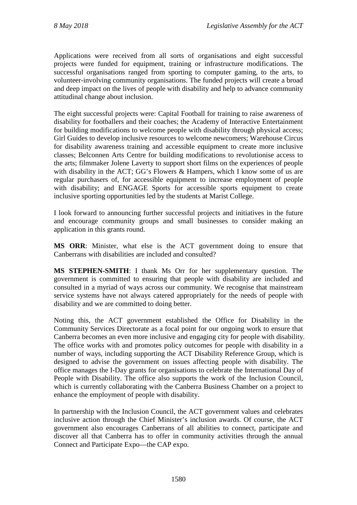Applications were received from all sorts of organisations and eight successful projects were funded for equipment, training or infrastructure modifications. The successful organisations ranged from sporting to computer gaming, to the arts, to volunteer-involving community organisations. The funded projects will create a broad and deep impact on the lives of people with disability and help to advance community attitudinal change about inclusion.

The eight successful projects were: Capital Football for training to raise awareness of disability for footballers and their coaches; the Academy of Interactive Entertainment for building modifications to welcome people with disability through physical access; Girl Guides to develop inclusive resources to welcome newcomers; Warehouse Circus for disability awareness training and accessible equipment to create more inclusive classes; Belconnen Arts Centre for building modifications to revolutionise access to the arts; filmmaker Jolene Laverty to support short films on the experiences of people with disability in the ACT; GG's Flowers & Hampers, which I know some of us are regular purchasers of, for accessible equipment to increase employment of people with disability; and ENGAGE Sports for accessible sports equipment to create inclusive sporting opportunities led by the students at Marist College.

I look forward to announcing further successful projects and initiatives in the future and encourage community groups and small businesses to consider making an application in this grants round.

**MS ORR**: Minister, what else is the ACT government doing to ensure that Canberrans with disabilities are included and consulted?

**MS STEPHEN-SMITH**: I thank Ms Orr for her supplementary question. The government is committed to ensuring that people with disability are included and consulted in a myriad of ways across our community. We recognise that mainstream service systems have not always catered appropriately for the needs of people with disability and we are committed to doing better.

Noting this, the ACT government established the Office for Disability in the Community Services Directorate as a focal point for our ongoing work to ensure that Canberra becomes an even more inclusive and engaging city for people with disability. The office works with and promotes policy outcomes for people with disability in a number of ways, including supporting the ACT Disability Reference Group, which is designed to advise the government on issues affecting people with disability. The office manages the I-Day grants for organisations to celebrate the International Day of People with Disability. The office also supports the work of the Inclusion Council, which is currently collaborating with the Canberra Business Chamber on a project to enhance the employment of people with disability.

In partnership with the Inclusion Council, the ACT government values and celebrates inclusive action through the Chief Minister's inclusion awards. Of course, the ACT government also encourages Canberrans of all abilities to connect, participate and discover all that Canberra has to offer in community activities through the annual Connect and Participate Expo—the CAP expo.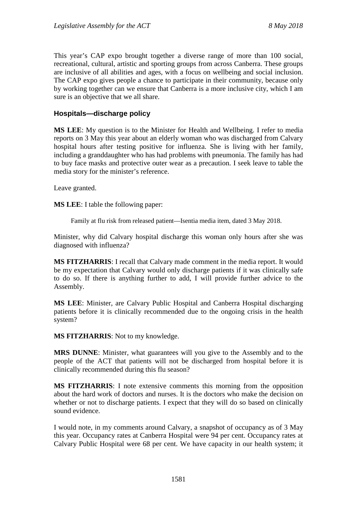This year's CAP expo brought together a diverse range of more than 100 social, recreational, cultural, artistic and sporting groups from across Canberra. These groups are inclusive of all abilities and ages, with a focus on wellbeing and social inclusion. The CAP expo gives people a chance to participate in their community, because only by working together can we ensure that Canberra is a more inclusive city, which I am sure is an objective that we all share.

#### **Hospitals—discharge policy**

**MS LEE**: My question is to the Minister for Health and Wellbeing. I refer to media reports on 3 May this year about an elderly woman who was discharged from Calvary hospital hours after testing positive for influenza. She is living with her family, including a granddaughter who has had problems with pneumonia. The family has had to buy face masks and protective outer wear as a precaution. I seek leave to table the media story for the minister's reference.

Leave granted.

**MS LEE**: I table the following paper:

Family at flu risk from released patient—Isentia media item, dated 3 May 2018.

Minister, why did Calvary hospital discharge this woman only hours after she was diagnosed with influenza?

**MS FITZHARRIS**: I recall that Calvary made comment in the media report. It would be my expectation that Calvary would only discharge patients if it was clinically safe to do so. If there is anything further to add, I will provide further advice to the Assembly.

**MS LEE**: Minister, are Calvary Public Hospital and Canberra Hospital discharging patients before it is clinically recommended due to the ongoing crisis in the health system?

**MS FITZHARRIS**: Not to my knowledge.

**MRS DUNNE**: Minister, what guarantees will you give to the Assembly and to the people of the ACT that patients will not be discharged from hospital before it is clinically recommended during this flu season?

**MS FITZHARRIS**: I note extensive comments this morning from the opposition about the hard work of doctors and nurses. It is the doctors who make the decision on whether or not to discharge patients. I expect that they will do so based on clinically sound evidence.

I would note, in my comments around Calvary, a snapshot of occupancy as of 3 May this year. Occupancy rates at Canberra Hospital were 94 per cent. Occupancy rates at Calvary Public Hospital were 68 per cent. We have capacity in our health system; it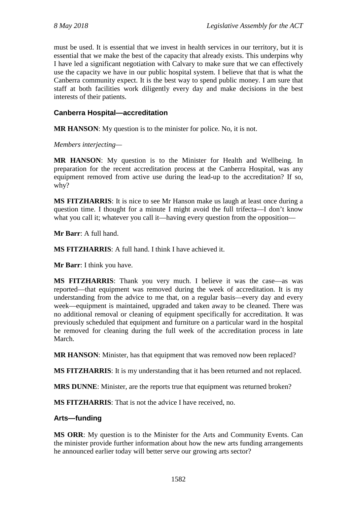must be used. It is essential that we invest in health services in our territory, but it is essential that we make the best of the capacity that already exists. This underpins why I have led a significant negotiation with Calvary to make sure that we can effectively use the capacity we have in our public hospital system. I believe that that is what the Canberra community expect. It is the best way to spend public money. I am sure that staff at both facilities work diligently every day and make decisions in the best interests of their patients.

## **Canberra Hospital—accreditation**

**MR HANSON**: My question is to the minister for police. No, it is not.

*Members interjecting—*

**MR HANSON**: My question is to the Minister for Health and Wellbeing. In preparation for the recent accreditation process at the Canberra Hospital, was any equipment removed from active use during the lead-up to the accreditation? If so, why?

**MS FITZHARRIS**: It is nice to see Mr Hanson make us laugh at least once during a question time. I thought for a minute I might avoid the full trifecta—I don't know what you call it; whatever you call it—having every question from the opposition—

**Mr Barr**: A full hand.

**MS FITZHARRIS**: A full hand. I think I have achieved it.

**Mr Barr**: I think you have.

**MS FITZHARRIS**: Thank you very much. I believe it was the case—as was reported—that equipment was removed during the week of accreditation. It is my understanding from the advice to me that, on a regular basis—every day and every week—equipment is maintained, upgraded and taken away to be cleaned. There was no additional removal or cleaning of equipment specifically for accreditation. It was previously scheduled that equipment and furniture on a particular ward in the hospital be removed for cleaning during the full week of the accreditation process in late March.

**MR HANSON**: Minister, has that equipment that was removed now been replaced?

**MS FITZHARRIS**: It is my understanding that it has been returned and not replaced.

**MRS DUNNE**: Minister, are the reports true that equipment was returned broken?

**MS FITZHARRIS**: That is not the advice I have received, no.

#### **Arts—funding**

**MS ORR**: My question is to the Minister for the Arts and Community Events. Can the minister provide further information about how the new arts funding arrangements he announced earlier today will better serve our growing arts sector?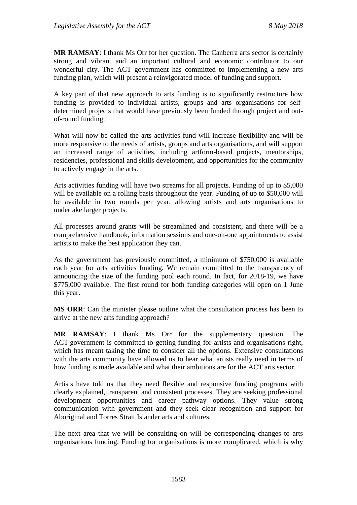**MR RAMSAY**: I thank Ms Orr for her question. The Canberra arts sector is certainly strong and vibrant and an important cultural and economic contributor to our wonderful city. The ACT government has committed to implementing a new arts funding plan, which will present a reinvigorated model of funding and support.

A key part of that new approach to arts funding is to significantly restructure how funding is provided to individual artists, groups and arts organisations for selfdetermined projects that would have previously been funded through project and outof-round funding.

What will now be called the arts activities fund will increase flexibility and will be more responsive to the needs of artists, groups and arts organisations, and will support an increased range of activities, including artform-based projects, mentorships, residencies, professional and skills development, and opportunities for the community to actively engage in the arts.

Arts activities funding will have two streams for all projects. Funding of up to \$5,000 will be available on a rolling basis throughout the year. Funding of up to \$50,000 will be available in two rounds per year, allowing artists and arts organisations to undertake larger projects.

All processes around grants will be streamlined and consistent, and there will be a comprehensive handbook, information sessions and one-on-one appointments to assist artists to make the best application they can.

As the government has previously committed, a minimum of \$750,000 is available each year for arts activities funding. We remain committed to the transparency of announcing the size of the funding pool each round. In fact, for 2018-19, we have \$775,000 available. The first round for both funding categories will open on 1 June this year.

**MS ORR**: Can the minister please outline what the consultation process has been to arrive at the new arts funding approach?

**MR RAMSAY**: I thank Ms Orr for the supplementary question. The ACT government is committed to getting funding for artists and organisations right, which has meant taking the time to consider all the options. Extensive consultations with the arts community have allowed us to hear what artists really need in terms of how funding is made available and what their ambitions are for the ACT arts sector.

Artists have told us that they need flexible and responsive funding programs with clearly explained, transparent and consistent processes. They are seeking professional development opportunities and career pathway options. They value strong communication with government and they seek clear recognition and support for Aboriginal and Torres Strait Islander arts and cultures.

The next area that we will be consulting on will be corresponding changes to arts organisations funding. Funding for organisations is more complicated, which is why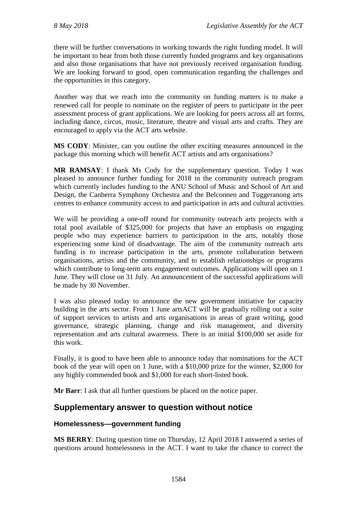there will be further conversations in working towards the right funding model. It will be important to hear from both those currently funded programs and key organisations and also those organisations that have not previously received organisation funding. We are looking forward to good, open communication regarding the challenges and the opportunities in this category.

Another way that we reach into the community on funding matters is to make a renewed call for people to nominate on the register of peers to participate in the peer assessment process of grant applications. We are looking for peers across all art forms, including dance, circus, music, literature, theatre and visual arts and crafts. They are encouraged to apply via the ACT arts website.

**MS CODY**: Minister, can you outline the other exciting measures announced in the package this morning which will benefit ACT artists and arts organisations?

**MR RAMSAY**: I thank Ms Cody for the supplementary question. Today I was pleased to announce further funding for 2018 in the community outreach program which currently includes funding to the ANU School of Music and School of Art and Design, the Canberra Symphony Orchestra and the Belconnen and Tuggeranong arts centres to enhance community access to and participation in arts and cultural activities.

We will be providing a one-off round for community outreach arts projects with a total pool available of \$325,000 for projects that have an emphasis on engaging people who may experience barriers to participation in the arts, notably those experiencing some kind of disadvantage. The aim of the community outreach arts funding is to increase participation in the arts, promote collaboration between organisations, artists and the community, and to establish relationships or programs which contribute to long-term arts engagement outcomes. Applications will open on 1 June. They will close on 31 July. An announcement of the successful applications will be made by 30 November.

I was also pleased today to announce the new government initiative for capacity building in the arts sector. From 1 June artsACT will be gradually rolling out a suite of support services to artists and arts organisations in areas of grant writing, good governance, strategic planning, change and risk management, and diversity representation and arts cultural awareness. There is an initial \$100,000 set aside for this work.

Finally, it is good to have been able to announce today that nominations for the ACT book of the year will open on 1 June, with a \$10,000 prize for the winner, \$2,000 for any highly commended book and \$1,000 for each short-listed book.

**Mr Barr**: I ask that all further questions be placed on the notice paper.

# **Supplementary answer to question without notice**

## **Homelessness—government funding**

**MS BERRY**: During question time on Thursday, 12 April 2018 I answered a series of questions around homelessness in the ACT. I want to take the chance to correct the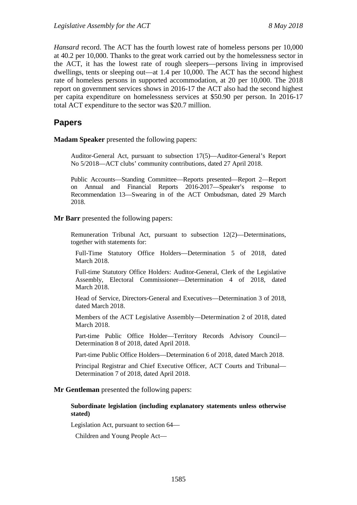*Hansard* record. The ACT has the fourth lowest rate of homeless persons per 10,000 at 40.2 per 10,000. Thanks to the great work carried out by the homelessness sector in the ACT, it has the lowest rate of rough sleepers—persons living in improvised dwellings, tents or sleeping out—at 1.4 per 10,000. The ACT has the second highest rate of homeless persons in supported accommodation, at 20 per 10,000. The 2018 report on government services shows in 2016-17 the ACT also had the second highest per capita expenditure on homelessness services at \$50.90 per person. In 2016-17 total ACT expenditure to the sector was \$20.7 million.

## **Papers**

**Madam Speaker** presented the following papers:

Auditor-General Act, pursuant to subsection 17(5)—Auditor-General's Report No 5/2018—ACT clubs' community contributions, dated 27 April 2018.

Public Accounts—Standing Committee—Reports presented—Report 2—Report on Annual and Financial Reports 2016-2017—Speaker's response to Recommendation 13—Swearing in of the ACT Ombudsman, dated 29 March 2018.

#### **Mr Barr** presented the following papers:

Remuneration Tribunal Act, pursuant to subsection 12(2)—Determinations, together with statements for:

Full-Time Statutory Office Holders—Determination 5 of 2018, dated March 2018.

Full-time Statutory Office Holders: Auditor-General, Clerk of the Legislative Assembly, Electoral Commissioner—Determination 4 of 2018, dated March 2018.

Head of Service, Directors-General and Executives—Determination 3 of 2018, dated March 2018.

Members of the ACT Legislative Assembly—Determination 2 of 2018, dated March 2018.

Part-time Public Office Holder—Territory Records Advisory Council— Determination 8 of 2018, dated April 2018.

Part-time Public Office Holders—Determination 6 of 2018, dated March 2018.

Principal Registrar and Chief Executive Officer, ACT Courts and Tribunal— Determination 7 of 2018, dated April 2018.

#### **Mr Gentleman** presented the following papers:

#### **Subordinate legislation (including explanatory statements unless otherwise stated)**

Legislation Act, pursuant to section 64—

Children and Young People Act—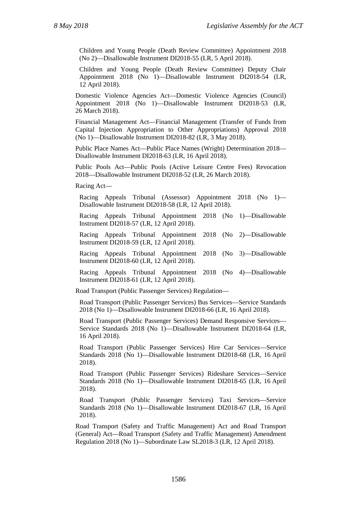Children and Young People (Death Review Committee) Appointment 2018 (No 2)—Disallowable Instrument DI2018-55 (LR, 5 April 2018).

Children and Young People (Death Review Committee) Deputy Chair Appointment 2018 (No 1)—Disallowable Instrument DI2018-54 (LR, 12 April 2018).

Domestic Violence Agencies Act—Domestic Violence Agencies (Council) Appointment 2018 (No 1)—Disallowable Instrument DI2018-53 (LR, 26 March 2018).

Financial Management Act—Financial Management (Transfer of Funds from Capital Injection Appropriation to Other Appropriations) Approval 2018 (No 1)—Disallowable Instrument DI2018-82 (LR, 3 May 2018).

Public Place Names Act—Public Place Names (Wright) Determination 2018— Disallowable Instrument DI2018-63 (LR, 16 April 2018).

Public Pools Act—Public Pools (Active Leisure Centre Fees) Revocation 2018—Disallowable Instrument DI2018-52 (LR, 26 March 2018).

Racing Act—

Racing Appeals Tribunal (Assessor) Appointment 2018 (No 1)— Disallowable Instrument DI2018-58 (LR, 12 April 2018).

Racing Appeals Tribunal Appointment 2018 (No 1)—Disallowable Instrument DI2018-57 (LR, 12 April 2018).

Racing Appeals Tribunal Appointment 2018 (No 2)—Disallowable Instrument DI2018-59 (LR, 12 April 2018).

Racing Appeals Tribunal Appointment 2018 (No 3)—Disallowable Instrument DI2018-60 (LR, 12 April 2018).

Racing Appeals Tribunal Appointment 2018 (No 4)—Disallowable Instrument DI2018-61 (LR, 12 April 2018).

Road Transport (Public Passenger Services) Regulation—

Road Transport (Public Passenger Services) Bus Services—Service Standards 2018 (No 1)—Disallowable Instrument DI2018-66 (LR, 16 April 2018).

Road Transport (Public Passenger Services) Demand Responsive Services— Service Standards 2018 (No 1)—Disallowable Instrument DI2018-64 (LR, 16 April 2018).

Road Transport (Public Passenger Services) Hire Car Services—Service Standards 2018 (No 1)—Disallowable Instrument DI2018-68 (LR, 16 April 2018).

Road Transport (Public Passenger Services) Rideshare Services—Service Standards 2018 (No 1)—Disallowable Instrument DI2018-65 (LR, 16 April 2018).

Road Transport (Public Passenger Services) Taxi Services—Service Standards 2018 (No 1)—Disallowable Instrument DI2018-67 (LR, 16 April 2018).

Road Transport (Safety and Traffic Management) Act and Road Transport (General) Act—Road Transport (Safety and Traffic Management) Amendment Regulation 2018 (No 1)—Subordinate Law SL2018-3 (LR, 12 April 2018).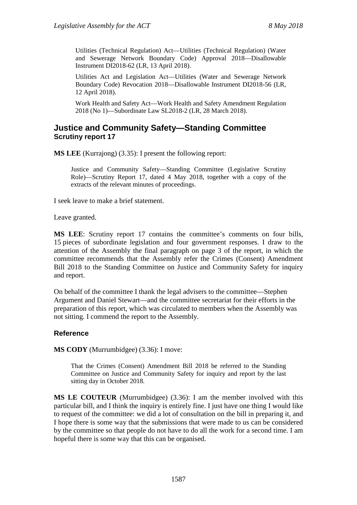Utilities (Technical Regulation) Act—Utilities (Technical Regulation) (Water and Sewerage Network Boundary Code) Approval 2018—Disallowable Instrument DI2018-62 (LR, 13 April 2018).

Utilities Act and Legislation Act—Utilities (Water and Sewerage Network Boundary Code) Revocation 2018—Disallowable Instrument DI2018-56 (LR, 12 April 2018).

Work Health and Safety Act—Work Health and Safety Amendment Regulation 2018 (No 1)—Subordinate Law SL2018-2 (LR, 28 March 2018).

### **Justice and Community Safety—Standing Committee Scrutiny report 17**

**MS LEE** (Kurrajong) (3.35): I present the following report:

Justice and Community Safety—Standing Committee (Legislative Scrutiny Role)—Scrutiny Report 17*,* dated 4 May 2018, together with a copy of the extracts of the relevant minutes of proceedings.

I seek leave to make a brief statement.

Leave granted.

**MS LEE**: Scrutiny report 17 contains the committee's comments on four bills, 15 pieces of subordinate legislation and four government responses. I draw to the attention of the Assembly the final paragraph on page 3 of the report, in which the committee recommends that the Assembly refer the Crimes (Consent) Amendment Bill 2018 to the Standing Committee on Justice and Community Safety for inquiry and report.

On behalf of the committee I thank the legal advisers to the committee—Stephen Argument and Daniel Stewart—and the committee secretariat for their efforts in the preparation of this report, which was circulated to members when the Assembly was not sitting. I commend the report to the Assembly.

### **Reference**

**MS CODY** (Murrumbidgee) (3.36): I move:

That the Crimes (Consent) Amendment Bill 2018 be referred to the Standing Committee on Justice and Community Safety for inquiry and report by the last sitting day in October 2018.

**MS LE COUTEUR** (Murrumbidgee) (3.36): I am the member involved with this particular bill, and I think the inquiry is entirely fine. I just have one thing I would like to request of the committee: we did a lot of consultation on the bill in preparing it, and I hope there is some way that the submissions that were made to us can be considered by the committee so that people do not have to do all the work for a second time. I am hopeful there is some way that this can be organised.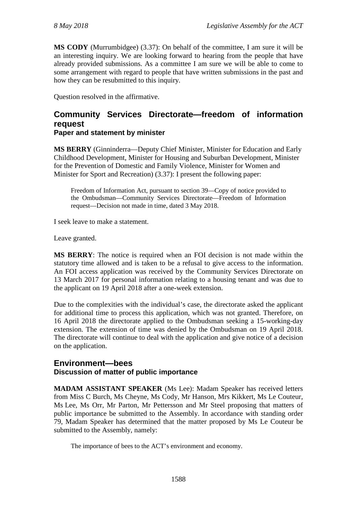**MS CODY** (Murrumbidgee) (3.37): On behalf of the committee, I am sure it will be an interesting inquiry. We are looking forward to hearing from the people that have already provided submissions. As a committee I am sure we will be able to come to some arrangement with regard to people that have written submissions in the past and how they can be resubmitted to this inquiry.

Question resolved in the affirmative.

### **Community Services Directorate—freedom of information request Paper and statement by minister**

**MS BERRY** (Ginninderra—Deputy Chief Minister, Minister for Education and Early Childhood Development, Minister for Housing and Suburban Development, Minister for the Prevention of Domestic and Family Violence, Minister for Women and Minister for Sport and Recreation) (3.37): I present the following paper:

Freedom of Information Act, pursuant to section 39—Copy of notice provided to the Ombudsman—Community Services Directorate—Freedom of Information request—Decision not made in time, dated 3 May 2018.

I seek leave to make a statement.

Leave granted.

**MS BERRY**: The notice is required when an FOI decision is not made within the statutory time allowed and is taken to be a refusal to give access to the information. An FOI access application was received by the Community Services Directorate on 13 March 2017 for personal information relating to a housing tenant and was due to the applicant on 19 April 2018 after a one-week extension.

Due to the complexities with the individual's case, the directorate asked the applicant for additional time to process this application, which was not granted. Therefore, on 16 April 2018 the directorate applied to the Ombudsman seeking a 15-working-day extension. The extension of time was denied by the Ombudsman on 19 April 2018. The directorate will continue to deal with the application and give notice of a decision on the application.

### **Environment—bees Discussion of matter of public importance**

**MADAM ASSISTANT SPEAKER** (Ms Lee): Madam Speaker has received letters from Miss C Burch, Ms Cheyne, Ms Cody, Mr Hanson, Mrs Kikkert, Ms Le Couteur, Ms Lee, Ms Orr, Mr Parton, Mr Pettersson and Mr Steel proposing that matters of public importance be submitted to the Assembly. In accordance with standing order 79, Madam Speaker has determined that the matter proposed by Ms Le Couteur be submitted to the Assembly, namely:

The importance of bees to the ACT's environment and economy.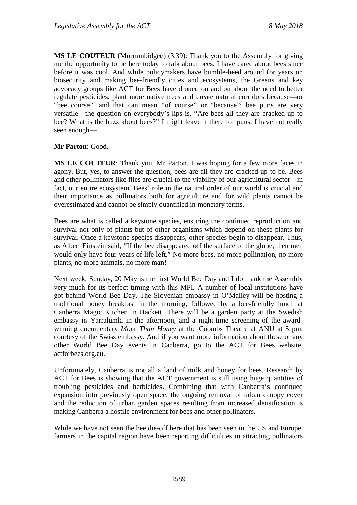**MS LE COUTEUR** (Murrumbidgee) (3.39): Thank you to the Assembly for giving me the opportunity to be here today to talk about bees. I have cared about bees since before it was cool. And while policymakers have bumble-beed around for years on biosecurity and making bee-friendly cities and ecosystems, the Greens and key advocacy groups like ACT for Bees have droned on and on about the need to better regulate pesticides, plant more native trees and create natural corridors because—or "bee course", and that can mean "of course" or "because"; bee puns are very versatile—the question on everybody's lips is, "Are bees all they are cracked up to bee? What is the buzz about bees?" I might leave it there for puns. I have not really seen enough—

### **Mr Parton**: Good.

**MS LE COUTEUR**: Thank you, Mr Parton. I was hoping for a few more faces in agony. But, yes, to answer the question, bees are all they are cracked up to be. Bees and other pollinators like flies are crucial to the viability of our agricultural sector—in fact, our entire ecosystem. Bees' role in the natural order of our world is crucial and their importance as pollinators both for agriculture and for wild plants cannot be overestimated and cannot be simply quantified in monetary terms.

Bees are what is called a keystone species, ensuring the continued reproduction and survival not only of plants but of other organisms which depend on these plants for survival. Once a keystone species disappears, other species begin to disappear. Thus, as Albert Einstein said, "If the bee disappeared off the surface of the globe, then men would only have four years of life left." No more bees, no more pollination, no more plants, no more animals, no more man!

Next week, Sunday, 20 May is the first World Bee Day and I do thank the Assembly very much for its perfect timing with this MPI. A number of local institutions have got behind World Bee Day. The Slovenian embassy in O'Malley will be hosting a traditional honey breakfast in the morning, followed by a bee-friendly lunch at Canberra Magic Kitchen in Hackett. There will be a garden party at the Swedish embassy in Yarralumla in the afternoon, and a night-time screening of the awardwinning documentary *More Than Honey* at the Coombs Theatre at ANU at 5 pm, courtesy of the Swiss embassy. And if you want more information about these or any other World Bee Day events in Canberra, go to the ACT for Bees website, actforbees.org.au.

Unfortunately, Canberra is not all a land of milk and honey for bees. Research by ACT for Bees is showing that the ACT government is still using huge quantities of troubling pesticides and herbicides. Combining that with Canberra's continued expansion into previously open space, the ongoing removal of urban canopy cover and the reduction of urban garden spaces resulting from increased densification is making Canberra a hostile environment for bees and other pollinators.

While we have not seen the bee die-off here that has been seen in the US and Europe, farmers in the capital region have been reporting difficulties in attracting pollinators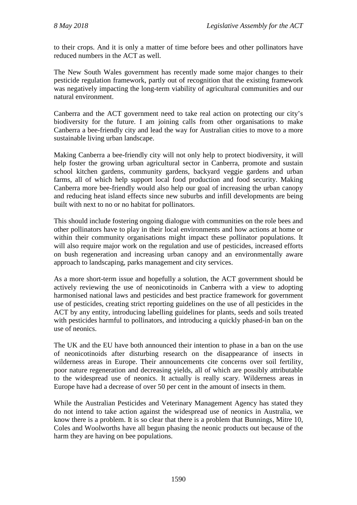to their crops. And it is only a matter of time before bees and other pollinators have reduced numbers in the ACT as well.

The New South Wales government has recently made some major changes to their pesticide regulation framework, partly out of recognition that the existing framework was negatively impacting the long-term viability of agricultural communities and our natural environment.

Canberra and the ACT government need to take real action on protecting our city's biodiversity for the future. I am joining calls from other organisations to make Canberra a bee-friendly city and lead the way for Australian cities to move to a more sustainable living urban landscape.

Making Canberra a bee-friendly city will not only help to protect biodiversity, it will help foster the growing urban agricultural sector in Canberra, promote and sustain school kitchen gardens, community gardens, backyard veggie gardens and urban farms, all of which help support local food production and food security. Making Canberra more bee-friendly would also help our goal of increasing the urban canopy and reducing heat island effects since new suburbs and infill developments are being built with next to no or no habitat for pollinators.

This should include fostering ongoing dialogue with communities on the role bees and other pollinators have to play in their local environments and how actions at home or within their community organisations might impact these pollinator populations. It will also require major work on the regulation and use of pesticides, increased efforts on bush regeneration and increasing urban canopy and an environmentally aware approach to landscaping, parks management and city services.

As a more short-term issue and hopefully a solution, the ACT government should be actively reviewing the use of neonicotinoids in Canberra with a view to adopting harmonised national laws and pesticides and best practice framework for government use of pesticides, creating strict reporting guidelines on the use of all pesticides in the ACT by any entity, introducing labelling guidelines for plants, seeds and soils treated with pesticides harmful to pollinators, and introducing a quickly phased-in ban on the use of neonics.

The UK and the EU have both announced their intention to phase in a ban on the use of neonicotinoids after disturbing research on the disappearance of insects in wilderness areas in Europe. Their announcements cite concerns over soil fertility, poor nature regeneration and decreasing yields, all of which are possibly attributable to the widespread use of neonics. It actually is really scary. Wilderness areas in Europe have had a decrease of over 50 per cent in the amount of insects in them.

While the Australian Pesticides and Veterinary Management Agency has stated they do not intend to take action against the widespread use of neonics in Australia, we know there is a problem. It is so clear that there is a problem that Bunnings, Mitre 10, Coles and Woolworths have all begun phasing the neonic products out because of the harm they are having on bee populations.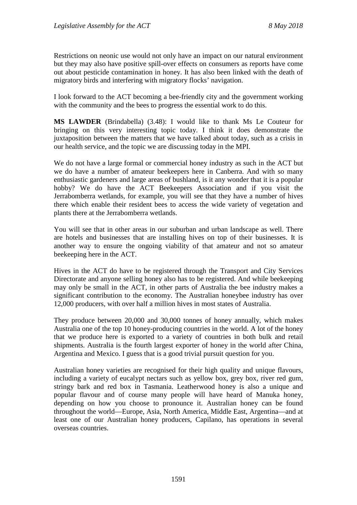Restrictions on neonic use would not only have an impact on our natural environment but they may also have positive spill-over effects on consumers as reports have come out about pesticide contamination in honey. It has also been linked with the death of migratory birds and interfering with migratory flocks' navigation.

I look forward to the ACT becoming a bee-friendly city and the government working with the community and the bees to progress the essential work to do this.

**MS LAWDER** (Brindabella) (3.48): I would like to thank Ms Le Couteur for bringing on this very interesting topic today. I think it does demonstrate the juxtaposition between the matters that we have talked about today, such as a crisis in our health service, and the topic we are discussing today in the MPI.

We do not have a large formal or commercial honey industry as such in the ACT but we do have a number of amateur beekeepers here in Canberra. And with so many enthusiastic gardeners and large areas of bushland, is it any wonder that it is a popular hobby? We do have the ACT Beekeepers Association and if you visit the Jerrabomberra wetlands, for example, you will see that they have a number of hives there which enable their resident bees to access the wide variety of vegetation and plants there at the Jerrabomberra wetlands.

You will see that in other areas in our suburban and urban landscape as well. There are hotels and businesses that are installing hives on top of their businesses. It is another way to ensure the ongoing viability of that amateur and not so amateur beekeeping here in the ACT.

Hives in the ACT do have to be registered through the Transport and City Services Directorate and anyone selling honey also has to be registered. And while beekeeping may only be small in the ACT, in other parts of Australia the bee industry makes a significant contribution to the economy. The Australian honeybee industry has over 12,000 producers, with over half a million hives in most states of Australia.

They produce between 20,000 and 30,000 tonnes of honey annually, which makes Australia one of the top 10 honey-producing countries in the world. A lot of the honey that we produce here is exported to a variety of countries in both bulk and retail shipments. Australia is the fourth largest exporter of honey in the world after China, Argentina and Mexico. I guess that is a good trivial pursuit question for you.

Australian honey varieties are recognised for their high quality and unique flavours, including a variety of eucalypt nectars such as yellow box, grey box, river red gum, stringy bark and red box in Tasmania. Leatherwood honey is also a unique and popular flavour and of course many people will have heard of Manuka honey, depending on how you choose to pronounce it. Australian honey can be found throughout the world—Europe, Asia, North America, Middle East, Argentina—and at least one of our Australian honey producers, Capilano, has operations in several overseas countries.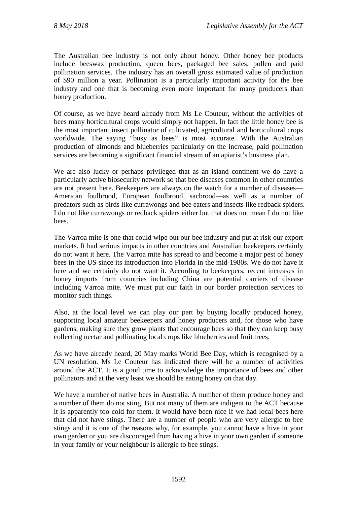The Australian bee industry is not only about honey. Other honey bee products include beeswax production, queen bees, packaged bee sales, pollen and paid pollination services. The industry has an overall gross estimated value of production of \$90 million a year. Pollination is a particularly important activity for the bee industry and one that is becoming even more important for many producers than honey production.

Of course, as we have heard already from Ms Le Couteur, without the activities of bees many horticultural crops would simply not happen. In fact the little honey bee is the most important insect pollinator of cultivated, agricultural and horticultural crops worldwide. The saying "busy as bees" is most accurate. With the Australian production of almonds and blueberries particularly on the increase, paid pollination services are becoming a significant financial stream of an apiarist's business plan.

We are also lucky or perhaps privileged that as an island continent we do have a particularly active biosecurity network so that bee diseases common in other countries are not present here. Beekeepers are always on the watch for a number of diseases— American foulbrood, European foulbrood, sacbrood—as well as a number of predators such as birds like currawongs and bee eaters and insects like redback spiders. I do not like currawongs or redback spiders either but that does not mean I do not like bees.

The Varroa mite is one that could wipe out our bee industry and put at risk our export markets. It had serious impacts in other countries and Australian beekeepers certainly do not want it here. The Varroa mite has spread to and become a major pest of honey bees in the US since its introduction into Florida in the mid-1980s. We do not have it here and we certainly do not want it. According to beekeepers, recent increases in honey imports from countries including China are potential carriers of disease including Varroa mite. We must put our faith in our border protection services to monitor such things.

Also, at the local level we can play our part by buying locally produced honey, supporting local amateur beekeepers and honey producers and, for those who have gardens, making sure they grow plants that encourage bees so that they can keep busy collecting nectar and pollinating local crops like blueberries and fruit trees.

As we have already heard, 20 May marks World Bee Day, which is recognised by a UN resolution. Ms Le Couteur has indicated there will be a number of activities around the ACT. It is a good time to acknowledge the importance of bees and other pollinators and at the very least we should be eating honey on that day.

We have a number of native bees in Australia. A number of them produce honey and a number of them do not sting. But not many of them are indigent to the ACT because it is apparently too cold for them. It would have been nice if we had local bees here that did not have stings. There are a number of people who are very allergic to bee stings and it is one of the reasons why, for example, you cannot have a hive in your own garden or you are discouraged from having a hive in your own garden if someone in your family or your neighbour is allergic to bee stings.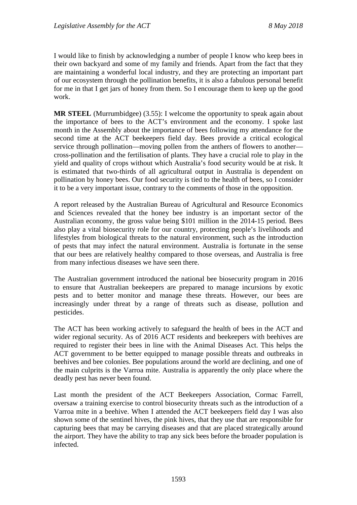I would like to finish by acknowledging a number of people I know who keep bees in their own backyard and some of my family and friends. Apart from the fact that they are maintaining a wonderful local industry, and they are protecting an important part of our ecosystem through the pollination benefits, it is also a fabulous personal benefit for me in that I get jars of honey from them. So I encourage them to keep up the good work.

**MR STEEL** (Murrumbidgee) (3.55): I welcome the opportunity to speak again about the importance of bees to the ACT's environment and the economy. I spoke last month in the Assembly about the importance of bees following my attendance for the second time at the ACT beekeepers field day. Bees provide a critical ecological service through pollination—moving pollen from the anthers of flowers to another cross-pollination and the fertilisation of plants. They have a crucial role to play in the yield and quality of crops without which Australia's food security would be at risk. It is estimated that two-thirds of all agricultural output in Australia is dependent on pollination by honey bees. Our food security is tied to the health of bees, so I consider it to be a very important issue, contrary to the comments of those in the opposition.

A report released by the Australian Bureau of Agricultural and Resource Economics and Sciences revealed that the honey bee industry is an important sector of the Australian economy, the gross value being \$101 million in the 2014-15 period. Bees also play a vital biosecurity role for our country, protecting people's livelihoods and lifestyles from biological threats to the natural environment, such as the introduction of pests that may infect the natural environment. Australia is fortunate in the sense that our bees are relatively healthy compared to those overseas, and Australia is free from many infectious diseases we have seen there.

The Australian government introduced the national bee biosecurity program in 2016 to ensure that Australian beekeepers are prepared to manage incursions by exotic pests and to better monitor and manage these threats. However, our bees are increasingly under threat by a range of threats such as disease, pollution and pesticides.

The ACT has been working actively to safeguard the health of bees in the ACT and wider regional security. As of 2016 ACT residents and beekeepers with beehives are required to register their bees in line with the Animal Diseases Act. This helps the ACT government to be better equipped to manage possible threats and outbreaks in beehives and bee colonies. Bee populations around the world are declining, and one of the main culprits is the Varroa mite. Australia is apparently the only place where the deadly pest has never been found.

Last month the president of the ACT Beekeepers Association, Cormac Farrell, oversaw a training exercise to control biosecurity threats such as the introduction of a Varroa mite in a beehive. When I attended the ACT beekeepers field day I was also shown some of the sentinel hives, the pink hives, that they use that are responsible for capturing bees that may be carrying diseases and that are placed strategically around the airport. They have the ability to trap any sick bees before the broader population is infected.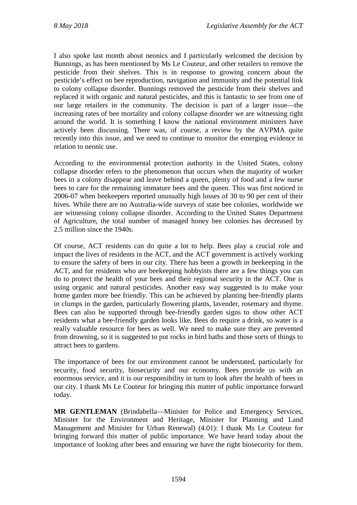I also spoke last month about neonics and I particularly welcomed the decision by Bunnings, as has been mentioned by Ms Le Couteur, and other retailers to remove the pesticide from their shelves. This is in response to growing concern about the pesticide's effect on bee reproduction, navigation and immunity and the potential link to colony collapse disorder. Bunnings removed the pesticide from their shelves and replaced it with organic and natural pesticides, and this is fantastic to see from one of our large retailers in the community. The decision is part of a larger issue—the increasing rates of bee mortality and colony collapse disorder we are witnessing right around the world. It is something I know the national environment ministers have actively been discussing. There was, of course, a review by the AVPMA quite recently into this issue, and we need to continue to monitor the emerging evidence in relation to neonic use.

According to the environmental protection authority in the United States, colony collapse disorder refers to the phenomenon that occurs when the majority of worker bees in a colony disappear and leave behind a queen, plenty of food and a few nurse bees to care for the remaining immature bees and the queen. This was first noticed in 2006-07 when beekeepers reported unusually high losses of 30 to 90 per cent of their hives. While there are no Australia-wide surveys of state bee colonies, worldwide we are witnessing colony collapse disorder. According to the United States Department of Agriculture, the total number of managed honey bee colonies has decreased by 2.5 million since the 1940s.

Of course, ACT residents can do quite a lot to help. Bees play a crucial role and impact the lives of residents in the ACT, and the ACT government is actively working to ensure the safety of bees in our city. There has been a growth in beekeeping in the ACT, and for residents who are beekeeping hobbyists there are a few things you can do to protect the health of your bees and their regional security in the ACT. One is using organic and natural pesticides. Another easy way suggested is to make your home garden more bee friendly. This can be achieved by planting bee-friendly plants in clumps in the garden, particularly flowering plants, lavender, rosemary and thyme. Bees can also be supported through bee-friendly garden signs to show other ACT residents what a bee-friendly garden looks like. Bees do require a drink, so water is a really valuable resource for bees as well. We need to make sure they are prevented from drowning, so it is suggested to put rocks in bird baths and those sorts of things to attract bees to gardens.

The importance of bees for our environment cannot be understated, particularly for security, food security, biosecurity and our economy. Bees provide us with an enormous service, and it is our responsibility in turn to look after the health of bees in our city. I thank Ms Le Couteur for bringing this matter of public importance forward today.

**MR GENTLEMAN** (Brindabella—Minister for Police and Emergency Services, Minister for the Environment and Heritage, Minister for Planning and Land Management and Minister for Urban Renewal) (4.01): I thank Ms Le Couteur for bringing forward this matter of public importance. We have heard today about the importance of looking after bees and ensuring we have the right biosecurity for them.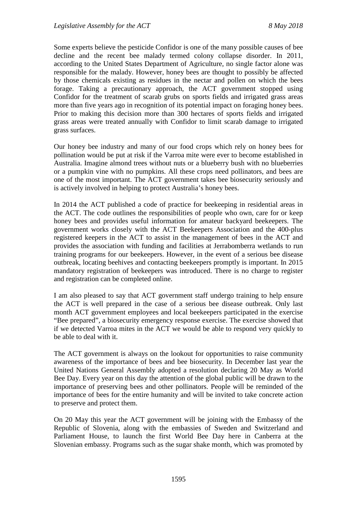Some experts believe the pesticide Confidor is one of the many possible causes of bee decline and the recent bee malady termed colony collapse disorder. In 2011, according to the United States Department of Agriculture, no single factor alone was responsible for the malady. However, honey bees are thought to possibly be affected by those chemicals existing as residues in the nectar and pollen on which the bees forage. Taking a precautionary approach, the ACT government stopped using Confidor for the treatment of scarab grubs on sports fields and irrigated grass areas more than five years ago in recognition of its potential impact on foraging honey bees. Prior to making this decision more than 300 hectares of sports fields and irrigated grass areas were treated annually with Confidor to limit scarab damage to irrigated grass surfaces.

Our honey bee industry and many of our food crops which rely on honey bees for pollination would be put at risk if the Varroa mite were ever to become established in Australia. Imagine almond trees without nuts or a blueberry bush with no blueberries or a pumpkin vine with no pumpkins. All these crops need pollinators, and bees are one of the most important. The ACT government takes bee biosecurity seriously and is actively involved in helping to protect Australia's honey bees.

In 2014 the ACT published a code of practice for beekeeping in residential areas in the ACT. The code outlines the responsibilities of people who own, care for or keep honey bees and provides useful information for amateur backyard beekeepers. The government works closely with the ACT Beekeepers Association and the 400-plus registered keepers in the ACT to assist in the management of bees in the ACT and provides the association with funding and facilities at Jerrabomberra wetlands to run training programs for our beekeepers. However, in the event of a serious bee disease outbreak, locating beehives and contacting beekeepers promptly is important. In 2015 mandatory registration of beekeepers was introduced. There is no charge to register and registration can be completed online.

I am also pleased to say that ACT government staff undergo training to help ensure the ACT is well prepared in the case of a serious bee disease outbreak. Only last month ACT government employees and local beekeepers participated in the exercise "Bee prepared", a biosecurity emergency response exercise. The exercise showed that if we detected Varroa mites in the ACT we would be able to respond very quickly to be able to deal with it.

The ACT government is always on the lookout for opportunities to raise community awareness of the importance of bees and bee biosecurity. In December last year the United Nations General Assembly adopted a resolution declaring 20 May as World Bee Day. Every year on this day the attention of the global public will be drawn to the importance of preserving bees and other pollinators. People will be reminded of the importance of bees for the entire humanity and will be invited to take concrete action to preserve and protect them.

On 20 May this year the ACT government will be joining with the Embassy of the Republic of Slovenia, along with the embassies of Sweden and Switzerland and Parliament House, to launch the first World Bee Day here in Canberra at the Slovenian embassy. Programs such as the sugar shake month, which was promoted by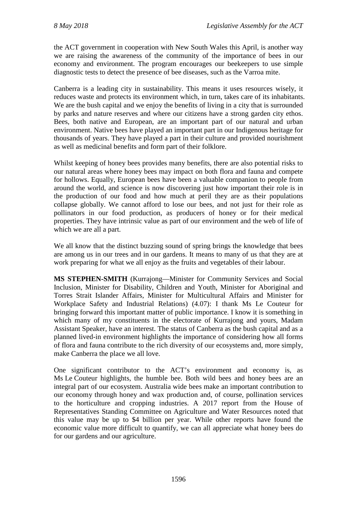the ACT government in cooperation with New South Wales this April, is another way we are raising the awareness of the community of the importance of bees in our economy and environment. The program encourages our beekeepers to use simple diagnostic tests to detect the presence of bee diseases, such as the Varroa mite.

Canberra is a leading city in sustainability. This means it uses resources wisely, it reduces waste and protects its environment which, in turn, takes care of its inhabitants. We are the bush capital and we enjoy the benefits of living in a city that is surrounded by parks and nature reserves and where our citizens have a strong garden city ethos. Bees, both native and European, are an important part of our natural and urban environment. Native bees have played an important part in our Indigenous heritage for thousands of years. They have played a part in their culture and provided nourishment as well as medicinal benefits and form part of their folklore.

Whilst keeping of honey bees provides many benefits, there are also potential risks to our natural areas where honey bees may impact on both flora and fauna and compete for hollows. Equally, European bees have been a valuable companion to people from around the world, and science is now discovering just how important their role is in the production of our food and how much at peril they are as their populations collapse globally. We cannot afford to lose our bees, and not just for their role as pollinators in our food production, as producers of honey or for their medical properties. They have intrinsic value as part of our environment and the web of life of which we are all a part.

We all know that the distinct buzzing sound of spring brings the knowledge that bees are among us in our trees and in our gardens. It means to many of us that they are at work preparing for what we all enjoy as the fruits and vegetables of their labour.

**MS STEPHEN-SMITH** (Kurrajong—Minister for Community Services and Social Inclusion, Minister for Disability, Children and Youth, Minister for Aboriginal and Torres Strait Islander Affairs, Minister for Multicultural Affairs and Minister for Workplace Safety and Industrial Relations) (4.07): I thank Ms Le Couteur for bringing forward this important matter of public importance. I know it is something in which many of my constituents in the electorate of Kurrajong and yours, Madam Assistant Speaker, have an interest. The status of Canberra as the bush capital and as a planned lived-in environment highlights the importance of considering how all forms of flora and fauna contribute to the rich diversity of our ecosystems and, more simply, make Canberra the place we all love.

One significant contributor to the ACT's environment and economy is, as Ms Le Couteur highlights, the humble bee. Both wild bees and honey bees are an integral part of our ecosystem. Australia wide bees make an important contribution to our economy through honey and wax production and, of course, pollination services to the horticulture and cropping industries. A 2017 report from the House of Representatives Standing Committee on Agriculture and Water Resources noted that this value may be up to \$4 billion per year. While other reports have found the economic value more difficult to quantify, we can all appreciate what honey bees do for our gardens and our agriculture.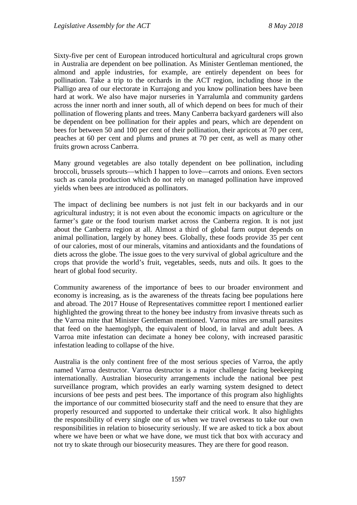Sixty-five per cent of European introduced horticultural and agricultural crops grown in Australia are dependent on bee pollination. As Minister Gentleman mentioned, the almond and apple industries, for example, are entirely dependent on bees for pollination. Take a trip to the orchards in the ACT region, including those in the Pialligo area of our electorate in Kurrajong and you know pollination bees have been hard at work. We also have major nurseries in Yarralumla and community gardens across the inner north and inner south, all of which depend on bees for much of their pollination of flowering plants and trees. Many Canberra backyard gardeners will also be dependent on bee pollination for their apples and pears, which are dependent on bees for between 50 and 100 per cent of their pollination, their apricots at 70 per cent, peaches at 60 per cent and plums and prunes at 70 per cent, as well as many other fruits grown across Canberra.

Many ground vegetables are also totally dependent on bee pollination, including broccoli, brussels sprouts—which I happen to love—carrots and onions. Even sectors such as canola production which do not rely on managed pollination have improved yields when bees are introduced as pollinators.

The impact of declining bee numbers is not just felt in our backyards and in our agricultural industry; it is not even about the economic impacts on agriculture or the farmer's gate or the food tourism market across the Canberra region. It is not just about the Canberra region at all. Almost a third of global farm output depends on animal pollination, largely by honey bees. Globally, these foods provide 35 per cent of our calories, most of our minerals, vitamins and antioxidants and the foundations of diets across the globe. The issue goes to the very survival of global agriculture and the crops that provide the world's fruit, vegetables, seeds, nuts and oils. It goes to the heart of global food security.

Community awareness of the importance of bees to our broader environment and economy is increasing, as is the awareness of the threats facing bee populations here and abroad. The 2017 House of Representatives committee report I mentioned earlier highlighted the growing threat to the honey bee industry from invasive threats such as the Varroa mite that Minister Gentleman mentioned. Varroa mites are small parasites that feed on the haemoglyph, the equivalent of blood, in larval and adult bees. A Varroa mite infestation can decimate a honey bee colony, with increased parasitic infestation leading to collapse of the hive.

Australia is the only continent free of the most serious species of Varroa, the aptly named Varroa destructor. Varroa destructor is a major challenge facing beekeeping internationally. Australian biosecurity arrangements include the national bee pest surveillance program, which provides an early warning system designed to detect incursions of bee pests and pest bees. The importance of this program also highlights the importance of our committed biosecurity staff and the need to ensure that they are properly resourced and supported to undertake their critical work. It also highlights the responsibility of every single one of us when we travel overseas to take our own responsibilities in relation to biosecurity seriously. If we are asked to tick a box about where we have been or what we have done, we must tick that box with accuracy and not try to skate through our biosecurity measures. They are there for good reason.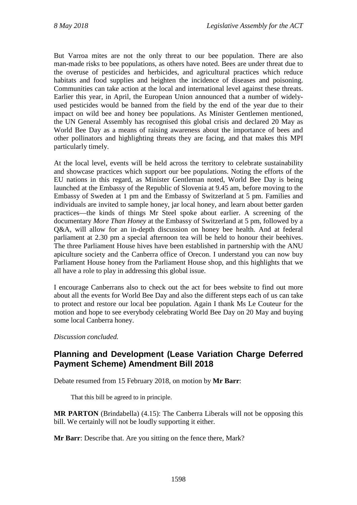But Varroa mites are not the only threat to our bee population. There are also man-made risks to bee populations, as others have noted. Bees are under threat due to the overuse of pesticides and herbicides, and agricultural practices which reduce habitats and food supplies and heighten the incidence of diseases and poisoning. Communities can take action at the local and international level against these threats. Earlier this year, in April, the European Union announced that a number of widelyused pesticides would be banned from the field by the end of the year due to their impact on wild bee and honey bee populations. As Minister Gentlemen mentioned, the UN General Assembly has recognised this global crisis and declared 20 May as World Bee Day as a means of raising awareness about the importance of bees and other pollinators and highlighting threats they are facing, and that makes this MPI particularly timely.

At the local level, events will be held across the territory to celebrate sustainability and showcase practices which support our bee populations. Noting the efforts of the EU nations in this regard, as Minister Gentleman noted, World Bee Day is being launched at the Embassy of the Republic of Slovenia at 9.45 am, before moving to the Embassy of Sweden at 1 pm and the Embassy of Switzerland at 5 pm. Families and individuals are invited to sample honey, jar local honey, and learn about better garden practices—the kinds of things Mr Steel spoke about earlier. A screening of the documentary *More Than Honey* at the Embassy of Switzerland at 5 pm, followed by a Q&A, will allow for an in-depth discussion on honey bee health. And at federal parliament at 2.30 pm a special afternoon tea will be held to honour their beehives. The three Parliament House hives have been established in partnership with the ANU apiculture society and the Canberra office of Orecon. I understand you can now buy Parliament House honey from the Parliament House shop, and this highlights that we all have a role to play in addressing this global issue.

I encourage Canberrans also to check out the act for bees website to find out more about all the events for World Bee Day and also the different steps each of us can take to protect and restore our local bee population. Again I thank Ms Le Couteur for the motion and hope to see everybody celebrating World Bee Day on 20 May and buying some local Canberra honey.

*Discussion concluded.*

# **Planning and Development (Lease Variation Charge Deferred Payment Scheme) Amendment Bill 2018**

Debate resumed from 15 February 2018, on motion by **Mr Barr**:

That this bill be agreed to in principle.

**MR PARTON** (Brindabella) (4.15): The Canberra Liberals will not be opposing this bill. We certainly will not be loudly supporting it either.

**Mr Barr**: Describe that. Are you sitting on the fence there, Mark?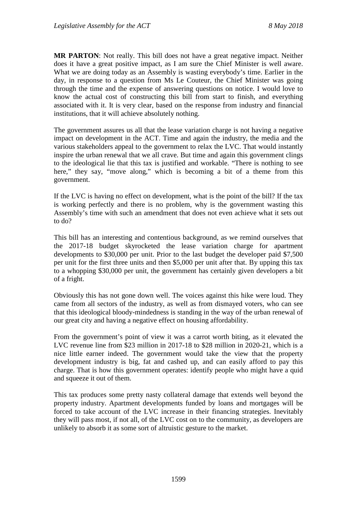**MR PARTON**: Not really. This bill does not have a great negative impact. Neither does it have a great positive impact, as I am sure the Chief Minister is well aware. What we are doing today as an Assembly is wasting everybody's time. Earlier in the day, in response to a question from Ms Le Couteur, the Chief Minister was going through the time and the expense of answering questions on notice. I would love to know the actual cost of constructing this bill from start to finish, and everything associated with it. It is very clear, based on the response from industry and financial institutions, that it will achieve absolutely nothing.

The government assures us all that the lease variation charge is not having a negative impact on development in the ACT. Time and again the industry, the media and the various stakeholders appeal to the government to relax the LVC. That would instantly inspire the urban renewal that we all crave. But time and again this government clings to the ideological lie that this tax is justified and workable. "There is nothing to see here," they say, "move along," which is becoming a bit of a theme from this government.

If the LVC is having no effect on development, what is the point of the bill? If the tax is working perfectly and there is no problem, why is the government wasting this Assembly's time with such an amendment that does not even achieve what it sets out to do?

This bill has an interesting and contentious background, as we remind ourselves that the 2017-18 budget skyrocketed the lease variation charge for apartment developments to \$30,000 per unit. Prior to the last budget the developer paid \$7,500 per unit for the first three units and then \$5,000 per unit after that. By upping this tax to a whopping \$30,000 per unit, the government has certainly given developers a bit of a fright.

Obviously this has not gone down well. The voices against this hike were loud. They came from all sectors of the industry, as well as from dismayed voters, who can see that this ideological bloody-mindedness is standing in the way of the urban renewal of our great city and having a negative effect on housing affordability.

From the government's point of view it was a carrot worth biting, as it elevated the LVC revenue line from \$23 million in 2017-18 to \$28 million in 2020-21, which is a nice little earner indeed. The government would take the view that the property development industry is big, fat and cashed up, and can easily afford to pay this charge. That is how this government operates: identify people who might have a quid and squeeze it out of them.

This tax produces some pretty nasty collateral damage that extends well beyond the property industry. Apartment developments funded by loans and mortgages will be forced to take account of the LVC increase in their financing strategies. Inevitably they will pass most, if not all, of the LVC cost on to the community, as developers are unlikely to absorb it as some sort of altruistic gesture to the market.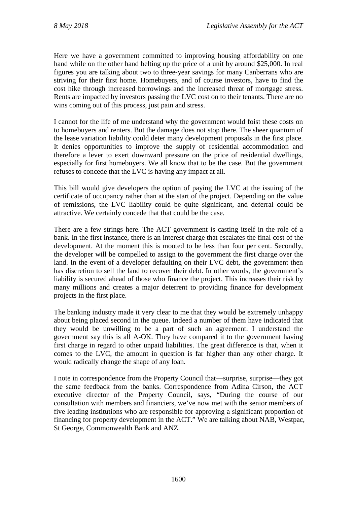Here we have a government committed to improving housing affordability on one hand while on the other hand belting up the price of a unit by around \$25,000. In real figures you are talking about two to three-year savings for many Canberrans who are striving for their first home. Homebuyers, and of course investors, have to find the cost hike through increased borrowings and the increased threat of mortgage stress. Rents are impacted by investors passing the LVC cost on to their tenants. There are no wins coming out of this process, just pain and stress.

I cannot for the life of me understand why the government would foist these costs on to homebuyers and renters. But the damage does not stop there. The sheer quantum of the lease variation liability could deter many development proposals in the first place. It denies opportunities to improve the supply of residential accommodation and therefore a lever to exert downward pressure on the price of residential dwellings, especially for first homebuyers. We all know that to be the case. But the government refuses to concede that the LVC is having any impact at all.

This bill would give developers the option of paying the LVC at the issuing of the certificate of occupancy rather than at the start of the project. Depending on the value of remissions, the LVC liability could be quite significant, and deferral could be attractive. We certainly concede that that could be the case.

There are a few strings here. The ACT government is casting itself in the role of a bank. In the first instance, there is an interest charge that escalates the final cost of the development. At the moment this is mooted to be less than four per cent. Secondly, the developer will be compelled to assign to the government the first charge over the land. In the event of a developer defaulting on their LVC debt, the government then has discretion to sell the land to recover their debt. In other words, the government's liability is secured ahead of those who finance the project. This increases their risk by many millions and creates a major deterrent to providing finance for development projects in the first place.

The banking industry made it very clear to me that they would be extremely unhappy about being placed second in the queue. Indeed a number of them have indicated that they would be unwilling to be a part of such an agreement. I understand the government say this is all A-OK. They have compared it to the government having first charge in regard to other unpaid liabilities. The great difference is that, when it comes to the LVC, the amount in question is far higher than any other charge. It would radically change the shape of any loan.

I note in correspondence from the Property Council that—surprise, surprise—they got the same feedback from the banks. Correspondence from Adina Cirson, the ACT executive director of the Property Council, says, "During the course of our consultation with members and financiers, we've now met with the senior members of five leading institutions who are responsible for approving a significant proportion of financing for property development in the ACT." We are talking about NAB, Westpac, St George, Commonwealth Bank and ANZ.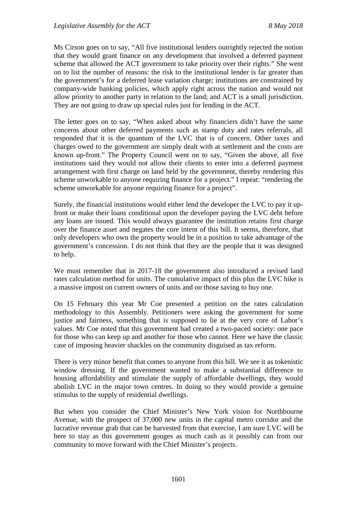Ms Cirson goes on to say, "All five institutional lenders outrightly rejected the notion that they would grant finance on any development that involved a deferred payment scheme that allowed the ACT government to take priority over their rights." She went on to list the number of reasons: the risk to the institutional lender is far greater than the government's for a deferred lease variation charge; institutions are constrained by company-wide banking policies, which apply right across the nation and would not allow priority to another party in relation to the land; and ACT is a small jurisdiction. They are not going to draw up special rules just for lending in the ACT.

The letter goes on to say, "When asked about why financiers didn't have the same concerns about other deferred payments such as stamp duty and rates referrals, all responded that it is the quantum of the LVC that is of concern. Other taxes and charges owed to the government are simply dealt with at settlement and the costs are known up-front." The Property Council went on to say, "Given the above, all five institutions said they would not allow their clients to enter into a deferred payment arrangement with first charge on land held by the government, thereby rendering this scheme unworkable to anyone requiring finance for a project." I repeat: "rendering the scheme unworkable for anyone requiring finance for a project".

Surely, the financial institutions would either lend the developer the LVC to pay it upfront or make their loans conditional upon the developer paying the LVC debt before any loans are issued. This would always guarantee the institution retains first charge over the finance asset and negates the core intent of this bill. It seems, therefore, that only developers who own the property would be in a position to take advantage of the government's concession. I do not think that they are the people that it was designed to help.

We must remember that in 2017-18 the government also introduced a revised land rates calculation method for units. The cumulative impact of this plus the LVC hike is a massive impost on current owners of units and on those saving to buy one.

On 15 February this year Mr Coe presented a petition on the rates calculation methodology to this Assembly. Petitioners were asking the government for some justice and fairness, something that is supposed to lie at the very core of Labor's values. Mr Coe noted that this government had created a two-paced society: one pace for those who can keep up and another for those who cannot. Here we have the classic case of imposing heavier shackles on the community disguised as tax reform.

There is very minor benefit that comes to anyone from this bill. We see it as tokenistic window dressing. If the government wanted to make a substantial difference to housing affordability and stimulate the supply of affordable dwellings, they would abolish LVC in the major town centres. In doing so they would provide a genuine stimulus to the supply of residential dwellings.

But when you consider the Chief Minister's New York vision for Northbourne Avenue, with the prospect of 37,000 new units in the capital metro corridor and the lucrative revenue grab that can be harvested from that exercise, I am sure LVC will be here to stay as this government gouges as much cash as it possibly can from our community to move forward with the Chief Minister's projects.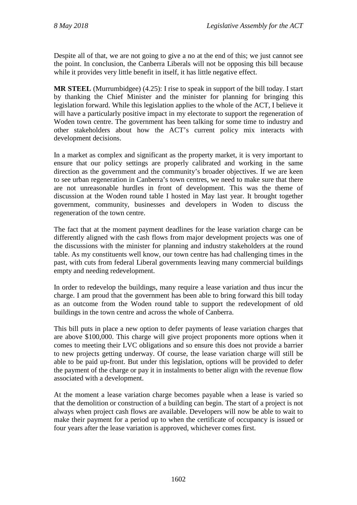Despite all of that, we are not going to give a no at the end of this; we just cannot see the point. In conclusion, the Canberra Liberals will not be opposing this bill because while it provides very little benefit in itself, it has little negative effect.

**MR STEEL** (Murrumbidgee) (4.25): I rise to speak in support of the bill today. I start by thanking the Chief Minister and the minister for planning for bringing this legislation forward. While this legislation applies to the whole of the ACT, I believe it will have a particularly positive impact in my electorate to support the regeneration of Woden town centre. The government has been talking for some time to industry and other stakeholders about how the ACT's current policy mix interacts with development decisions.

In a market as complex and significant as the property market, it is very important to ensure that our policy settings are properly calibrated and working in the same direction as the government and the community's broader objectives. If we are keen to see urban regeneration in Canberra's town centres, we need to make sure that there are not unreasonable hurdles in front of development. This was the theme of discussion at the Woden round table I hosted in May last year. It brought together government, community, businesses and developers in Woden to discuss the regeneration of the town centre.

The fact that at the moment payment deadlines for the lease variation charge can be differently aligned with the cash flows from major development projects was one of the discussions with the minister for planning and industry stakeholders at the round table. As my constituents well know, our town centre has had challenging times in the past, with cuts from federal Liberal governments leaving many commercial buildings empty and needing redevelopment.

In order to redevelop the buildings, many require a lease variation and thus incur the charge. I am proud that the government has been able to bring forward this bill today as an outcome from the Woden round table to support the redevelopment of old buildings in the town centre and across the whole of Canberra.

This bill puts in place a new option to defer payments of lease variation charges that are above \$100,000. This charge will give project proponents more options when it comes to meeting their LVC obligations and so ensure this does not provide a barrier to new projects getting underway. Of course, the lease variation charge will still be able to be paid up-front. But under this legislation, options will be provided to defer the payment of the charge or pay it in instalments to better align with the revenue flow associated with a development.

At the moment a lease variation charge becomes payable when a lease is varied so that the demolition or construction of a building can begin. The start of a project is not always when project cash flows are available. Developers will now be able to wait to make their payment for a period up to when the certificate of occupancy is issued or four years after the lease variation is approved, whichever comes first.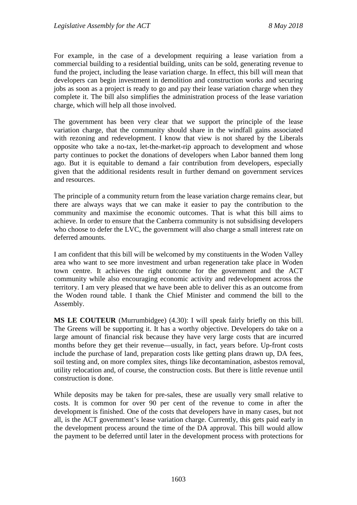For example, in the case of a development requiring a lease variation from a commercial building to a residential building, units can be sold, generating revenue to fund the project, including the lease variation charge. In effect, this bill will mean that developers can begin investment in demolition and construction works and securing jobs as soon as a project is ready to go and pay their lease variation charge when they complete it. The bill also simplifies the administration process of the lease variation charge, which will help all those involved.

The government has been very clear that we support the principle of the lease variation charge, that the community should share in the windfall gains associated with rezoning and redevelopment. I know that view is not shared by the Liberals opposite who take a no-tax, let-the-market-rip approach to development and whose party continues to pocket the donations of developers when Labor banned them long ago. But it is equitable to demand a fair contribution from developers, especially given that the additional residents result in further demand on government services and resources.

The principle of a community return from the lease variation charge remains clear, but there are always ways that we can make it easier to pay the contribution to the community and maximise the economic outcomes. That is what this bill aims to achieve. In order to ensure that the Canberra community is not subsidising developers who choose to defer the LVC, the government will also charge a small interest rate on deferred amounts.

I am confident that this bill will be welcomed by my constituents in the Woden Valley area who want to see more investment and urban regeneration take place in Woden town centre. It achieves the right outcome for the government and the ACT community while also encouraging economic activity and redevelopment across the territory. I am very pleased that we have been able to deliver this as an outcome from the Woden round table. I thank the Chief Minister and commend the bill to the Assembly.

**MS LE COUTEUR** (Murrumbidgee) (4.30): I will speak fairly briefly on this bill. The Greens will be supporting it. It has a worthy objective. Developers do take on a large amount of financial risk because they have very large costs that are incurred months before they get their revenue—usually, in fact, years before. Up-front costs include the purchase of land, preparation costs like getting plans drawn up, DA fees, soil testing and, on more complex sites, things like decontamination, asbestos removal, utility relocation and, of course, the construction costs. But there is little revenue until construction is done.

While deposits may be taken for pre-sales, these are usually very small relative to costs. It is common for over 90 per cent of the revenue to come in after the development is finished. One of the costs that developers have in many cases, but not all, is the ACT government's lease variation charge. Currently, this gets paid early in the development process around the time of the DA approval. This bill would allow the payment to be deferred until later in the development process with protections for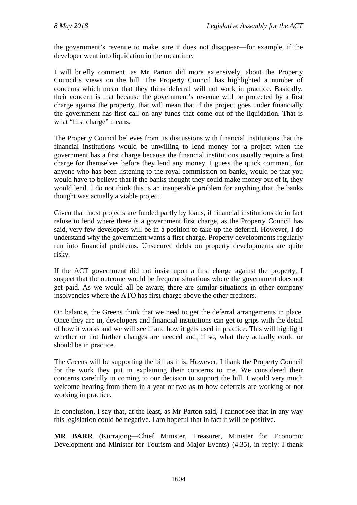the government's revenue to make sure it does not disappear—for example, if the developer went into liquidation in the meantime.

I will briefly comment, as Mr Parton did more extensively, about the Property Council's views on the bill. The Property Council has highlighted a number of concerns which mean that they think deferral will not work in practice. Basically, their concern is that because the government's revenue will be protected by a first charge against the property, that will mean that if the project goes under financially the government has first call on any funds that come out of the liquidation. That is what "first charge" means.

The Property Council believes from its discussions with financial institutions that the financial institutions would be unwilling to lend money for a project when the government has a first charge because the financial institutions usually require a first charge for themselves before they lend any money. I guess the quick comment, for anyone who has been listening to the royal commission on banks, would be that you would have to believe that if the banks thought they could make money out of it, they would lend. I do not think this is an insuperable problem for anything that the banks thought was actually a viable project.

Given that most projects are funded partly by loans, if financial institutions do in fact refuse to lend where there is a government first charge, as the Property Council has said, very few developers will be in a position to take up the deferral. However, I do understand why the government wants a first charge. Property developments regularly run into financial problems. Unsecured debts on property developments are quite risky.

If the ACT government did not insist upon a first charge against the property, I suspect that the outcome would be frequent situations where the government does not get paid. As we would all be aware, there are similar situations in other company insolvencies where the ATO has first charge above the other creditors.

On balance, the Greens think that we need to get the deferral arrangements in place. Once they are in, developers and financial institutions can get to grips with the detail of how it works and we will see if and how it gets used in practice. This will highlight whether or not further changes are needed and, if so, what they actually could or should be in practice.

The Greens will be supporting the bill as it is. However, I thank the Property Council for the work they put in explaining their concerns to me. We considered their concerns carefully in coming to our decision to support the bill. I would very much welcome hearing from them in a year or two as to how deferrals are working or not working in practice.

In conclusion, I say that, at the least, as Mr Parton said, I cannot see that in any way this legislation could be negative. I am hopeful that in fact it will be positive.

**MR BARR** (Kurrajong—Chief Minister, Treasurer, Minister for Economic Development and Minister for Tourism and Major Events) (4.35), in reply: I thank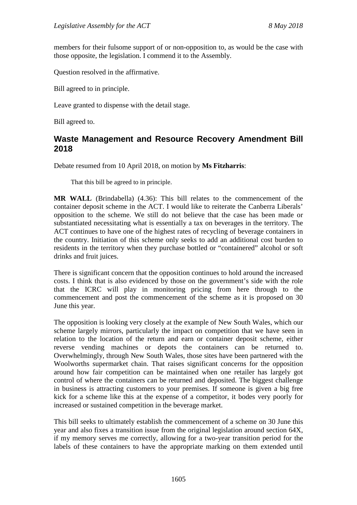members for their fulsome support of or non-opposition to, as would be the case with those opposite, the legislation. I commend it to the Assembly.

Question resolved in the affirmative.

Bill agreed to in principle.

Leave granted to dispense with the detail stage.

Bill agreed to.

## **Waste Management and Resource Recovery Amendment Bill 2018**

Debate resumed from 10 April 2018, on motion by **Ms Fitzharris**:

That this bill be agreed to in principle.

**MR WALL** (Brindabella) (4.36): This bill relates to the commencement of the container deposit scheme in the ACT. I would like to reiterate the Canberra Liberals' opposition to the scheme. We still do not believe that the case has been made or substantiated necessitating what is essentially a tax on beverages in the territory. The ACT continues to have one of the highest rates of recycling of beverage containers in the country. Initiation of this scheme only seeks to add an additional cost burden to residents in the territory when they purchase bottled or "containered" alcohol or soft drinks and fruit juices.

There is significant concern that the opposition continues to hold around the increased costs. I think that is also evidenced by those on the government's side with the role that the ICRC will play in monitoring pricing from here through to the commencement and post the commencement of the scheme as it is proposed on 30 June this year.

The opposition is looking very closely at the example of New South Wales, which our scheme largely mirrors, particularly the impact on competition that we have seen in relation to the location of the return and earn or container deposit scheme, either reverse vending machines or depots the containers can be returned to. Overwhelmingly, through New South Wales, those sites have been partnered with the Woolworths supermarket chain. That raises significant concerns for the opposition around how fair competition can be maintained when one retailer has largely got control of where the containers can be returned and deposited. The biggest challenge in business is attracting customers to your premises. If someone is given a big free kick for a scheme like this at the expense of a competitor, it bodes very poorly for increased or sustained competition in the beverage market.

This bill seeks to ultimately establish the commencement of a scheme on 30 June this year and also fixes a transition issue from the original legislation around section 64X, if my memory serves me correctly, allowing for a two-year transition period for the labels of these containers to have the appropriate marking on them extended until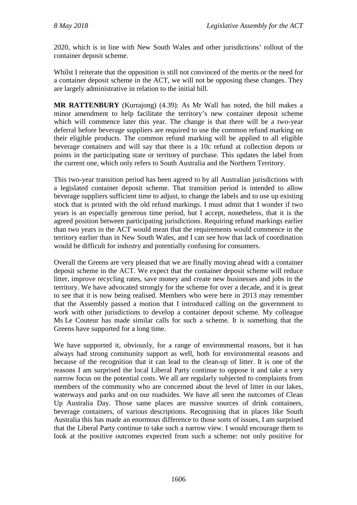2020, which is in line with New South Wales and other jurisdictions' rollout of the container deposit scheme.

Whilst I reiterate that the opposition is still not convinced of the merits or the need for a container deposit scheme in the ACT, we will not be opposing these changes. They are largely administrative in relation to the initial bill.

**MR RATTENBURY** (Kurrajong) (4.39): As Mr Wall has noted, the bill makes a minor amendment to help facilitate the territory's new container deposit scheme which will commence later this year. The change is that there will be a two-year deferral before beverage suppliers are required to use the common refund marking on their eligible products. The common refund marking will be applied to all eligible beverage containers and will say that there is a 10c refund at collection depots or points in the participating state or territory of purchase. This updates the label from the current one, which only refers to South Australia and the Northern Territory.

This two-year transition period has been agreed to by all Australian jurisdictions with a legislated container deposit scheme. That transition period is intended to allow beverage suppliers sufficient time to adjust, to change the labels and to use up existing stock that is printed with the old refund markings. I must admit that I wonder if two years is an especially generous time period, but I accept, nonetheless, that it is the agreed position between participating jurisdictions. Requiring refund markings earlier than two years in the ACT would mean that the requirements would commence in the territory earlier than in New South Wales, and I can see how that lack of coordination would be difficult for industry and potentially confusing for consumers.

Overall the Greens are very pleased that we are finally moving ahead with a container deposit scheme in the ACT. We expect that the container deposit scheme will reduce litter, improve recycling rates, save money and create new businesses and jobs in the territory. We have advocated strongly for the scheme for over a decade, and it is great to see that it is now being realised. Members who were here in 2013 may remember that the Assembly passed a motion that I introduced calling on the government to work with other jurisdictions to develop a container deposit scheme. My colleague Ms Le Couteur has made similar calls for such a scheme. It is something that the Greens have supported for a long time.

We have supported it, obviously, for a range of environmental reasons, but it has always had strong community support as well, both for environmental reasons and because of the recognition that it can lead to the clean-up of litter. It is one of the reasons I am surprised the local Liberal Party continue to oppose it and take a very narrow focus on the potential costs. We all are regularly subjected to complaints from members of the community who are concerned about the level of litter in our lakes, waterways and parks and on our roadsides. We have all seen the outcomes of Clean Up Australia Day. Those same places are massive sources of drink containers, beverage containers, of various descriptions. Recognising that in places like South Australia this has made an enormous difference to those sorts of issues, I am surprised that the Liberal Party continue to take such a narrow view. I would encourage them to look at the positive outcomes expected from such a scheme: not only positive for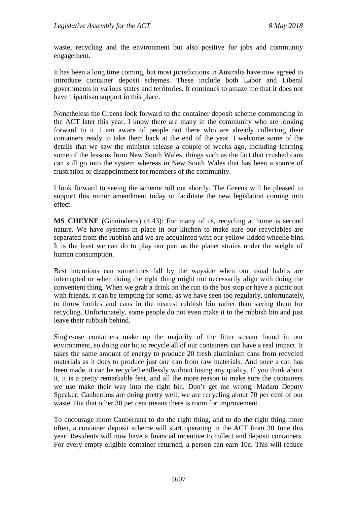waste, recycling and the environment but also positive for jobs and community engagement.

It has been a long time coming, but most jurisdictions in Australia have now agreed to introduce container deposit schemes. These include both Labor and Liberal governments in various states and territories. It continues to amaze me that it does not have tripartisan support in this place.

Nonetheless the Greens look forward to the container deposit scheme commencing in the ACT later this year. I know there are many in the community who are looking forward to it. I am aware of people out there who are already collecting their containers ready to take them back at the end of the year. I welcome some of the details that we saw the minister release a couple of weeks ago, including learning some of the lessons from New South Wales, things such as the fact that crushed cans can still go into the system whereas in New South Wales that has been a source of frustration or disappointment for members of the community.

I look forward to seeing the scheme roll out shortly. The Greens will be pleased to support this minor amendment today to facilitate the new legislation coming into effect.

**MS CHEYNE** (Ginninderra) (4.43): For many of us, recycling at home is second nature. We have systems in place in our kitchen to make sure our recyclables are separated from the rubbish and we are acquainted with our yellow-lidded wheelie bins. It is the least we can do to play our part as the planet strains under the weight of human consumption.

Best intentions can sometimes fall by the wayside when our usual habits are interrupted or when doing the right thing might not necessarily align with doing the convenient thing. When we grab a drink on the run to the bus stop or have a picnic out with friends, it can be tempting for some, as we have seen too regularly, unfortunately, to throw bottles and cans in the nearest rubbish bin rather than saving them for recycling. Unfortunately, some people do not even make it to the rubbish bin and just leave their rubbish behind.

Single-use containers make up the majority of the litter stream found in our environment, so doing our bit to recycle all of our containers can have a real impact. It takes the same amount of energy to produce 20 fresh aluminium cans from recycled materials as it does to produce just one can from raw materials. And once a can has been made, it can be recycled endlessly without losing any quality. If you think about it, it is a pretty remarkable feat, and all the more reason to make sure the containers we use make their way into the right bin. Don't get me wrong, Madam Deputy Speaker: Canberrans are doing pretty well; we are recycling about 70 per cent of our waste. But that other 30 per cent means there is room for improvement.

To encourage more Canberrans to do the right thing, and to do the right thing more often, a container deposit scheme will start operating in the ACT from 30 June this year. Residents will now have a financial incentive to collect and deposit containers. For every empty eligible container returned, a person can earn 10c. This will reduce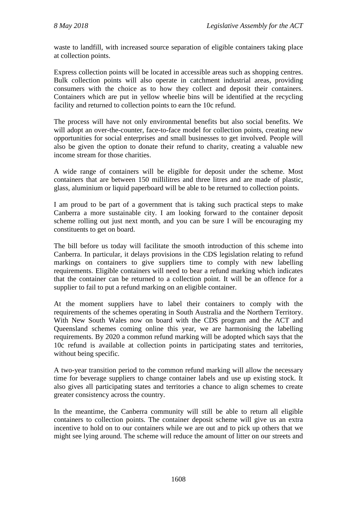waste to landfill, with increased source separation of eligible containers taking place at collection points.

Express collection points will be located in accessible areas such as shopping centres. Bulk collection points will also operate in catchment industrial areas, providing consumers with the choice as to how they collect and deposit their containers. Containers which are put in yellow wheelie bins will be identified at the recycling facility and returned to collection points to earn the 10c refund.

The process will have not only environmental benefits but also social benefits. We will adopt an over-the-counter, face-to-face model for collection points, creating new opportunities for social enterprises and small businesses to get involved. People will also be given the option to donate their refund to charity, creating a valuable new income stream for those charities.

A wide range of containers will be eligible for deposit under the scheme. Most containers that are between 150 millilitres and three litres and are made of plastic, glass, aluminium or liquid paperboard will be able to be returned to collection points.

I am proud to be part of a government that is taking such practical steps to make Canberra a more sustainable city. I am looking forward to the container deposit scheme rolling out just next month, and you can be sure I will be encouraging my constituents to get on board.

The bill before us today will facilitate the smooth introduction of this scheme into Canberra. In particular, it delays provisions in the CDS legislation relating to refund markings on containers to give suppliers time to comply with new labelling requirements. Eligible containers will need to bear a refund marking which indicates that the container can be returned to a collection point. It will be an offence for a supplier to fail to put a refund marking on an eligible container.

At the moment suppliers have to label their containers to comply with the requirements of the schemes operating in South Australia and the Northern Territory. With New South Wales now on board with the CDS program and the ACT and Queensland schemes coming online this year, we are harmonising the labelling requirements. By 2020 a common refund marking will be adopted which says that the 10c refund is available at collection points in participating states and territories, without being specific.

A two-year transition period to the common refund marking will allow the necessary time for beverage suppliers to change container labels and use up existing stock. It also gives all participating states and territories a chance to align schemes to create greater consistency across the country.

In the meantime, the Canberra community will still be able to return all eligible containers to collection points. The container deposit scheme will give us an extra incentive to hold on to our containers while we are out and to pick up others that we might see lying around. The scheme will reduce the amount of litter on our streets and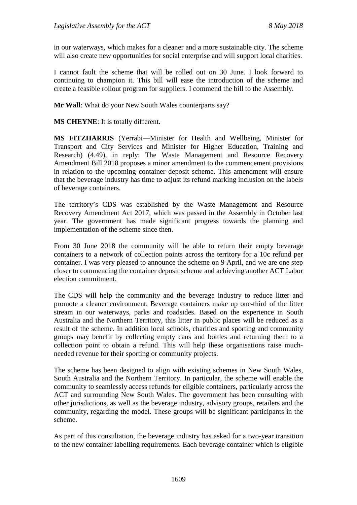in our waterways, which makes for a cleaner and a more sustainable city. The scheme will also create new opportunities for social enterprise and will support local charities.

I cannot fault the scheme that will be rolled out on 30 June. I look forward to continuing to champion it. This bill will ease the introduction of the scheme and create a feasible rollout program for suppliers. I commend the bill to the Assembly.

**Mr Wall**: What do your New South Wales counterparts say?

**MS CHEYNE**: It is totally different.

**MS FITZHARRIS** (Yerrabi—Minister for Health and Wellbeing, Minister for Transport and City Services and Minister for Higher Education, Training and Research) (4.49), in reply: The Waste Management and Resource Recovery Amendment Bill 2018 proposes a minor amendment to the commencement provisions in relation to the upcoming container deposit scheme. This amendment will ensure that the beverage industry has time to adjust its refund marking inclusion on the labels of beverage containers.

The territory's CDS was established by the Waste Management and Resource Recovery Amendment Act 2017, which was passed in the Assembly in October last year. The government has made significant progress towards the planning and implementation of the scheme since then.

From 30 June 2018 the community will be able to return their empty beverage containers to a network of collection points across the territory for a 10c refund per container. I was very pleased to announce the scheme on 9 April, and we are one step closer to commencing the container deposit scheme and achieving another ACT Labor election commitment.

The CDS will help the community and the beverage industry to reduce litter and promote a cleaner environment. Beverage containers make up one-third of the litter stream in our waterways, parks and roadsides. Based on the experience in South Australia and the Northern Territory, this litter in public places will be reduced as a result of the scheme. In addition local schools, charities and sporting and community groups may benefit by collecting empty cans and bottles and returning them to a collection point to obtain a refund. This will help these organisations raise muchneeded revenue for their sporting or community projects.

The scheme has been designed to align with existing schemes in New South Wales, South Australia and the Northern Territory. In particular, the scheme will enable the community to seamlessly access refunds for eligible containers, particularly across the ACT and surrounding New South Wales. The government has been consulting with other jurisdictions, as well as the beverage industry, advisory groups, retailers and the community, regarding the model. These groups will be significant participants in the scheme.

As part of this consultation, the beverage industry has asked for a two-year transition to the new container labelling requirements. Each beverage container which is eligible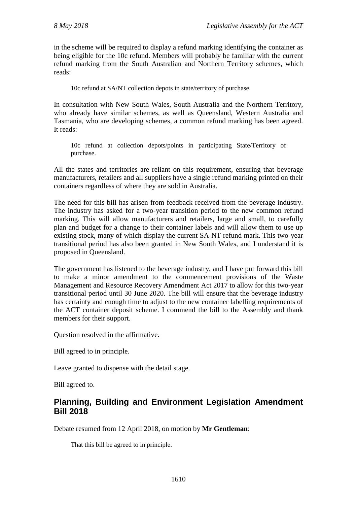in the scheme will be required to display a refund marking identifying the container as being eligible for the 10c refund. Members will probably be familiar with the current refund marking from the South Australian and Northern Territory schemes, which reads:

10c refund at SA/NT collection depots in state/territory of purchase.

In consultation with New South Wales, South Australia and the Northern Territory, who already have similar schemes, as well as Queensland, Western Australia and Tasmania, who are developing schemes, a common refund marking has been agreed. It reads:

10c refund at collection depots/points in participating State/Territory of purchase.

All the states and territories are reliant on this requirement, ensuring that beverage manufacturers, retailers and all suppliers have a single refund marking printed on their containers regardless of where they are sold in Australia.

The need for this bill has arisen from feedback received from the beverage industry. The industry has asked for a two-year transition period to the new common refund marking. This will allow manufacturers and retailers, large and small, to carefully plan and budget for a change to their container labels and will allow them to use up existing stock, many of which display the current SA-NT refund mark. This two-year transitional period has also been granted in New South Wales, and I understand it is proposed in Queensland.

The government has listened to the beverage industry, and I have put forward this bill to make a minor amendment to the commencement provisions of the Waste Management and Resource Recovery Amendment Act 2017 to allow for this two-year transitional period until 30 June 2020. The bill will ensure that the beverage industry has certainty and enough time to adjust to the new container labelling requirements of the ACT container deposit scheme. I commend the bill to the Assembly and thank members for their support.

Question resolved in the affirmative.

Bill agreed to in principle.

Leave granted to dispense with the detail stage.

Bill agreed to.

# **Planning, Building and Environment Legislation Amendment Bill 2018**

Debate resumed from 12 April 2018, on motion by **Mr Gentleman**:

That this bill be agreed to in principle.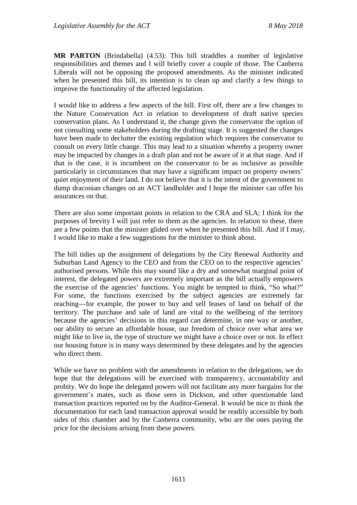**MR PARTON** (Brindabella) (4.53): This bill straddles a number of legislative responsibilities and themes and I will briefly cover a couple of those. The Canberra Liberals will not be opposing the proposed amendments. As the minister indicated when he presented this bill, its intention is to clean up and clarify a few things to improve the functionality of the affected legislation.

I would like to address a few aspects of the bill. First off, there are a few changes to the Nature Conservation Act in relation to development of draft native species conservation plans. As I understand it, the change gives the conservator the option of not consulting some stakeholders during the drafting stage. It is suggested the changes have been made to declutter the existing regulation which requires the conservator to consult on every little change. This may lead to a situation whereby a property owner may be impacted by changes in a draft plan and not be aware of it at that stage. And if that is the case, it is incumbent on the conservator to be as inclusive as possible particularly in circumstances that may have a significant impact on property owners' quiet enjoyment of their land. I do not believe that it is the intent of the government to dump draconian changes on an ACT landholder and I hope the minister can offer his assurances on that.

There are also some important points in relation to the CRA and SLA; I think for the purposes of brevity I will just refer to them as the agencies. In relation to these, there are a few points that the minister glided over when he presented this bill. And if I may, I would like to make a few suggestions for the minister to think about.

The bill tidies up the assignment of delegations by the City Renewal Authority and Suburban Land Agency to the CEO and from the CEO on to the respective agencies' authorised persons. While this may sound like a dry and somewhat marginal point of interest, the delegated powers are extremely important as the bill actually empowers the exercise of the agencies' functions. You might be tempted to think, "So what?" For some, the functions exercised by the subject agencies are extremely far reaching—for example, the power to buy and sell leases of land on behalf of the territory. The purchase and sale of land are vital to the wellbeing of the territory because the agencies' decisions in this regard can determine, in one way or another, our ability to secure an affordable house, our freedom of choice over what area we might like to live in, the type of structure we might have a choice over or not. In effect our housing future is in many ways determined by these delegates and by the agencies who direct them.

While we have no problem with the amendments in relation to the delegations, we do hope that the delegations will be exercised with transparency, accountability and probity. We do hope the delegated powers will not facilitate any more bargains for the government's mates, such as those seen in Dickson, and other questionable land transaction practices reported on by the Auditor-General. It would be nice to think the documentation for each land transaction approval would be readily accessible by both sides of this chamber and by the Canberra community, who are the ones paying the price for the decisions arising from these powers.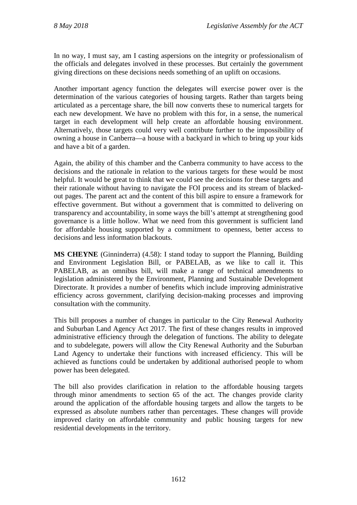In no way, I must say, am I casting aspersions on the integrity or professionalism of the officials and delegates involved in these processes. But certainly the government giving directions on these decisions needs something of an uplift on occasions.

Another important agency function the delegates will exercise power over is the determination of the various categories of housing targets. Rather than targets being articulated as a percentage share, the bill now converts these to numerical targets for each new development. We have no problem with this for, in a sense, the numerical target in each development will help create an affordable housing environment. Alternatively, those targets could very well contribute further to the impossibility of owning a house in Canberra—a house with a backyard in which to bring up your kids and have a bit of a garden.

Again, the ability of this chamber and the Canberra community to have access to the decisions and the rationale in relation to the various targets for these would be most helpful. It would be great to think that we could see the decisions for these targets and their rationale without having to navigate the FOI process and its stream of blackedout pages. The parent act and the content of this bill aspire to ensure a framework for effective government. But without a government that is committed to delivering on transparency and accountability, in some ways the bill's attempt at strengthening good governance is a little hollow. What we need from this government is sufficient land for affordable housing supported by a commitment to openness, better access to decisions and less information blackouts.

**MS CHEYNE** (Ginninderra) (4.58): I stand today to support the Planning, Building and Environment Legislation Bill, or PABELAB, as we like to call it. This PABELAB, as an omnibus bill, will make a range of technical amendments to legislation administered by the Environment, Planning and Sustainable Development Directorate. It provides a number of benefits which include improving administrative efficiency across government, clarifying decision-making processes and improving consultation with the community.

This bill proposes a number of changes in particular to the City Renewal Authority and Suburban Land Agency Act 2017. The first of these changes results in improved administrative efficiency through the delegation of functions. The ability to delegate and to subdelegate, powers will allow the City Renewal Authority and the Suburban Land Agency to undertake their functions with increased efficiency. This will be achieved as functions could be undertaken by additional authorised people to whom power has been delegated.

The bill also provides clarification in relation to the affordable housing targets through minor amendments to section 65 of the act. The changes provide clarity around the application of the affordable housing targets and allow the targets to be expressed as absolute numbers rather than percentages. These changes will provide improved clarity on affordable community and public housing targets for new residential developments in the territory.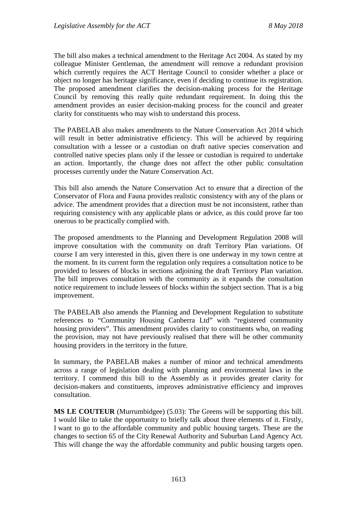The bill also makes a technical amendment to the Heritage Act 2004. As stated by my colleague Minister Gentleman, the amendment will remove a redundant provision which currently requires the ACT Heritage Council to consider whether a place or object no longer has heritage significance, even if deciding to continue its registration. The proposed amendment clarifies the decision-making process for the Heritage Council by removing this really quite redundant requirement. In doing this the amendment provides an easier decision-making process for the council and greater clarity for constituents who may wish to understand this process.

The PABELAB also makes amendments to the Nature Conservation Act 2014 which will result in better administrative efficiency. This will be achieved by requiring consultation with a lessee or a custodian on draft native species conservation and controlled native species plans only if the lessee or custodian is required to undertake an action. Importantly, the change does not affect the other public consultation processes currently under the Nature Conservation Act.

This bill also amends the Nature Conservation Act to ensure that a direction of the Conservator of Flora and Fauna provides realistic consistency with any of the plans or advice. The amendment provides that a direction must be not inconsistent, rather than requiring consistency with any applicable plans or advice, as this could prove far too onerous to be practically complied with.

The proposed amendments to the Planning and Development Regulation 2008 will improve consultation with the community on draft Territory Plan variations. Of course I am very interested in this, given there is one underway in my town centre at the moment. In its current form the regulation only requires a consultation notice to be provided to lessees of blocks in sections adjoining the draft Territory Plan variation. The bill improves consultation with the community as it expands the consultation notice requirement to include lessees of blocks within the subject section. That is a big improvement.

The PABELAB also amends the Planning and Development Regulation to substitute references to "Community Housing Canberra Ltd" with "registered community housing providers". This amendment provides clarity to constituents who, on reading the provision, may not have previously realised that there will be other community housing providers in the territory in the future.

In summary, the PABELAB makes a number of minor and technical amendments across a range of legislation dealing with planning and environmental laws in the territory. I commend this bill to the Assembly as it provides greater clarity for decision-makers and constituents, improves administrative efficiency and improves consultation.

**MS LE COUTEUR** (Murrumbidgee) (5.03): The Greens will be supporting this bill. I would like to take the opportunity to briefly talk about three elements of it. Firstly, I want to go to the affordable community and public housing targets. These are the changes to section 65 of the City Renewal Authority and Suburban Land Agency Act. This will change the way the affordable community and public housing targets open.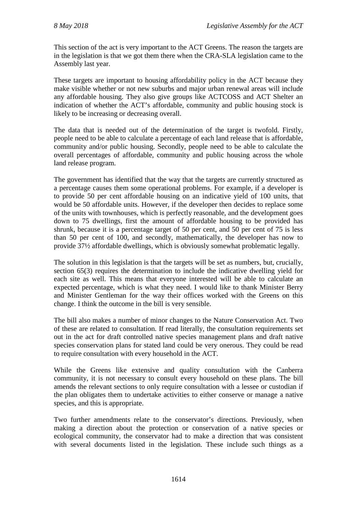This section of the act is very important to the ACT Greens. The reason the targets are in the legislation is that we got them there when the CRA-SLA legislation came to the Assembly last year.

These targets are important to housing affordability policy in the ACT because they make visible whether or not new suburbs and major urban renewal areas will include any affordable housing. They also give groups like ACTCOSS and ACT Shelter an indication of whether the ACT's affordable, community and public housing stock is likely to be increasing or decreasing overall.

The data that is needed out of the determination of the target is twofold. Firstly, people need to be able to calculate a percentage of each land release that is affordable, community and/or public housing. Secondly, people need to be able to calculate the overall percentages of affordable, community and public housing across the whole land release program.

The government has identified that the way that the targets are currently structured as a percentage causes them some operational problems. For example, if a developer is to provide 50 per cent affordable housing on an indicative yield of 100 units, that would be 50 affordable units. However, if the developer then decides to replace some of the units with townhouses, which is perfectly reasonable, and the development goes down to 75 dwellings, first the amount of affordable housing to be provided has shrunk, because it is a percentage target of 50 per cent, and 50 per cent of 75 is less than 50 per cent of 100, and secondly, mathematically, the developer has now to provide 37½ affordable dwellings, which is obviously somewhat problematic legally.

The solution in this legislation is that the targets will be set as numbers, but, crucially, section 65(3) requires the determination to include the indicative dwelling yield for each site as well. This means that everyone interested will be able to calculate an expected percentage, which is what they need. I would like to thank Minister Berry and Minister Gentleman for the way their offices worked with the Greens on this change. I think the outcome in the bill is very sensible.

The bill also makes a number of minor changes to the Nature Conservation Act. Two of these are related to consultation. If read literally, the consultation requirements set out in the act for draft controlled native species management plans and draft native species conservation plans for stated land could be very onerous. They could be read to require consultation with every household in the ACT.

While the Greens like extensive and quality consultation with the Canberra community, it is not necessary to consult every household on these plans. The bill amends the relevant sections to only require consultation with a lessee or custodian if the plan obligates them to undertake activities to either conserve or manage a native species, and this is appropriate.

Two further amendments relate to the conservator's directions. Previously, when making a direction about the protection or conservation of a native species or ecological community, the conservator had to make a direction that was consistent with several documents listed in the legislation. These include such things as a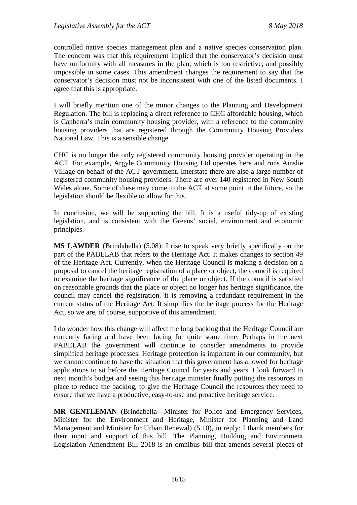controlled native species management plan and a native species conservation plan. The concern was that this requirement implied that the conservator's decision must have uniformity with all measures in the plan, which is too restrictive, and possibly impossible in some cases. This amendment changes the requirement to say that the conservator's decision must not be inconsistent with one of the listed documents. I agree that this is appropriate.

I will briefly mention one of the minor changes to the Planning and Development Regulation. The bill is replacing a direct reference to CHC affordable housing, which is Canberra's main community housing provider, with a reference to the community housing providers that are registered through the Community Housing Providers National Law. This is a sensible change.

CHC is no longer the only registered community housing provider operating in the ACT. For example, Argyle Community Housing Ltd operates here and runs Ainslie Village on behalf of the ACT government. Interstate there are also a large number of registered community housing providers. There are over 140 registered in New South Wales alone. Some of these may come to the ACT at some point in the future, so the legislation should be flexible to allow for this.

In conclusion, we will be supporting the bill. It is a useful tidy-up of existing legislation, and is consistent with the Greens' social, environment and economic principles.

**MS LAWDER** (Brindabella) (5.08): I rise to speak very briefly specifically on the part of the PABELAB that refers to the Heritage Act. It makes changes to section 49 of the Heritage Act. Currently, when the Heritage Council is making a decision on a proposal to cancel the heritage registration of a place or object, the council is required to examine the heritage significance of the place or object. If the council is satisfied on reasonable grounds that the place or object no longer has heritage significance, the council may cancel the registration. It is removing a redundant requirement in the current status of the Heritage Act. It simplifies the heritage process for the Heritage Act, so we are, of course, supportive of this amendment.

I do wonder how this change will affect the long backlog that the Heritage Council are currently facing and have been facing for quite some time. Perhaps in the next PABELAB the government will continue to consider amendments to provide simplified heritage processes. Heritage protection is important in our community, but we cannot continue to have the situation that this government has allowed for heritage applications to sit before the Heritage Council for years and years. I look forward to next month's budget and seeing this heritage minister finally putting the resources in place to reduce the backlog, to give the Heritage Council the resources they need to ensure that we have a productive, easy-to-use and proactive heritage service.

**MR GENTLEMAN** (Brindabella—Minister for Police and Emergency Services, Minister for the Environment and Heritage, Minister for Planning and Land Management and Minister for Urban Renewal) (5.10), in reply: I thank members for their input and support of this bill. The Planning, Building and Environment Legislation Amendment Bill 2018 is an omnibus bill that amends several pieces of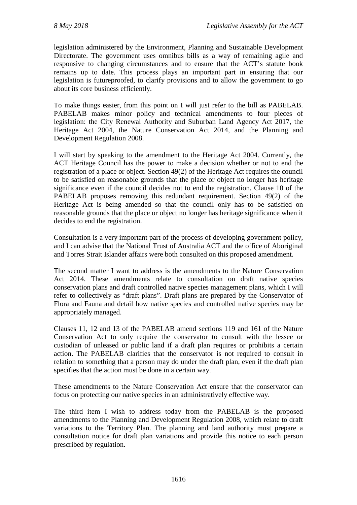legislation administered by the Environment, Planning and Sustainable Development Directorate. The government uses omnibus bills as a way of remaining agile and responsive to changing circumstances and to ensure that the ACT's statute book remains up to date. This process plays an important part in ensuring that our legislation is futureproofed, to clarify provisions and to allow the government to go about its core business efficiently.

To make things easier, from this point on I will just refer to the bill as PABELAB. PABELAB makes minor policy and technical amendments to four pieces of legislation: the City Renewal Authority and Suburban Land Agency Act 2017, the Heritage Act 2004, the Nature Conservation Act 2014, and the Planning and Development Regulation 2008.

I will start by speaking to the amendment to the Heritage Act 2004. Currently, the ACT Heritage Council has the power to make a decision whether or not to end the registration of a place or object. Section 49(2) of the Heritage Act requires the council to be satisfied on reasonable grounds that the place or object no longer has heritage significance even if the council decides not to end the registration. Clause 10 of the PABELAB proposes removing this redundant requirement. Section 49(2) of the Heritage Act is being amended so that the council only has to be satisfied on reasonable grounds that the place or object no longer has heritage significance when it decides to end the registration.

Consultation is a very important part of the process of developing government policy, and I can advise that the National Trust of Australia ACT and the office of Aboriginal and Torres Strait Islander affairs were both consulted on this proposed amendment.

The second matter I want to address is the amendments to the Nature Conservation Act 2014. These amendments relate to consultation on draft native species conservation plans and draft controlled native species management plans, which I will refer to collectively as "draft plans". Draft plans are prepared by the Conservator of Flora and Fauna and detail how native species and controlled native species may be appropriately managed.

Clauses 11, 12 and 13 of the PABELAB amend sections 119 and 161 of the Nature Conservation Act to only require the conservator to consult with the lessee or custodian of unleased or public land if a draft plan requires or prohibits a certain action. The PABELAB clarifies that the conservator is not required to consult in relation to something that a person may do under the draft plan, even if the draft plan specifies that the action must be done in a certain way.

These amendments to the Nature Conservation Act ensure that the conservator can focus on protecting our native species in an administratively effective way.

The third item I wish to address today from the PABELAB is the proposed amendments to the Planning and Development Regulation 2008, which relate to draft variations to the Territory Plan. The planning and land authority must prepare a consultation notice for draft plan variations and provide this notice to each person prescribed by regulation.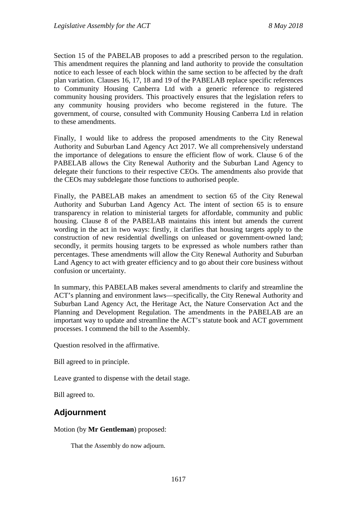Section 15 of the PABELAB proposes to add a prescribed person to the regulation. This amendment requires the planning and land authority to provide the consultation notice to each lessee of each block within the same section to be affected by the draft plan variation. Clauses 16, 17, 18 and 19 of the PABELAB replace specific references to Community Housing Canberra Ltd with a generic reference to registered community housing providers. This proactively ensures that the legislation refers to any community housing providers who become registered in the future. The government, of course, consulted with Community Housing Canberra Ltd in relation to these amendments.

Finally, I would like to address the proposed amendments to the City Renewal Authority and Suburban Land Agency Act 2017. We all comprehensively understand the importance of delegations to ensure the efficient flow of work. Clause 6 of the PABELAB allows the City Renewal Authority and the Suburban Land Agency to delegate their functions to their respective CEOs. The amendments also provide that the CEOs may subdelegate those functions to authorised people.

Finally, the PABELAB makes an amendment to section 65 of the City Renewal Authority and Suburban Land Agency Act. The intent of section 65 is to ensure transparency in relation to ministerial targets for affordable, community and public housing. Clause 8 of the PABELAB maintains this intent but amends the current wording in the act in two ways: firstly, it clarifies that housing targets apply to the construction of new residential dwellings on unleased or government-owned land; secondly, it permits housing targets to be expressed as whole numbers rather than percentages. These amendments will allow the City Renewal Authority and Suburban Land Agency to act with greater efficiency and to go about their core business without confusion or uncertainty.

In summary, this PABELAB makes several amendments to clarify and streamline the ACT's planning and environment laws—specifically, the City Renewal Authority and Suburban Land Agency Act, the Heritage Act, the Nature Conservation Act and the Planning and Development Regulation. The amendments in the PABELAB are an important way to update and streamline the ACT's statute book and ACT government processes. I commend the bill to the Assembly.

Question resolved in the affirmative.

Bill agreed to in principle.

Leave granted to dispense with the detail stage.

Bill agreed to.

## **Adjournment**

#### Motion (by **Mr Gentleman**) proposed:

That the Assembly do now adjourn.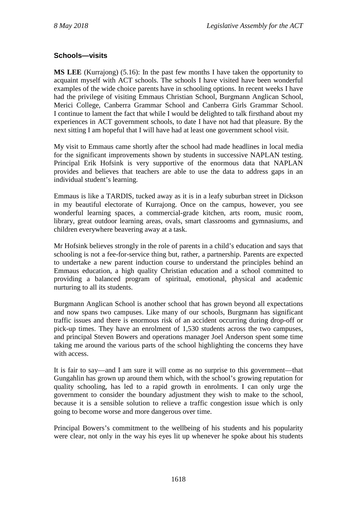### **Schools—visits**

**MS LEE** (Kurrajong) (5.16): In the past few months I have taken the opportunity to acquaint myself with ACT schools. The schools I have visited have been wonderful examples of the wide choice parents have in schooling options. In recent weeks I have had the privilege of visiting Emmaus Christian School, Burgmann Anglican School, Merici College, Canberra Grammar School and Canberra Girls Grammar School. I continue to lament the fact that while I would be delighted to talk firsthand about my experiences in ACT government schools, to date I have not had that pleasure. By the next sitting I am hopeful that I will have had at least one government school visit.

My visit to Emmaus came shortly after the school had made headlines in local media for the significant improvements shown by students in successive NAPLAN testing. Principal Erik Hofsink is very supportive of the enormous data that NAPLAN provides and believes that teachers are able to use the data to address gaps in an individual student's learning.

Emmaus is like a TARDIS, tucked away as it is in a leafy suburban street in Dickson in my beautiful electorate of Kurrajong. Once on the campus, however, you see wonderful learning spaces, a commercial-grade kitchen, arts room, music room, library, great outdoor learning areas, ovals, smart classrooms and gymnasiums, and children everywhere beavering away at a task.

Mr Hofsink believes strongly in the role of parents in a child's education and says that schooling is not a fee-for-service thing but, rather, a partnership. Parents are expected to undertake a new parent induction course to understand the principles behind an Emmaus education, a high quality Christian education and a school committed to providing a balanced program of spiritual, emotional, physical and academic nurturing to all its students.

Burgmann Anglican School is another school that has grown beyond all expectations and now spans two campuses. Like many of our schools, Burgmann has significant traffic issues and there is enormous risk of an accident occurring during drop-off or pick-up times. They have an enrolment of 1,530 students across the two campuses, and principal Steven Bowers and operations manager Joel Anderson spent some time taking me around the various parts of the school highlighting the concerns they have with access.

It is fair to say—and I am sure it will come as no surprise to this government—that Gungahlin has grown up around them which, with the school's growing reputation for quality schooling, has led to a rapid growth in enrolments. I can only urge the government to consider the boundary adjustment they wish to make to the school, because it is a sensible solution to relieve a traffic congestion issue which is only going to become worse and more dangerous over time.

Principal Bowers's commitment to the wellbeing of his students and his popularity were clear, not only in the way his eyes lit up whenever he spoke about his students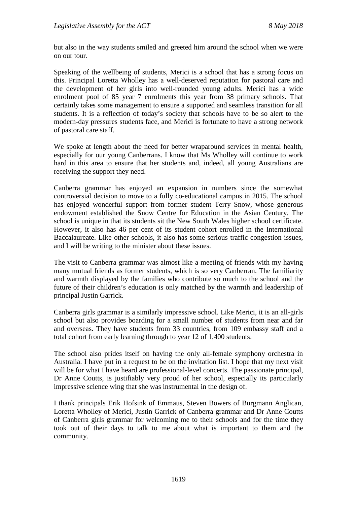but also in the way students smiled and greeted him around the school when we were on our tour.

Speaking of the wellbeing of students, Merici is a school that has a strong focus on this. Principal Loretta Wholley has a well-deserved reputation for pastoral care and the development of her girls into well-rounded young adults. Merici has a wide enrolment pool of 85 year 7 enrolments this year from 38 primary schools. That certainly takes some management to ensure a supported and seamless transition for all students. It is a reflection of today's society that schools have to be so alert to the modern-day pressures students face, and Merici is fortunate to have a strong network of pastoral care staff.

We spoke at length about the need for better wraparound services in mental health, especially for our young Canberrans. I know that Ms Wholley will continue to work hard in this area to ensure that her students and, indeed, all young Australians are receiving the support they need.

Canberra grammar has enjoyed an expansion in numbers since the somewhat controversial decision to move to a fully co-educational campus in 2015. The school has enjoyed wonderful support from former student Terry Snow, whose generous endowment established the Snow Centre for Education in the Asian Century. The school is unique in that its students sit the New South Wales higher school certificate. However, it also has 46 per cent of its student cohort enrolled in the International Baccalaureate. Like other schools, it also has some serious traffic congestion issues, and I will be writing to the minister about these issues.

The visit to Canberra grammar was almost like a meeting of friends with my having many mutual friends as former students, which is so very Canberran. The familiarity and warmth displayed by the families who contribute so much to the school and the future of their children's education is only matched by the warmth and leadership of principal Justin Garrick.

Canberra girls grammar is a similarly impressive school. Like Merici, it is an all-girls school but also provides boarding for a small number of students from near and far and overseas. They have students from 33 countries, from 109 embassy staff and a total cohort from early learning through to year 12 of 1,400 students.

The school also prides itself on having the only all-female symphony orchestra in Australia. I have put in a request to be on the invitation list. I hope that my next visit will be for what I have heard are professional-level concerts. The passionate principal, Dr Anne Coutts, is justifiably very proud of her school, especially its particularly impressive science wing that she was instrumental in the design of.

I thank principals Erik Hofsink of Emmaus, Steven Bowers of Burgmann Anglican, Loretta Wholley of Merici, Justin Garrick of Canberra grammar and Dr Anne Coutts of Canberra girls grammar for welcoming me to their schools and for the time they took out of their days to talk to me about what is important to them and the community.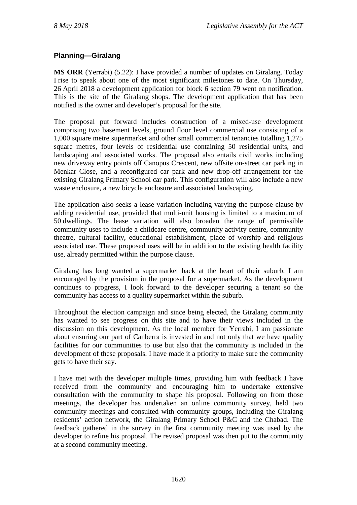### **Planning—Giralang**

**MS ORR** (Yerrabi) (5.22): I have provided a number of updates on Giralang. Today I rise to speak about one of the most significant milestones to date. On Thursday, 26 April 2018 a development application for block 6 section 79 went on notification. This is the site of the Giralang shops. The development application that has been notified is the owner and developer's proposal for the site.

The proposal put forward includes construction of a mixed-use development comprising two basement levels, ground floor level commercial use consisting of a 1,000 square metre supermarket and other small commercial tenancies totalling 1,275 square metres, four levels of residential use containing 50 residential units, and landscaping and associated works. The proposal also entails civil works including new driveway entry points off Canopus Crescent, new offsite on-street car parking in Menkar Close, and a reconfigured car park and new drop-off arrangement for the existing Giralang Primary School car park. This configuration will also include a new waste enclosure, a new bicycle enclosure and associated landscaping.

The application also seeks a lease variation including varying the purpose clause by adding residential use, provided that multi-unit housing is limited to a maximum of 50 dwellings. The lease variation will also broaden the range of permissible community uses to include a childcare centre, community activity centre, community theatre, cultural facility, educational establishment, place of worship and religious associated use. These proposed uses will be in addition to the existing health facility use, already permitted within the purpose clause.

Giralang has long wanted a supermarket back at the heart of their suburb. I am encouraged by the provision in the proposal for a supermarket. As the development continues to progress, I look forward to the developer securing a tenant so the community has access to a quality supermarket within the suburb.

Throughout the election campaign and since being elected, the Giralang community has wanted to see progress on this site and to have their views included in the discussion on this development. As the local member for Yerrabi, I am passionate about ensuring our part of Canberra is invested in and not only that we have quality facilities for our communities to use but also that the community is included in the development of these proposals. I have made it a priority to make sure the community gets to have their say.

I have met with the developer multiple times, providing him with feedback I have received from the community and encouraging him to undertake extensive consultation with the community to shape his proposal. Following on from those meetings, the developer has undertaken an online community survey, held two community meetings and consulted with community groups, including the Giralang residents' action network, the Giralang Primary School P&C and the Chabad. The feedback gathered in the survey in the first community meeting was used by the developer to refine his proposal. The revised proposal was then put to the community at a second community meeting.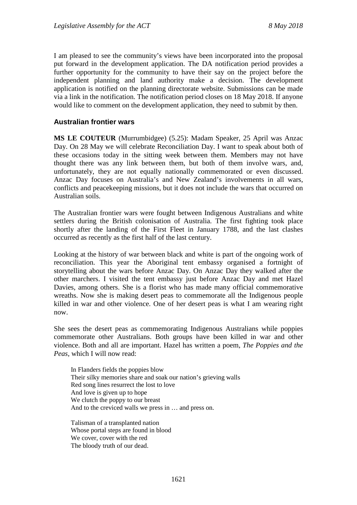I am pleased to see the community's views have been incorporated into the proposal put forward in the development application. The DA notification period provides a further opportunity for the community to have their say on the project before the independent planning and land authority make a decision. The development application is notified on the planning directorate website. Submissions can be made via a link in the notification. The notification period closes on 18 May 2018. If anyone would like to comment on the development application, they need to submit by then.

## **Australian frontier wars**

**MS LE COUTEUR** (Murrumbidgee) (5.25): Madam Speaker, 25 April was Anzac Day. On 28 May we will celebrate Reconciliation Day. I want to speak about both of these occasions today in the sitting week between them. Members may not have thought there was any link between them, but both of them involve wars, and, unfortunately, they are not equally nationally commemorated or even discussed. Anzac Day focuses on Australia's and New Zealand's involvements in all wars, conflicts and peacekeeping missions, but it does not include the wars that occurred on Australian soils.

The Australian frontier wars were fought between Indigenous Australians and white settlers during the British colonisation of Australia. The first fighting took place shortly after the landing of the First Fleet in January 1788, and the last clashes occurred as recently as the first half of the last century.

Looking at the history of war between black and white is part of the ongoing work of reconciliation. This year the Aboriginal tent embassy organised a fortnight of storytelling about the wars before Anzac Day. On Anzac Day they walked after the other marchers. I visited the tent embassy just before Anzac Day and met Hazel Davies, among others. She is a florist who has made many official commemorative wreaths. Now she is making desert peas to commemorate all the Indigenous people killed in war and other violence. One of her desert peas is what I am wearing right now.

She sees the desert peas as commemorating Indigenous Australians while poppies commemorate other Australians. Both groups have been killed in war and other violence. Both and all are important. Hazel has written a poem, *The Poppies and the Peas*, which I will now read:

In Flanders fields the poppies blow Their silky memories share and soak our nation's grieving walls Red song lines resurrect the lost to love And love is given up to hope We clutch the poppy to our breast And to the creviced walls we press in … and press on.

Talisman of a transplanted nation Whose portal steps are found in blood We cover, cover with the red The bloody truth of our dead.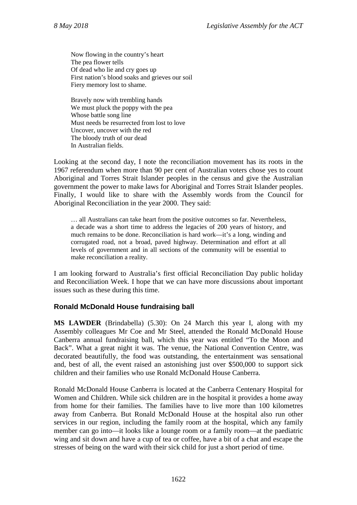Now flowing in the country's heart The pea flower tells Of dead who lie and cry goes up First nation's blood soaks and grieves our soil Fiery memory lost to shame.

Bravely now with trembling hands We must pluck the poppy with the pea Whose battle song line Must needs be resurrected from lost to love Uncover, uncover with the red The bloody truth of our dead In Australian fields.

Looking at the second day, I note the reconciliation movement has its roots in the 1967 referendum when more than 90 per cent of Australian voters chose yes to count Aboriginal and Torres Strait Islander peoples in the census and give the Australian government the power to make laws for Aboriginal and Torres Strait Islander peoples. Finally, I would like to share with the Assembly words from the Council for Aboriginal Reconciliation in the year 2000. They said:

… all Australians can take heart from the positive outcomes so far. Nevertheless, a decade was a short time to address the legacies of 200 years of history, and much remains to be done. Reconciliation is hard work—it's a long, winding and corrugated road, not a broad, paved highway. Determination and effort at all levels of government and in all sections of the community will be essential to make reconciliation a reality.

I am looking forward to Australia's first official Reconciliation Day public holiday and Reconciliation Week. I hope that we can have more discussions about important issues such as these during this time.

## **Ronald McDonald House fundraising ball**

**MS LAWDER** (Brindabella) (5.30): On 24 March this year I, along with my Assembly colleagues Mr Coe and Mr Steel, attended the Ronald McDonald House Canberra annual fundraising ball, which this year was entitled "To the Moon and Back". What a great night it was. The venue, the National Convention Centre, was decorated beautifully, the food was outstanding, the entertainment was sensational and, best of all, the event raised an astonishing just over \$500,000 to support sick children and their families who use Ronald McDonald House Canberra.

Ronald McDonald House Canberra is located at the Canberra Centenary Hospital for Women and Children. While sick children are in the hospital it provides a home away from home for their families. The families have to live more than 100 kilometres away from Canberra. But Ronald McDonald House at the hospital also run other services in our region, including the family room at the hospital, which any family member can go into—it looks like a lounge room or a family room—at the paediatric wing and sit down and have a cup of tea or coffee, have a bit of a chat and escape the stresses of being on the ward with their sick child for just a short period of time.